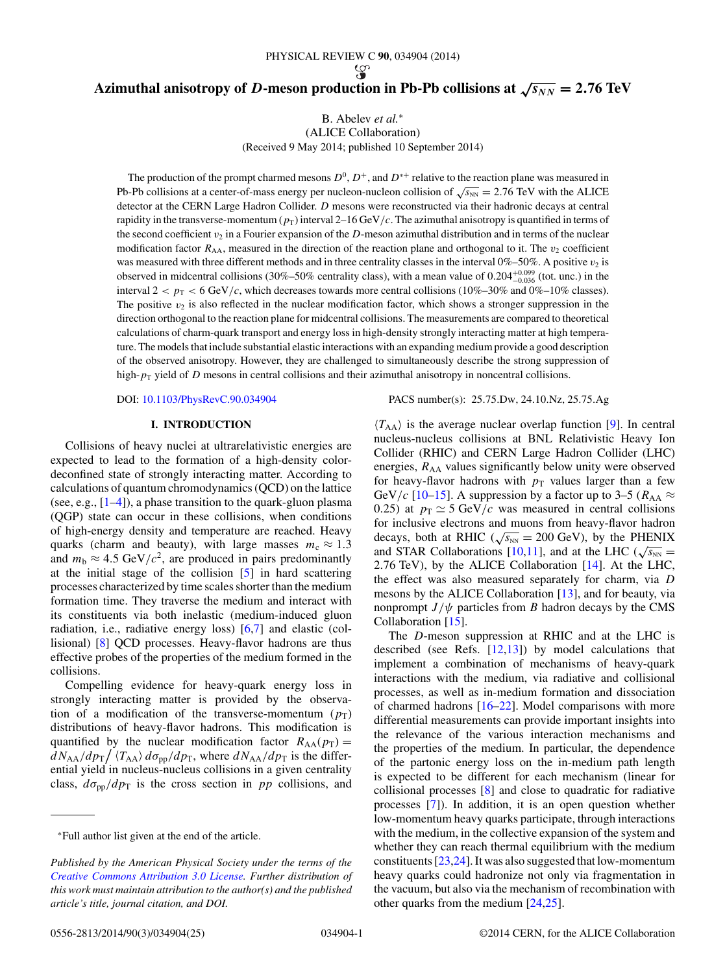# <span id="page-0-0"></span>**Azimuthal anisotropy of** *D***-meson production in Pb-Pb collisions at**  $\sqrt{s_{NN}} = 2.76 \text{ TeV}$

B. Abelev *et al.*<sup>∗</sup>

(ALICE Collaboration)

(Received 9 May 2014; published 10 September 2014)

The production of the prompt charmed mesons  $D^0$ ,  $D^+$ , and  $D^{*+}$  relative to the reaction plane was measured in Pb-Pb collisions at a center-of-mass energy per nucleon-nucleon collision of  $\sqrt{s_{NN}} = 2.76$  TeV with the ALICE detector at the CERN Large Hadron Collider. D mesons were reconstructed via their hadronic decays at central rapidity in the transverse-momentum  $(p_T)$  interval 2–16 GeV/c. The azimuthal anisotropy is quantified in terms of the second coefficient  $v_2$  in a Fourier expansion of the D-meson azimuthal distribution and in terms of the nuclear modification factor  $R_{AA}$ , measured in the direction of the reaction plane and orthogonal to it. The  $v_2$  coefficient was measured with three different methods and in three centrality classes in the interval  $0\%$ –50%. A positive  $v_2$  is observed in midcentral collisions (30%–50% centrality class), with a mean value of  $0.204^{+0.099}_{-0.036}$  (tot. unc.) in the interval  $2 < p_T < 6$  GeV/c, which decreases towards more central collisions (10%–30% and 0%–10% classes). The positive  $v_2$  is also reflected in the nuclear modification factor, which shows a stronger suppression in the direction orthogonal to the reaction plane for midcentral collisions. The measurements are compared to theoretical calculations of charm-quark transport and energy loss in high-density strongly interacting matter at high temperature. The models that include substantial elastic interactions with an expanding medium provide a good description of the observed anisotropy. However, they are challenged to simultaneously describe the strong suppression of high- $p<sub>T</sub>$  yield of D mesons in central collisions and their azimuthal anisotropy in noncentral collisions.

## **I. INTRODUCTION**

Collisions of heavy nuclei at ultrarelativistic energies are expected to lead to the formation of a high-density colordeconfined state of strongly interacting matter. According to calculations of quantum chromodynamics (QCD) on the lattice (see, e.g.,  $[1-4]$ ), a phase transition to the quark-gluon plasma (QGP) state can occur in these collisions, when conditions of high-energy density and temperature are reached. Heavy quarks (charm and beauty), with large masses  $m_c \approx 1.3$ and  $m_b \approx 4.5 \text{ GeV}/c^2$ , are produced in pairs predominantly at the initial stage of the collision [\[5\]](#page-18-0) in hard scattering processes characterized by time scales shorter than the medium formation time. They traverse the medium and interact with its constituents via both inelastic (medium-induced gluon radiation, i.e., radiative energy loss) [\[6,7\]](#page-18-0) and elastic (collisional) [\[8\]](#page-18-0) QCD processes. Heavy-flavor hadrons are thus effective probes of the properties of the medium formed in the collisions.

Compelling evidence for heavy-quark energy loss in strongly interacting matter is provided by the observation of a modification of the transverse-momentum  $(p_T)$ distributions of heavy-flavor hadrons. This modification is quantified by the nuclear modification factor  $R_{AA}(p_T) =$  $dN_{AA}/dp_T / \langle T_{AA} \rangle d\sigma_{pp}/dp_T$ , where  $dN_{AA}/dp_T$  is the differential yield in nucleus-nucleus collisions in a given centrality class,  $d\sigma_{\text{pp}}/dp_T$  is the cross section in pp collisions, and

## DOI: [10.1103/PhysRevC.90.034904](http://dx.doi.org/10.1103/PhysRevC.90.034904) PACS number(s): 25.75.Dw, 24.10.Nz, 25.75.Ag

 $\langle T_{AA} \rangle$  is the average nuclear overlap function [\[9\]](#page-18-0). In central nucleus-nucleus collisions at BNL Relativistic Heavy Ion Collider (RHIC) and CERN Large Hadron Collider (LHC) energies,  $R_{AA}$  values significantly below unity were observed for heavy-flavor hadrons with  $p_T$  values larger than a few GeV/c [\[10–15\]](#page-18-0). A suppression by a factor up to 3–5 ( $R_{AA} \approx$ 0.25) at  $p_T \simeq 5$  GeV/c was measured in central collisions for inclusive electrons and muons from heavy-flavor hadron decays, both at RHIC ( $\sqrt{s_{NN}}$  = 200 GeV), by the PHENIX and STAR Collaborations [\[10,11\]](#page-18-0), and at the LHC ( $\sqrt{s_{NN}}$  = 2.76 TeV), by the ALICE Collaboration [\[14\]](#page-18-0). At the LHC, the effect was also measured separately for charm, via D mesons by the ALICE Collaboration [\[13\]](#page-18-0), and for beauty, via nonprompt  $J/\psi$  particles from B hadron decays by the CMS Collaboration [\[15\]](#page-18-0).

The D-meson suppression at RHIC and at the LHC is described (see Refs. [\[12,13\]](#page-18-0)) by model calculations that implement a combination of mechanisms of heavy-quark interactions with the medium, via radiative and collisional processes, as well as in-medium formation and dissociation of charmed hadrons [\[16–22\]](#page-18-0). Model comparisons with more differential measurements can provide important insights into the relevance of the various interaction mechanisms and the properties of the medium. In particular, the dependence of the partonic energy loss on the in-medium path length is expected to be different for each mechanism (linear for collisional processes [\[8\]](#page-18-0) and close to quadratic for radiative processes [\[7\]](#page-18-0)). In addition, it is an open question whether low-momentum heavy quarks participate, through interactions with the medium, in the collective expansion of the system and whether they can reach thermal equilibrium with the medium constituents  $[23,24]$ . It was also suggested that low-momentum heavy quarks could hadronize not only via fragmentation in the vacuum, but also via the mechanism of recombination with other quarks from the medium [\[24,25\]](#page-18-0).

<sup>∗</sup>Full author list given at the end of the article.

*Published by the American Physical Society under the terms of the [Creative Commons Attribution 3.0 License.](http://creativecommons.org/licenses/by/3.0/) Further distribution of this work must maintain attribution to the author(s) and the published article's title, journal citation, and DOI.*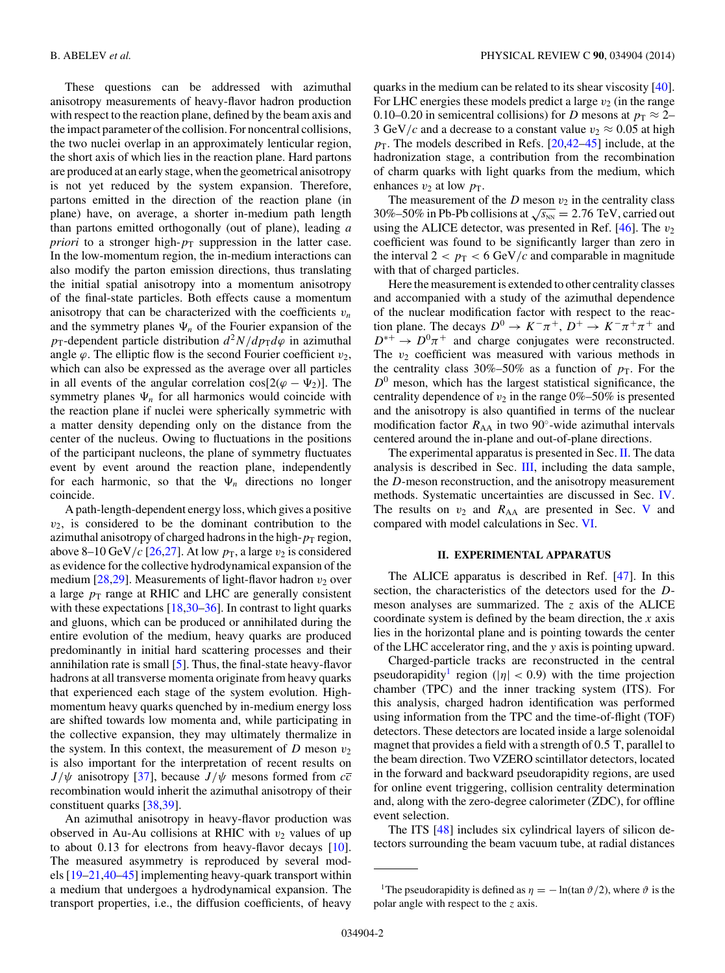These questions can be addressed with azimuthal anisotropy measurements of heavy-flavor hadron production with respect to the reaction plane, defined by the beam axis and the impact parameter of the collision. For noncentral collisions, the two nuclei overlap in an approximately lenticular region, the short axis of which lies in the reaction plane. Hard partons are produced at an early stage, when the geometrical anisotropy is not yet reduced by the system expansion. Therefore, partons emitted in the direction of the reaction plane (in plane) have, on average, a shorter in-medium path length than partons emitted orthogonally (out of plane), leading *a priori* to a stronger high- $p<sub>T</sub>$  suppression in the latter case. In the low-momentum region, the in-medium interactions can also modify the parton emission directions, thus translating the initial spatial anisotropy into a momentum anisotropy of the final-state particles. Both effects cause a momentum anisotropy that can be characterized with the coefficients  $v_n$ and the symmetry planes  $\Psi_n$  of the Fourier expansion of the  $p_T$ -dependent particle distribution  $d^2N/dp_Td\varphi$  in azimuthal angle  $\varphi$ . The elliptic flow is the second Fourier coefficient  $v_2$ , which can also be expressed as the average over all particles in all events of the angular correlation  $cos[2(\varphi - \Psi_2)]$ . The symmetry planes  $\Psi_n$  for all harmonics would coincide with the reaction plane if nuclei were spherically symmetric with a matter density depending only on the distance from the center of the nucleus. Owing to fluctuations in the positions of the participant nucleons, the plane of symmetry fluctuates event by event around the reaction plane, independently for each harmonic, so that the  $\Psi_n$  directions no longer coincide.

A path-length-dependent energy loss, which gives a positive  $v_2$ , is considered to be the dominant contribution to the azimuthal anisotropy of charged hadrons in the high- $p<sub>T</sub>$  region, above 8–10 GeV/c [\[26,27\]](#page-18-0). At low  $p<sub>T</sub>$ , a large  $v<sub>2</sub>$  is considered as evidence for the collective hydrodynamical expansion of the medium [\[28,29\]](#page-18-0). Measurements of light-flavor hadron  $v_2$  over a large  $p_T$  range at RHIC and LHC are generally consistent with these expectations [\[18,30](#page-18-0)[–36\]](#page-19-0). In contrast to light quarks and gluons, which can be produced or annihilated during the entire evolution of the medium, heavy quarks are produced predominantly in initial hard scattering processes and their annihilation rate is small [\[5\]](#page-18-0). Thus, the final-state heavy-flavor hadrons at all transverse momenta originate from heavy quarks that experienced each stage of the system evolution. Highmomentum heavy quarks quenched by in-medium energy loss are shifted towards low momenta and, while participating in the collective expansion, they may ultimately thermalize in the system. In this context, the measurement of D meson  $v_2$ is also important for the interpretation of recent results on  $J/\psi$  anisotropy [\[37\]](#page-19-0), because  $J/\psi$  mesons formed from  $c\bar{c}$ recombination would inherit the azimuthal anisotropy of their constituent quarks [\[38,39\]](#page-19-0).

An azimuthal anisotropy in heavy-flavor production was observed in Au-Au collisions at RHIC with  $v_2$  values of up to about 0.13 for electrons from heavy-flavor decays [\[10\]](#page-18-0). The measured asymmetry is reproduced by several models [\[19–21,](#page-18-0)[40–45\]](#page-19-0) implementing heavy-quark transport within a medium that undergoes a hydrodynamical expansion. The transport properties, i.e., the diffusion coefficients, of heavy

quarks in the medium can be related to its shear viscosity [\[40\]](#page-19-0). For LHC energies these models predict a large  $v_2$  (in the range 0.10–0.20 in semicentral collisions) for D mesons at  $p_T \approx 2$ – 3 GeV/c and a decrease to a constant value  $v_2 \approx 0.05$  at high  $p<sub>T</sub>$ . The models described in Refs. [\[20,](#page-18-0)[42–45\]](#page-19-0) include, at the hadronization stage, a contribution from the recombination of charm quarks with light quarks from the medium, which enhances  $v_2$  at low  $p_T$ .

The measurement of the  $D$  meson  $v_2$  in the centrality class 30%–50% in Pb-Pb collisions at  $\sqrt{s_{NN}}$  = 2.76 TeV, carried out using the ALICE detector, was presented in Ref.  $[46]$ . The  $v_2$ coefficient was found to be significantly larger than zero in the interval  $2 < p_T < 6$  GeV/c and comparable in magnitude with that of charged particles.

Here the measurement is extended to other centrality classes and accompanied with a study of the azimuthal dependence of the nuclear modification factor with respect to the reaction plane. The decays  $D^0 \to K^-\pi^+, D^+ \to K^-\pi^+\pi^+$  and  $D^{*+} \to D^0 \pi^+$  and charge conjugates were reconstructed. The  $v_2$  coefficient was measured with various methods in the centrality class 30%–50% as a function of  $p_T$ . For the  $D<sup>0</sup>$  meson, which has the largest statistical significance, the centrality dependence of  $v_2$  in the range 0%–50% is presented and the anisotropy is also quantified in terms of the nuclear modification factor  $R_{AA}$  in two 90 $\degree$ -wide azimuthal intervals centered around the in-plane and out-of-plane directions.

The experimental apparatus is presented in Sec. II. The data analysis is described in Sec. [III,](#page-2-0) including the data sample, the D-meson reconstruction, and the anisotropy measurement methods. Systematic uncertainties are discussed in Sec. [IV.](#page-10-0) The results on  $v_2$  and  $R_{AA}$  are presented in Sec. [V](#page-12-0) and compared with model calculations in Sec. [VI.](#page-15-0)

## **II. EXPERIMENTAL APPARATUS**

The ALICE apparatus is described in Ref. [\[47\]](#page-19-0). In this section, the characteristics of the detectors used for the Dmeson analyses are summarized. The  $z$  axis of the ALICE coordinate system is defined by the beam direction, the x axis lies in the horizontal plane and is pointing towards the center of the LHC accelerator ring, and the y axis is pointing upward.

Charged-particle tracks are reconstructed in the central pseudorapidity<sup>1</sup> region ( $|\eta| < 0.9$ ) with the time projection chamber (TPC) and the inner tracking system (ITS). For this analysis, charged hadron identification was performed using information from the TPC and the time-of-flight (TOF) detectors. These detectors are located inside a large solenoidal magnet that provides a field with a strength of 0.5 T, parallel to the beam direction. Two VZERO scintillator detectors, located in the forward and backward pseudorapidity regions, are used for online event triggering, collision centrality determination and, along with the zero-degree calorimeter (ZDC), for offline event selection.

The ITS [\[48\]](#page-19-0) includes six cylindrical layers of silicon detectors surrounding the beam vacuum tube, at radial distances

<sup>&</sup>lt;sup>1</sup>The pseudorapidity is defined as  $\eta = -\ln(\tan \vartheta/2)$ , where  $\vartheta$  is the polar angle with respect to the z axis.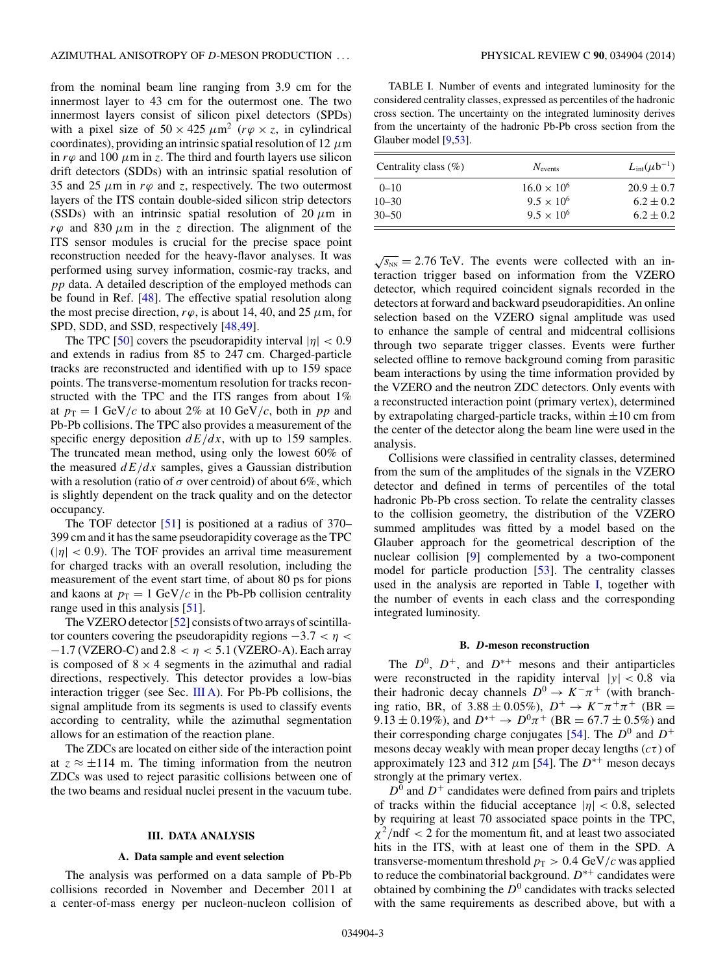<span id="page-2-0"></span>from the nominal beam line ranging from 3.9 cm for the innermost layer to 43 cm for the outermost one. The two innermost layers consist of silicon pixel detectors (SPDs) with a pixel size of  $50 \times 425 \ \mu \text{m}^2$  ( $r\varphi \times z$ , in cylindrical coordinates), providing an intrinsic spatial resolution of 12  $\mu$ m in  $r\varphi$  and 100  $\mu$ m in z. The third and fourth layers use silicon drift detectors (SDDs) with an intrinsic spatial resolution of 35 and 25  $\mu$ m in  $r\varphi$  and z, respectively. The two outermost layers of the ITS contain double-sided silicon strip detectors (SSDs) with an intrinsic spatial resolution of 20  $\mu$ m in  $r\varphi$  and 830  $\mu$ m in the z direction. The alignment of the ITS sensor modules is crucial for the precise space point reconstruction needed for the heavy-flavor analyses. It was performed using survey information, cosmic-ray tracks, and pp data. A detailed description of the employed methods can be found in Ref. [\[48\]](#page-19-0). The effective spatial resolution along the most precise direction,  $r\varphi$ , is about 14, 40, and 25  $\mu$ m, for SPD, SDD, and SSD, respectively [\[48,49\]](#page-19-0).

The TPC [\[50\]](#page-19-0) covers the pseudorapidity interval  $|\eta| < 0.9$ and extends in radius from 85 to 247 cm. Charged-particle tracks are reconstructed and identified with up to 159 space points. The transverse-momentum resolution for tracks reconstructed with the TPC and the ITS ranges from about 1% at  $p_T = 1$  GeV/c to about 2% at 10 GeV/c, both in pp and Pb-Pb collisions. The TPC also provides a measurement of the specific energy deposition  $dE/dx$ , with up to 159 samples. The truncated mean method, using only the lowest 60% of the measured  $dE/dx$  samples, gives a Gaussian distribution with a resolution (ratio of  $\sigma$  over centroid) of about 6%, which is slightly dependent on the track quality and on the detector occupancy.

The TOF detector [\[51\]](#page-19-0) is positioned at a radius of 370– 399 cm and it has the same pseudorapidity coverage as the TPC  $(|\eta| < 0.9)$ . The TOF provides an arrival time measurement for charged tracks with an overall resolution, including the measurement of the event start time, of about 80 ps for pions and kaons at  $p_T = 1$  GeV/c in the Pb-Pb collision centrality range used in this analysis [\[51\]](#page-19-0).

The VZERO detector [\[52\]](#page-19-0) consists of two arrays of scintillator counters covering the pseudorapidity regions  $-3.7 < \eta <$  $-1.7$  (VZERO-C) and 2.8 <  $\eta$  < 5.1 (VZERO-A). Each array is composed of  $8 \times 4$  segments in the azimuthal and radial directions, respectively. This detector provides a low-bias interaction trigger (see Sec.  $III A$ ). For Pb-Pb collisions, the signal amplitude from its segments is used to classify events according to centrality, while the azimuthal segmentation allows for an estimation of the reaction plane.

The ZDCs are located on either side of the interaction point at  $z \approx \pm 114$  m. The timing information from the neutron ZDCs was used to reject parasitic collisions between one of the two beams and residual nuclei present in the vacuum tube.

#### **III. DATA ANALYSIS**

## **A. Data sample and event selection**

The analysis was performed on a data sample of Pb-Pb collisions recorded in November and December 2011 at a center-of-mass energy per nucleon-nucleon collision of

TABLE I. Number of events and integrated luminosity for the considered centrality classes, expressed as percentiles of the hadronic cross section. The uncertainty on the integrated luminosity derives from the uncertainty of the hadronic Pb-Pb cross section from the Glauber model [\[9](#page-18-0)[,53\]](#page-19-0).

| Centrality class $(\% )$ | $N_{\text{events}}$  | $L_{\text{int}}(\mu b^{-1})$ |  |  |
|--------------------------|----------------------|------------------------------|--|--|
| $0 - 10$                 | $16.0 \times 10^{6}$ | $20.9 \pm 0.7$               |  |  |
| $10 - 30$                | $9.5 \times 10^{6}$  | $6.2 \pm 0.2$                |  |  |
| $30 - 50$                | $9.5 \times 10^{6}$  | $6.2 \pm 0.2$                |  |  |

 $\sqrt{s_{NN}}$  = 2.76 TeV. The events were collected with an interaction trigger based on information from the VZERO detector, which required coincident signals recorded in the detectors at forward and backward pseudorapidities. An online selection based on the VZERO signal amplitude was used to enhance the sample of central and midcentral collisions through two separate trigger classes. Events were further selected offline to remove background coming from parasitic beam interactions by using the time information provided by the VZERO and the neutron ZDC detectors. Only events with a reconstructed interaction point (primary vertex), determined by extrapolating charged-particle tracks, within  $\pm 10$  cm from the center of the detector along the beam line were used in the analysis.

Collisions were classified in centrality classes, determined from the sum of the amplitudes of the signals in the VZERO detector and defined in terms of percentiles of the total hadronic Pb-Pb cross section. To relate the centrality classes to the collision geometry, the distribution of the VZERO summed amplitudes was fitted by a model based on the Glauber approach for the geometrical description of the nuclear collision [\[9\]](#page-18-0) complemented by a two-component model for particle production [\[53\]](#page-19-0). The centrality classes used in the analysis are reported in Table I, together with the number of events in each class and the corresponding integrated luminosity.

## **B.** *D***-meson reconstruction**

The  $D^0$ ,  $D^+$ , and  $D^{*+}$  mesons and their antiparticles were reconstructed in the rapidity interval  $|y| < 0.8$  via their hadronic decay channels  $D^0 \to K^-\pi^+$  (with branching ratio, BR, of  $3.88 \pm 0.05\%$ ),  $D^+ \to K^-\pi^+\pi^+$  (BR = 9.13 ± 0.19%), and  $D^{*+} \to D^0 \pi^+$  (BR = 67.7 ± 0.5%) and their corresponding charge conjugates [\[54\]](#page-19-0). The  $D^0$  and  $D^+$ mesons decay weakly with mean proper decay lengths  $(c\tau)$  of approximately 123 and 312  $\mu$ m [\[54\]](#page-19-0). The  $D^{*+}$  meson decays strongly at the primary vertex.

 $D^0$  and  $D^+$  candidates were defined from pairs and triplets of tracks within the fiducial acceptance  $|\eta| < 0.8$ , selected by requiring at least 70 associated space points in the TPC,  $\chi^2$ /ndf < 2 for the momentum fit, and at least two associated hits in the ITS, with at least one of them in the SPD. A transverse-momentum threshold  $p_T > 0.4 \text{ GeV}/c$  was applied to reduce the combinatorial background.  $D^{*+}$  candidates were obtained by combining the  $D^0$  candidates with tracks selected with the same requirements as described above, but with a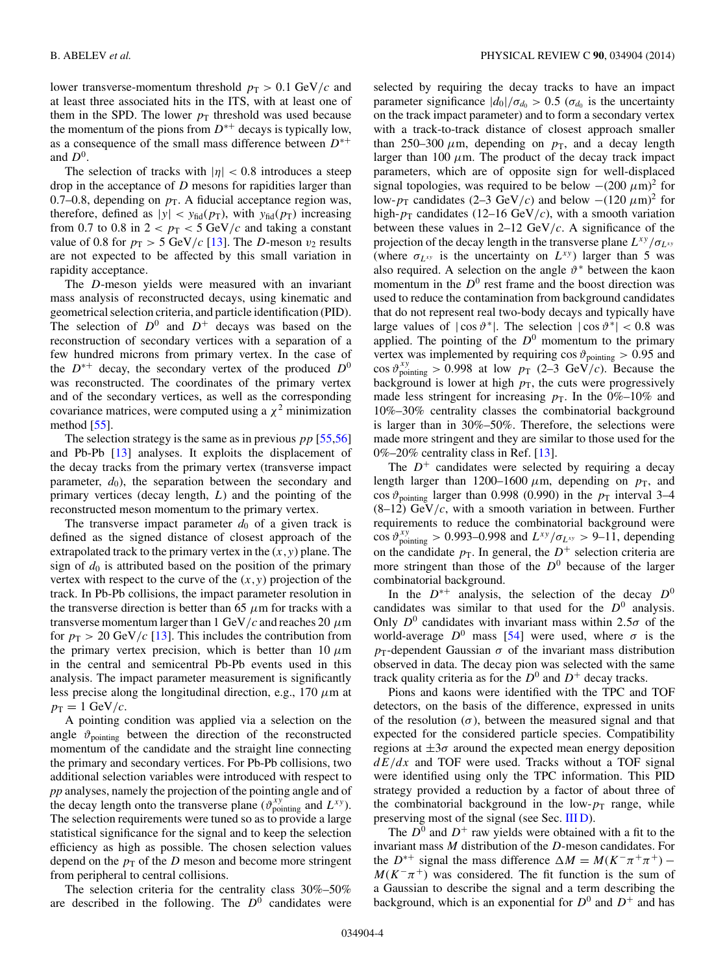lower transverse-momentum threshold  $p_T > 0.1$  GeV/c and at least three associated hits in the ITS, with at least one of them in the SPD. The lower  $p_T$  threshold was used because the momentum of the pions from  $D^{*+}$  decays is typically low, as a consequence of the small mass difference between  $D^{*+}$ and  $D^0$ .

The selection of tracks with  $|\eta| < 0.8$  introduces a steep drop in the acceptance of D mesons for rapidities larger than 0.7–0.8, depending on  $p<sub>T</sub>$ . A fiducial acceptance region was, therefore, defined as  $|y| < y_{\text{fid}}(p_{\text{T}})$ , with  $y_{\text{fid}}(p_{\text{T}})$  increasing from 0.7 to 0.8 in  $2 < p_T < 5$  GeV/c and taking a constant value of 0.8 for  $p_T > 5$  GeV/c [\[13\]](#page-18-0). The D-meson  $v_2$  results are not expected to be affected by this small variation in rapidity acceptance.

The D-meson yields were measured with an invariant mass analysis of reconstructed decays, using kinematic and geometrical selection criteria, and particle identification (PID). The selection of  $D^0$  and  $D^+$  decays was based on the reconstruction of secondary vertices with a separation of a few hundred microns from primary vertex. In the case of the  $D^{*+}$  decay, the secondary vertex of the produced  $D^0$ was reconstructed. The coordinates of the primary vertex and of the secondary vertices, as well as the corresponding covariance matrices, were computed using a  $\chi^2$  minimization method  $[55]$ .

The selection strategy is the same as in previous  $pp$  [\[55,56\]](#page-19-0) and Pb-Pb [\[13\]](#page-18-0) analyses. It exploits the displacement of the decay tracks from the primary vertex (transverse impact parameter,  $d_0$ , the separation between the secondary and primary vertices (decay length,  $L$ ) and the pointing of the reconstructed meson momentum to the primary vertex.

The transverse impact parameter  $d_0$  of a given track is defined as the signed distance of closest approach of the extrapolated track to the primary vertex in the  $(x, y)$  plane. The sign of  $d_0$  is attributed based on the position of the primary vertex with respect to the curve of the  $(x, y)$  projection of the track. In Pb-Pb collisions, the impact parameter resolution in the transverse direction is better than 65  $\mu$ m for tracks with a transverse momentum larger than 1 GeV/c and reaches 20  $\mu$ m for  $p_T > 20 \text{ GeV}/c$  [\[13\]](#page-18-0). This includes the contribution from the primary vertex precision, which is better than 10  $\mu$ m in the central and semicentral Pb-Pb events used in this analysis. The impact parameter measurement is significantly less precise along the longitudinal direction, e.g., 170  $\mu$ m at  $p_T = 1$  GeV/c.

A pointing condition was applied via a selection on the angle  $\vartheta_{\text{pointing}}$  between the direction of the reconstructed momentum of the candidate and the straight line connecting the primary and secondary vertices. For Pb-Pb collisions, two additional selection variables were introduced with respect to *pp* analyses, namely the projection of the pointing angle and of the decay length onto the transverse plane  $(\vartheta_{pointing}^{xy})$  and  $L^{xy}$ ). The selection requirements were tuned so as to provide a large statistical significance for the signal and to keep the selection efficiency as high as possible. The chosen selection values depend on the  $p<sub>T</sub>$  of the D meson and become more stringent from peripheral to central collisions.

The selection criteria for the centrality class 30%–50% are described in the following. The  $D^0$  candidates were

selected by requiring the decay tracks to have an impact parameter significance  $|d_0|/\sigma_{d_0} > 0.5$  ( $\sigma_{d_0}$  is the uncertainty on the track impact parameter) and to form a secondary vertex with a track-to-track distance of closest approach smaller than 250–300  $\mu$ m, depending on  $p_T$ , and a decay length larger than 100  $\mu$ m. The product of the decay track impact parameters, which are of opposite sign for well-displaced signal topologies, was required to be below  $-(200 \ \mu m)^2$  for low- $p_T$  candidates (2–3 GeV/c) and below  $-(120 \ \mu m)^2$  for high- $p_T$  candidates (12–16 GeV/c), with a smooth variation between these values in  $2-12 \text{ GeV}/c$ . A significance of the projection of the decay length in the transverse plane  $L^{xy}/\sigma_{L^{xy}}$ (where  $\sigma_{L^{xy}}$  is the uncertainty on  $L^{xy}$ ) larger than 5 was also required. A selection on the angle  $\vartheta^*$  between the kaon momentum in the  $D^0$  rest frame and the boost direction was used to reduce the contamination from background candidates that do not represent real two-body decays and typically have large values of  $|\cos \theta^*|$ . The selection  $|\cos \theta^*| < 0.8$  was applied. The pointing of the  $D^0$  momentum to the primary vertex was implemented by requiring  $\cos \vartheta_{\text{pointing}} > 0.95$  and cos  $\vartheta_{\text{pointing}}^{xy} > 0.998$  at low  $p_T$  (2–3 GeV/c). Because the background is lower at high  $p<sub>T</sub>$ , the cuts were progressively made less stringent for increasing  $p<sub>T</sub>$ . In the 0%–10% and 10%–30% centrality classes the combinatorial background is larger than in 30%–50%. Therefore, the selections were made more stringent and they are similar to those used for the 0%–20% centrality class in Ref. [\[13\]](#page-18-0).

The  $D^+$  candidates were selected by requiring a decay length larger than 1200–1600  $\mu$ m, depending on  $p_T$ , and cos  $\vartheta_{\text{pointing}}$  larger than 0.998 (0.990) in the  $p_{\text{T}}$  interval 3–4  $(8-12)$  GeV/c, with a smooth variation in between. Further requirements to reduce the combinatorial background were cos  $\vartheta_{\text{pointing}}^{xy} > 0.993 - 0.998$  and  $L^{xy}/\sigma_{L^{xy}} > 9 - 11$ , depending on the candidate  $p<sub>T</sub>$ . In general, the  $D<sup>+</sup>$  selection criteria are more stringent than those of the  $D^0$  because of the larger combinatorial background.

In the  $D^{*+}$  analysis, the selection of the decay  $D^0$ candidates was similar to that used for the  $D^0$  analysis. Only  $D^0$  candidates with invariant mass within 2.5 $\sigma$  of the world-average  $D^0$  mass [\[54\]](#page-19-0) were used, where  $\sigma$  is the  $p_T$ -dependent Gaussian  $\sigma$  of the invariant mass distribution observed in data. The decay pion was selected with the same track quality criteria as for the  $D^0$  and  $D^+$  decay tracks.

Pions and kaons were identified with the TPC and TOF detectors, on the basis of the difference, expressed in units of the resolution  $(\sigma)$ , between the measured signal and that expected for the considered particle species. Compatibility regions at  $\pm 3\sigma$  around the expected mean energy deposition  $dE/dx$  and TOF were used. Tracks without a TOF signal were identified using only the TPC information. This PID strategy provided a reduction by a factor of about three of the combinatorial background in the low- $p_T$  range, while preserving most of the signal (see Sec. [III D\)](#page-7-0).

The  $D^0$  and  $D^+$  raw yields were obtained with a fit to the invariant mass M distribution of the D-meson candidates. For the  $D^{*+}$  signal the mass difference  $\Delta M = M(K^-\pi^+\pi^+)$  –  $M(K^-\pi^+)$  was considered. The fit function is the sum of a Gaussian to describe the signal and a term describing the background, which is an exponential for  $D^0$  and  $D^+$  and has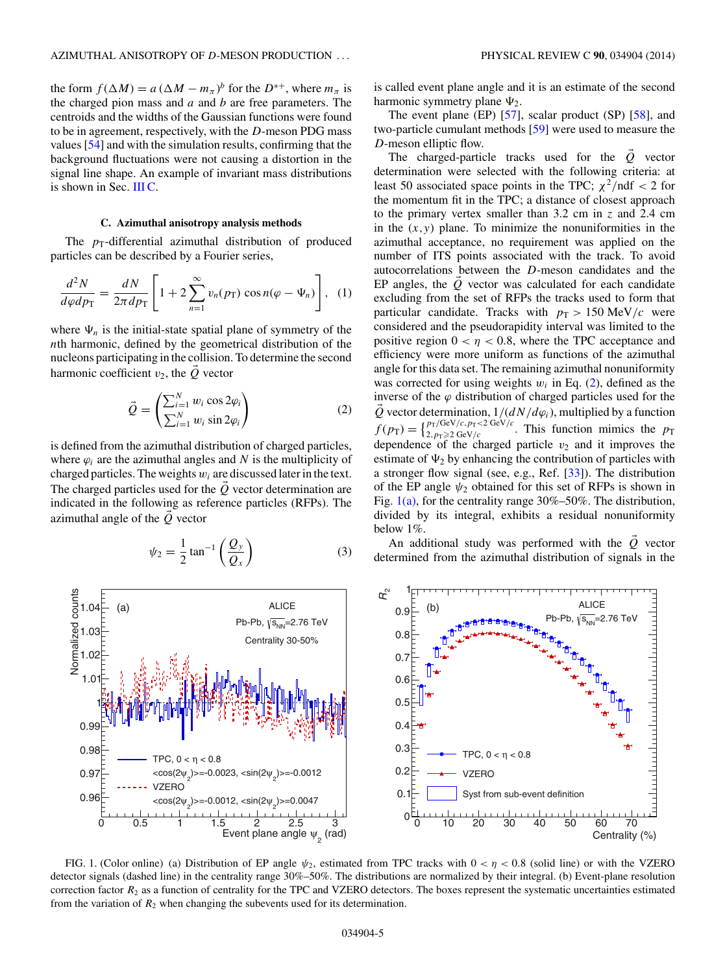<span id="page-4-0"></span>the form  $f(\Delta M) = a (\Delta M - m_{\pi})^b$  for the  $D^{*+}$ , where  $m_{\pi}$  is the charged pion mass and  $a$  and  $b$  are free parameters. The centroids and the widths of the Gaussian functions were found to be in agreement, respectively, with the D-meson PDG mass values [\[54\]](#page-19-0) and with the simulation results, confirming that the background fluctuations were not causing a distortion in the signal line shape. An example of invariant mass distributions is shown in Sec. IIIC.

## **C. Azimuthal anisotropy analysis methods**

The  $p_T$ -differential azimuthal distribution of produced particles can be described by a Fourier series,

$$
\frac{d^2N}{d\varphi dp_{\rm T}} = \frac{dN}{2\pi dp_{\rm T}} \left[ 1 + 2 \sum_{n=1}^{\infty} v_n(p_{\rm T}) \cos n(\varphi - \Psi_n) \right], \tag{1}
$$

where  $\Psi_n$  is the initial-state spatial plane of symmetry of the nth harmonic, defined by the geometrical distribution of the nucleons participating in the collision. To determine the second harmonic coefficient  $v_2$ , the  $\vec{Q}$  vector

$$
\vec{Q} = \begin{pmatrix} \sum_{i=1}^{N} w_i \cos 2\varphi_i \\ \sum_{i=1}^{N} w_i \sin 2\varphi_i \end{pmatrix}
$$
 (2)

is defined from the azimuthal distribution of charged particles, where  $\varphi_i$  are the azimuthal angles and N is the multiplicity of charged particles. The weights  $w_i$  are discussed later in the text. The charged particles used for the  $\hat{Q}$  vector determination are indicated in the following as reference particles (RFPs). The azimuthal angle of the Q vector

$$
\psi_2 = \frac{1}{2} \tan^{-1} \left( \frac{Q_y}{Q_x} \right) \tag{3}
$$

is called event plane angle and it is an estimate of the second harmonic symmetry plane  $\Psi_2$ .

The event plane (EP) [\[57\]](#page-19-0), scalar product (SP) [\[58\]](#page-19-0), and two-particle cumulant methods [\[59\]](#page-19-0) were used to measure the D-meson elliptic flow.

The charged-particle tracks used for the  $\dot{Q}$  vector determination were selected with the following criteria: at least 50 associated space points in the TPC;  $\chi^2$ /ndf < 2 for the momentum fit in the TPC; a distance of closest approach to the primary vertex smaller than 3.2 cm in z and 2.4 cm in the  $(x, y)$  plane. To minimize the nonuniformities in the azimuthal acceptance, no requirement was applied on the number of ITS points associated with the track. To avoid autocorrelations between the D-meson candidates and the EP angles, the  $Q$  vector was calculated for each candidate excluding from the set of RFPs the tracks used to form that particular candidate. Tracks with  $p_T > 150 \text{ MeV}/c$  were considered and the pseudorapidity interval was limited to the positive region  $0 < \eta < 0.8$ , where the TPC acceptance and efficiency were more uniform as functions of the azimuthal angle for this data set. The remaining azimuthal nonuniformity was corrected for using weights  $w_i$  in Eq. (2), defined as the inverse of the  $\varphi$  distribution of charged particles used for the Q vector determination,  $1/(dN/d\varphi_i)$ , multiplied by a function  $f(p_T) = \begin{cases} p_T/\text{GeV}/c, p_T < 2 \text{ GeV}/c \\ 2, p_T \ge 2 \text{ GeV}/c \end{cases}$ . This function mimics the  $p_T$ dependence of the charged particle  $v_2$  and it improves the estimate of  $\Psi_2$  by enhancing the contribution of particles with a stronger flow signal (see, e.g., Ref. [\[33\]](#page-19-0)). The distribution of the EP angle  $\psi_2$  obtained for this set of RFPs is shown in Fig.  $1(a)$ , for the centrality range 30%–50%. The distribution, divided by its integral, exhibits a residual nonuniformity below 1%.

An additional study was performed with the  $Q$  vector determined from the azimuthal distribution of signals in the



FIG. 1. (Color online) (a) Distribution of EP angle  $\psi_2$ , estimated from TPC tracks with  $0 < \eta < 0.8$  (solid line) or with the VZERO detector signals (dashed line) in the centrality range 30%–50%. The distributions are normalized by their integral. (b) Event-plane resolution correction factor  $R_2$  as a function of centrality for the TPC and VZERO detectors. The boxes represent the systematic uncertainties estimated from the variation of  $R_2$  when changing the subevents used for its determination.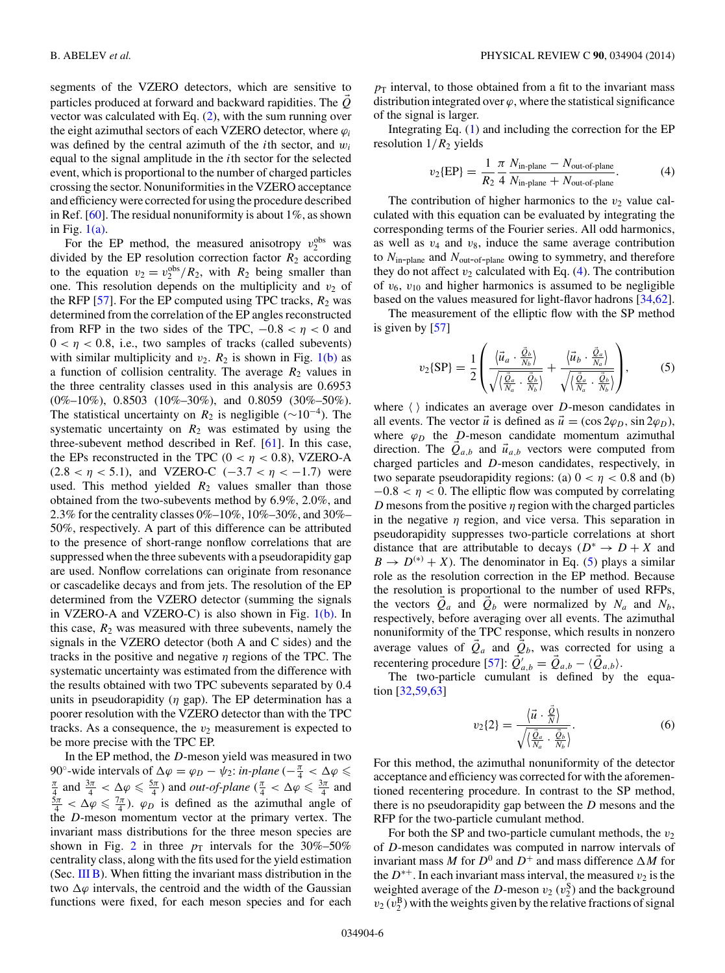<span id="page-5-0"></span>segments of the VZERO detectors, which are sensitive to particles produced at forward and backward rapidities. The  $\hat{Q}$ vector was calculated with Eq. [\(2\)](#page-4-0), with the sum running over the eight azimuthal sectors of each VZERO detector, where  $\varphi_i$ was defined by the central azimuth of the *i*th sector, and  $w_i$ equal to the signal amplitude in the ith sector for the selected event, which is proportional to the number of charged particles crossing the sector. Nonuniformities in the VZERO acceptance and efficiency were corrected for using the procedure described in Ref.  $[60]$ . The residual nonuniformity is about 1%, as shown in Fig. [1\(a\).](#page-4-0)

For the EP method, the measured anisotropy  $v_2^{\text{obs}}$  was divided by the EP resolution correction factor  $R_2$  according to the equation  $v_2 = v_2^{\text{obs}}/R_2$ , with  $R_2$  being smaller than one. This resolution depends on the multiplicity and  $v_2$  of the RFP [\[57\]](#page-19-0). For the EP computed using TPC tracks,  $R_2$  was determined from the correlation of the EP angles reconstructed from RFP in the two sides of the TPC,  $-0.8 < \eta < 0$  and  $0 < \eta < 0.8$ , i.e., two samples of tracks (called subevents) with similar multiplicity and  $v_2$ .  $R_2$  is shown in Fig. [1\(b\)](#page-4-0) as a function of collision centrality. The average  $R_2$  values in the three centrality classes used in this analysis are 0.6953  $(0\% - 10\%)$ , 0.8503  $(10\% - 30\%)$ , and 0.8059  $(30\% - 50\%)$ . The statistical uncertainty on  $R_2$  is negligible ( $\sim 10^{-4}$ ). The systematic uncertainty on  $R_2$  was estimated by using the three-subevent method described in Ref. [\[61\]](#page-19-0). In this case, the EPs reconstructed in the TPC ( $0 < \eta < 0.8$ ), VZERO-A  $(2.8 < \eta < 5.1)$ , and VZERO-C  $(-3.7 < \eta < -1.7)$  were used. This method yielded  $R_2$  values smaller than those obtained from the two-subevents method by 6.9%, 2.0%, and 2.3% for the centrality classes 0%–10%, 10%–30%, and 30%– 50%, respectively. A part of this difference can be attributed to the presence of short-range nonflow correlations that are suppressed when the three subevents with a pseudorapidity gap are used. Nonflow correlations can originate from resonance or cascadelike decays and from jets. The resolution of the EP determined from the VZERO detector (summing the signals in VZERO-A and VZERO-C) is also shown in Fig.  $1(b)$ . In this case,  $R_2$  was measured with three subevents, namely the signals in the VZERO detector (both A and C sides) and the tracks in the positive and negative  $\eta$  regions of the TPC. The systematic uncertainty was estimated from the difference with the results obtained with two TPC subevents separated by 0.4 units in pseudorapidity  $(\eta$  gap). The EP determination has a poorer resolution with the VZERO detector than with the TPC tracks. As a consequence, the  $v_2$  measurement is expected to be more precise with the TPC EP.

In the EP method, the D-meson yield was measured in two 90°-wide intervals of  $\Delta \varphi = \varphi_D - \psi_2$ : *in-plane*  $\left(-\frac{\pi}{4} < \Delta \varphi \leq \pi \right)$  $\frac{\pi}{4}$  and  $\frac{3\pi}{4} < \Delta \varphi \leq \frac{5\pi}{4}$ ) and *out-of-plane* ( $\frac{\pi}{4} < \Delta \varphi \leq \frac{3\pi}{4}$  and  $\frac{5\pi}{4} < \Delta \varphi \leq \frac{7\pi}{4}$ .  $\varphi_D$  is defined as the azimuthal angle of the D-meson momentum vector at the primary vertex. The invariant mass distributions for the three meson species are shown in Fig. [2](#page-6-0) in three  $p_T$  intervals for the 30%–50% centrality class, along with the fits used for the yield estimation (Sec.  $III$  B). When fitting the invariant mass distribution in the two  $\Delta\varphi$  intervals, the centroid and the width of the Gaussian functions were fixed, for each meson species and for each

 $p_T$  interval, to those obtained from a fit to the invariant mass distribution integrated over  $\varphi$ , where the statistical significance of the signal is larger.

Integrating Eq.  $(1)$  and including the correction for the EP resolution  $1/R<sub>2</sub>$  yields

$$
v_2\text{EPP} = \frac{1}{R_2} \frac{\pi}{4} \frac{N_{\text{in-plane}} - N_{\text{out-of-plane}}}{N_{\text{in-plane}} + N_{\text{out-of-plane}}}.
$$
 (4)

The contribution of higher harmonics to the  $v_2$  value calculated with this equation can be evaluated by integrating the corresponding terms of the Fourier series. All odd harmonics, as well as  $v_4$  and  $v_8$ , induce the same average contribution to  $N_{\text{in-plane}}$  and  $N_{\text{out-of-plane}}$  owing to symmetry, and therefore they do not affect  $v_2$  calculated with Eq. (4). The contribution of  $v_6$ ,  $v_{10}$  and higher harmonics is assumed to be negligible based on the values measured for light-flavor hadrons [\[34,62\]](#page-19-0).

The measurement of the elliptic flow with the SP method is given by [\[57\]](#page-19-0)

$$
v_2\{\text{SP}\} = \frac{1}{2} \left( \frac{\langle \vec{u}_a \cdot \frac{\vec{Q}_b}{N_b} \rangle}{\sqrt{\langle \frac{\vec{Q}_a}{N_a} \cdot \frac{\vec{Q}_b}{N_b} \rangle}} + \frac{\langle \vec{u}_b \cdot \frac{\vec{Q}_a}{N_a} \rangle}{\sqrt{\langle \frac{\vec{Q}_a}{N_a} \cdot \frac{\vec{Q}_b}{N_b} \rangle}} \right),\tag{5}
$$

where  $\langle \rangle$  indicates an average over D-meson candidates in all events. The vector  $\vec{u}$  is defined as  $\vec{u} = (\cos 2\varphi_D, \sin 2\varphi_D)$ , where  $\varphi_D$  the D-meson candidate momentum azimuthal direction. The  $Q_{a,b}$  and  $\vec{u}_{a,b}$  vectors were computed from charged particles and D-meson candidates, respectively, in two separate pseudorapidity regions: (a)  $0 < \eta < 0.8$  and (b)  $-0.8 < \eta < 0$ . The elliptic flow was computed by correlating D mesons from the positive  $\eta$  region with the charged particles in the negative  $\eta$  region, and vice versa. This separation in pseudorapidity suppresses two-particle correlations at short distance that are attributable to decays ( $D^* \rightarrow D + X$  and  $B \to D^{(*)} + X$ ). The denominator in Eq. (5) plays a similar role as the resolution correction in the EP method. Because the resolution is proportional to the number of used RFPs, the vectors  $\dot{Q}_a$  and  $\dot{Q}_b$  were normalized by  $N_a$  and  $N_b$ , respectively, before averaging over all events. The azimuthal nonuniformity of the TPC response, which results in nonzero average values of  $\overline{Q}_a$  and  $\overline{Q}_b$ , was corrected for using a recentering procedure [\[57\]](#page-19-0):  $\vec{Q}_{a,b}' = \vec{Q}_{a,b} - \langle \vec{Q}_{a,b} \rangle$ .

The two-particle cumulant is defined by the equation [\[32,](#page-18-0)[59,63\]](#page-19-0)

$$
v_2\{2\} = \frac{\langle \vec{u} \cdot \frac{\vec{Q}}{N} \rangle}{\sqrt{\langle \frac{\vec{Q}_a}{N_a} \cdot \frac{\vec{Q}_b}{N_b} \rangle}}.
$$
(6)

For this method, the azimuthal nonuniformity of the detector acceptance and efficiency was corrected for with the aforementioned recentering procedure. In contrast to the SP method, there is no pseudorapidity gap between the  $D$  mesons and the RFP for the two-particle cumulant method.

For both the SP and two-particle cumulant methods, the  $v_2$ of D-meson candidates was computed in narrow intervals of invariant mass M for  $D^0$  and  $D^+$  and mass difference  $\Delta M$  for the  $D^{*+}$ . In each invariant mass interval, the measured  $v_2$  is the weighted average of the D-meson  $v_2(v_2^S)$  and the background  $v_2(v_2^{\text{B}})$  with the weights given by the relative fractions of signal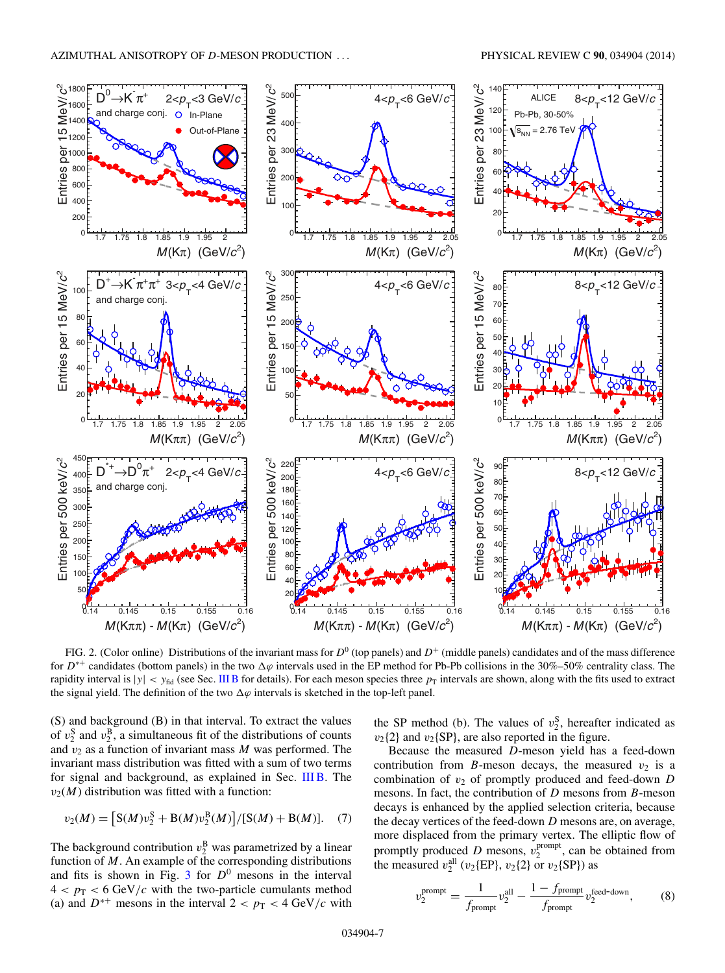<span id="page-6-0"></span>

FIG. 2. (Color online) Distributions of the invariant mass for  $D^0$  (top panels) and  $D^+$  (middle panels) candidates and of the mass difference for  $D^{*+}$  candidates (bottom panels) in the two  $\Delta\varphi$  intervals used in the EP method for Pb-Pb collisions in the 30%–50% centrality class. The rapidity interval is  $|y| < y_{\text{fid}}$  (see Sec. [III B](#page-2-0) for details). For each meson species three  $p_{\text{T}}$  intervals are shown, along with the fits used to extract the signal yield. The definition of the two  $\Delta\varphi$  intervals is sketched in the top-left panel.

(S) and background (B) in that interval. To extract the values of  $v_2^S$  and  $v_2^B$ , a simultaneous fit of the distributions of counts and  $v_2$  as a function of invariant mass M was performed. The invariant mass distribution was fitted with a sum of two terms for signal and background, as explained in Sec. [III B.](#page-2-0) The  $v_2(M)$  distribution was fitted with a function:

$$
v_2(M) = [S(M)v_2^S + B(M)v_2^B(M)]/[S(M) + B(M)].
$$
 (7)

The background contribution  $v_2^B$  was parametrized by a linear function of  $M$ . An example of the corresponding distributions and fits is shown in Fig. [3](#page-7-0) for  $D^0$  mesons in the interval  $4 < p_T < 6$  GeV/c with the two-particle cumulants method (a) and  $D^{*+}$  mesons in the interval  $2 < p_T < 4$  GeV/c with

the SP method (b). The values of  $v_2^S$ , hereafter indicated as  $v_2$ {2} and  $v_2$ {SP}, are also reported in the figure.

Because the measured D-meson yield has a feed-down contribution from B-meson decays, the measured  $v_2$  is a combination of  $v_2$  of promptly produced and feed-down  $D$ mesons. In fact, the contribution of  $D$  mesons from  $B$ -meson decays is enhanced by the applied selection criteria, because the decay vertices of the feed-down D mesons are, on average, more displaced from the primary vertex. The elliptic flow of promptly produced D mesons,  $v_2^{\text{prompt}}$ , can be obtained from the measured  $v_2^{\text{all}}$  ( $v_2$ {EP},  $v_2$ {2} or  $v_2$ {SP}) as

$$
v_2^{\text{prompt}} = \frac{1}{f_{\text{prompt}}} v_2^{\text{all}} - \frac{1 - f_{\text{prompt}}}{f_{\text{prompt}}} v_2^{\text{feed-down}}, \tag{8}
$$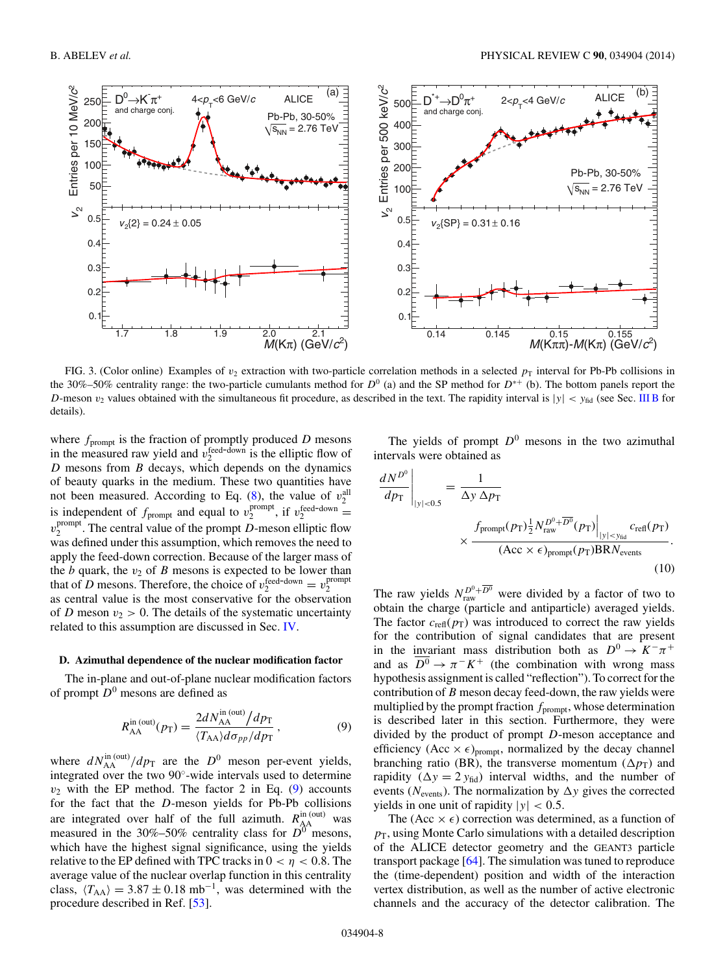<span id="page-7-0"></span>

FIG. 3. (Color online) Examples of  $v_2$  extraction with two-particle correlation methods in a selected  $p_T$  interval for Pb-Pb collisions in the 30%–50% centrality range: the two-particle cumulants method for  $D^0$  (a) and the SP method for  $D^{*+}$  (b). The bottom panels report the D-meson  $v_2$  values obtained with the simultaneous fit procedure, as described in the text. The rapidity interval is  $|y| < y_{\text{fid}}$  (see Sec. [III B](#page-2-0) for details).

where  $f_{\text{prompt}}$  is the fraction of promptly produced  $D$  mesons in the measured raw yield and  $v_2^{\text{feed-down}}$  is the elliptic flow of  $D$  mesons from  $B$  decays, which depends on the dynamics of beauty quarks in the medium. These two quantities have not been measured. According to Eq. [\(8\)](#page-6-0), the value of  $v_2^{\text{all}}$ is independent of  $f_{\text{prompt}}$  and equal to  $v_2^{\text{prompt}}$ , if  $v_2^{\text{feed-down}}$  $v_2^{\text{prompt}}$ . The central value of the prompt D-meson elliptic flow was defined under this assumption, which removes the need to apply the feed-down correction. Because of the larger mass of the  $b$  quark, the  $v_2$  of  $B$  mesons is expected to be lower than that of D mesons. Therefore, the choice of  $v_2^{\text{feed-down}} = v_2^{\text{prompt}}$ as central value is the most conservative for the observation of D meson  $v_2 > 0$ . The details of the systematic uncertainty related to this assumption are discussed in Sec. [IV.](#page-10-0)

#### **D. Azimuthal dependence of the nuclear modification factor**

The in-plane and out-of-plane nuclear modification factors of prompt  $D^0$  mesons are defined as

$$
R_{\rm AA}^{\rm in\, (out)}(p_{\rm T}) = \frac{2dN_{\rm AA}^{\rm in\, (out)}}{\langle T_{\rm AA}\rangle d\sigma_{pp}/dp_{\rm T}},\tag{9}
$$

where  $dN_{\text{AA}}^{\text{in (out)}}/dp_{\text{T}}$  are the  $D^0$  meson per-event yields, integrated over the two 90◦-wide intervals used to determine  $v_2$  with the EP method. The factor 2 in Eq. (9) accounts for the fact that the D-meson yields for Pb-Pb collisions are integrated over half of the full azimuth.  $R_{AA}^{in (out)}$  was measured in the 30%–50% centrality class for  $D^0$  mesons, which have the highest signal significance, using the yields relative to the EP defined with TPC tracks in  $0 < \eta < 0.8$ . The average value of the nuclear overlap function in this centrality class,  $\langle T_{AA} \rangle = 3.87 \pm 0.18 \text{ mb}^{-1}$ , was determined with the procedure described in Ref. [\[53\]](#page-19-0).

The yields of prompt  $D^0$  mesons in the two azimuthal intervals were obtained as

$$
\frac{dN^{D^0}}{dp_T}\Big|_{|y|<0.5} = \frac{1}{\Delta y \,\Delta p_T}
$$
\n
$$
\times \frac{f_{\text{prompt}}(p_T) \frac{1}{2} N_{\text{raw}}^{D^0 + \overline{D^0}}(p_T) \Big|_{|y|
$$

The raw yields  $N_{\text{raw}}^{D^0 + \overline{D^0}}$  were divided by a factor of two to obtain the charge (particle and antiparticle) averaged yields. The factor  $c_{\text{refl}}(p_{\text{T}})$  was introduced to correct the raw yields for the contribution of signal candidates that are present in the invariant mass distribution both as  $D^0 \to K^-\pi^+$ and as  $\overline{D^0}$  →  $\pi^- K^+$  (the combination with wrong mass hypothesis assignment is called "reflection"). To correct for the contribution of B meson decay feed-down, the raw yields were multiplied by the prompt fraction  $f_{\text{prompt}}$ , whose determination is described later in this section. Furthermore, they were divided by the product of prompt D-meson acceptance and efficiency (Acc  $\times \epsilon$ )<sub>prompt</sub>, normalized by the decay channel branching ratio (BR), the transverse momentum ( $\Delta p_T$ ) and rapidity ( $\Delta y = 2 y_{\text{fid}}$ ) interval widths, and the number of events ( $N_{\text{events}}$ ). The normalization by  $\Delta y$  gives the corrected yields in one unit of rapidity  $|y| < 0.5$ .

The (Acc  $\times \epsilon$ ) correction was determined, as a function of  $p<sub>T</sub>$ , using Monte Carlo simulations with a detailed description of the ALICE detector geometry and the GEANT3 particle transport package [\[64\]](#page-19-0). The simulation was tuned to reproduce the (time-dependent) position and width of the interaction vertex distribution, as well as the number of active electronic channels and the accuracy of the detector calibration. The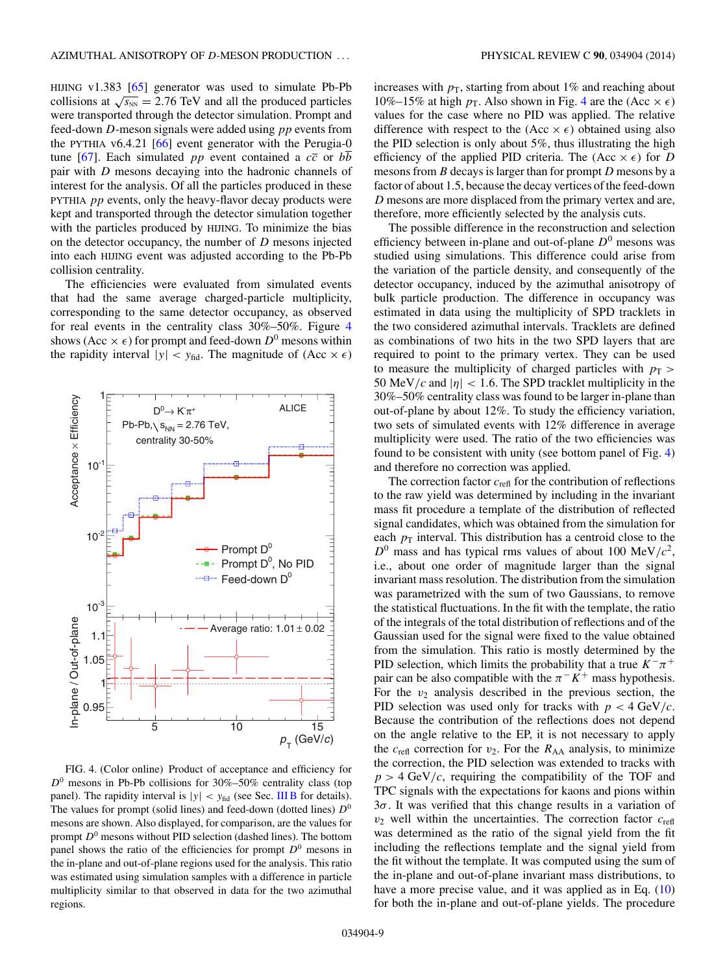<span id="page-8-0"></span>HIJING v1.383 [\[65\]](#page-19-0) generator was used to simulate Pb-Pb collisions at  $\sqrt{s_{NN}}$  = 2.76 TeV and all the produced particles were transported through the detector simulation. Prompt and feed-down D-meson signals were added using pp events from the PYTHIA v6.4.21 [\[66\]](#page-19-0) event generator with the Perugia-0 tune [\[67\]](#page-19-0). Each simulated *pp* event contained a  $c\bar{c}$  or *bb* pair with D mesons decaying into the hadronic channels of interest for the analysis. Of all the particles produced in these PYTHIA pp events, only the heavy-flavor decay products were kept and transported through the detector simulation together with the particles produced by HIJING. To minimize the bias on the detector occupancy, the number of  $D$  mesons injected into each HIJING event was adjusted according to the Pb-Pb collision centrality.

The efficiencies were evaluated from simulated events that had the same average charged-particle multiplicity, corresponding to the same detector occupancy, as observed for real events in the centrality class 30%–50%. Figure 4 shows (Acc  $\times \epsilon$ ) for prompt and feed-down  $D^0$  mesons within the rapidity interval  $|y| < y_{\text{fid}}$ . The magnitude of  $(\text{Acc} \times \epsilon)$ 



FIG. 4. (Color online) Product of acceptance and efficiency for  $D^0$  mesons in Pb-Pb collisions for 30%–50% centrality class (top panel). The rapidity interval is  $|y| < y_{\text{fid}}$  (see Sec. [III B](#page-2-0) for details). The values for prompt (solid lines) and feed-down (dotted lines)  $D^0$ mesons are shown. Also displayed, for comparison, are the values for prompt  $D^0$  mesons without PID selection (dashed lines). The bottom panel shows the ratio of the efficiencies for prompt  $D^0$  mesons in the in-plane and out-of-plane regions used for the analysis. This ratio was estimated using simulation samples with a difference in particle multiplicity similar to that observed in data for the two azimuthal regions.

increases with  $p<sub>T</sub>$ , starting from about 1% and reaching about 10%–15% at high  $p_T$ . Also shown in Fig. 4 are the (Acc  $\times \epsilon$ ) values for the case where no PID was applied. The relative difference with respect to the  $(Acc \times \epsilon)$  obtained using also the PID selection is only about 5%, thus illustrating the high efficiency of the applied PID criteria. The (Acc  $\times \epsilon$ ) for D mesons from B decays is larger than for prompt D mesons by a factor of about 1.5, because the decay vertices of the feed-down D mesons are more displaced from the primary vertex and are, therefore, more efficiently selected by the analysis cuts.

The possible difference in the reconstruction and selection efficiency between in-plane and out-of-plane  $D^0$  mesons was studied using simulations. This difference could arise from the variation of the particle density, and consequently of the detector occupancy, induced by the azimuthal anisotropy of bulk particle production. The difference in occupancy was estimated in data using the multiplicity of SPD tracklets in the two considered azimuthal intervals. Tracklets are defined as combinations of two hits in the two SPD layers that are required to point to the primary vertex. They can be used to measure the multiplicity of charged particles with  $p_T$  > 50 MeV/c and  $|\eta|$  < 1.6. The SPD tracklet multiplicity in the 30%–50% centrality class was found to be larger in-plane than out-of-plane by about 12%. To study the efficiency variation, two sets of simulated events with 12% difference in average multiplicity were used. The ratio of the two efficiencies was found to be consistent with unity (see bottom panel of Fig. 4) and therefore no correction was applied.

The correction factor  $c_{\text{refl}}$  for the contribution of reflections to the raw yield was determined by including in the invariant mass fit procedure a template of the distribution of reflected signal candidates, which was obtained from the simulation for each  $p<sub>T</sub>$  interval. This distribution has a centroid close to the  $D^0$  mass and has typical rms values of about 100 MeV/ $c^2$ , i.e., about one order of magnitude larger than the signal invariant mass resolution. The distribution from the simulation was parametrized with the sum of two Gaussians, to remove the statistical fluctuations. In the fit with the template, the ratio of the integrals of the total distribution of reflections and of the Gaussian used for the signal were fixed to the value obtained from the simulation. This ratio is mostly determined by the PID selection, which limits the probability that a true  $K^-\pi^+$ pair can be also compatible with the  $\pi^- K^+$  mass hypothesis. For the  $v_2$  analysis described in the previous section, the PID selection was used only for tracks with  $p < 4 \text{ GeV}/c$ . Because the contribution of the reflections does not depend on the angle relative to the EP, it is not necessary to apply the  $c_{\text{refl}}$  correction for  $v_2$ . For the  $R_{AA}$  analysis, to minimize the correction, the PID selection was extended to tracks with  $p > 4$  GeV/c, requiring the compatibility of the TOF and TPC signals with the expectations for kaons and pions within  $3\sigma$ . It was verified that this change results in a variation of  $v_2$  well within the uncertainties. The correction factor  $c_{refl}$ was determined as the ratio of the signal yield from the fit including the reflections template and the signal yield from the fit without the template. It was computed using the sum of the in-plane and out-of-plane invariant mass distributions, to have a more precise value, and it was applied as in Eq. [\(10\)](#page-7-0) for both the in-plane and out-of-plane yields. The procedure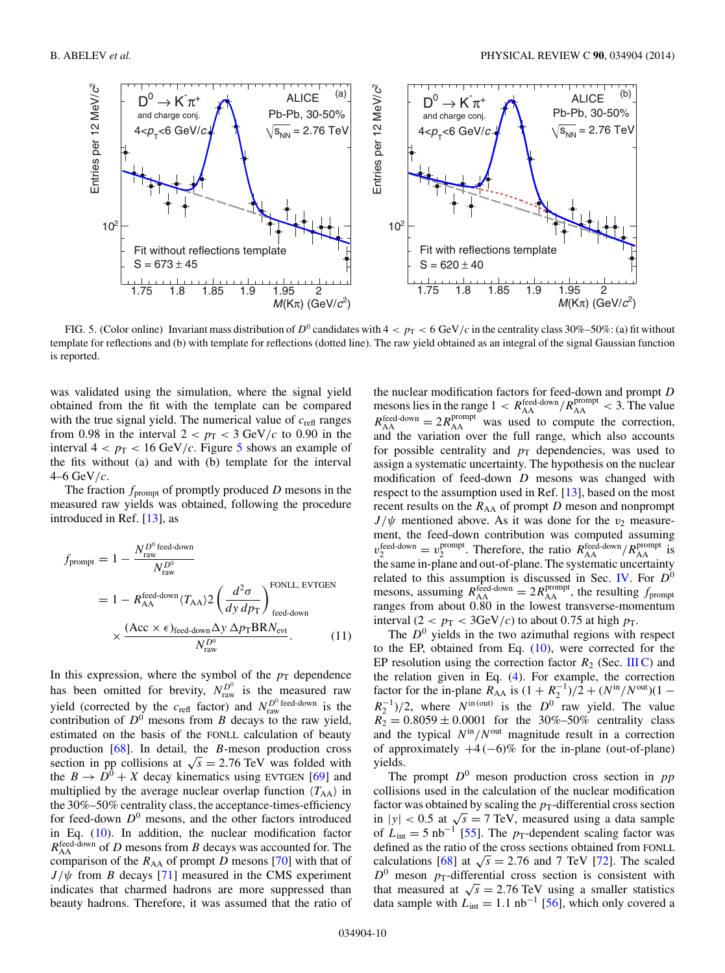

FIG. 5. (Color online) Invariant mass distribution of  $D^0$  candidates with  $4 < p_T < 6$  GeV/c in the centrality class 30%–50%: (a) fit without template for reflections and (b) with template for reflections (dotted line). The raw yield obtained as an integral of the signal Gaussian function is reported.

was validated using the simulation, where the signal yield obtained from the fit with the template can be compared with the true signal yield. The numerical value of  $c_{\text{refl}}$  ranges from 0.98 in the interval  $2 < p_T < 3$  GeV/c to 0.90 in the interval  $4 < p_T < 16$  GeV/c. Figure 5 shows an example of the fits without (a) and with (b) template for the interval  $4-6$  GeV/c.

The fraction  $f_{\text{prompt}}$  of promptly produced D mesons in the measured raw yields was obtained, following the procedure introduced in Ref. [\[13\]](#page-18-0), as

$$
f_{\text{prompt}} = 1 - \frac{N_{\text{raw}}^{D^0 \text{ feed-down}}}{N_{\text{raw}}^{D^0}}
$$
  
= 1 - R\_{\text{AA}}^{\text{feed-down}} (T\_{\text{AA}}) 2 \left(\frac{d^2 \sigma}{dy \, dp\_{\text{T}}}\right)\_{\text{feed-down}}^{\text{FONLL, EVTGEN}}  
\times \frac{(\text{Acc} \times \epsilon)\_{\text{feed-down}} \Delta y \, \Delta p\_{\text{T}} \text{BR} N\_{\text{evt}}}{N\_{\text{raw}}^D}. (11)

In this expression, where the symbol of the  $p_T$  dependence has been omitted for brevity,  $N_{\text{raw}}^{D^0}$  is the measured raw yield (corrected by the  $c_{\text{refl}}$  factor) and  $N_{\text{raw}}^{D^0 \text{ feed-down}}$  is the contribution of  $D^0$  mesons from B decays to the raw yield, estimated on the basis of the FONLL calculation of beauty production [\[68\]](#page-19-0). In detail, the B-meson production cross section in pp collisions at  $\sqrt{s} = 2.76$  TeV was folded with the  $B \to D^0 + X$  decay kinematics using EVTGEN [\[69\]](#page-19-0) and multiplied by the average nuclear overlap function  $\langle T_{AA} \rangle$  in the 30%–50% centrality class, the acceptance-times-efficiency for feed-down  $D^0$  mesons, and the other factors introduced in Eq. [\(10\)](#page-7-0). In addition, the nuclear modification factor  $R_{\rm AA}^{\rm feed-down}$  of D mesons from B decays was accounted for. The comparison of the  $R_{AA}$  of prompt D mesons [\[70\]](#page-19-0) with that of  $J/\psi$  from B decays [\[71\]](#page-19-0) measured in the CMS experiment indicates that charmed hadrons are more suppressed than beauty hadrons. Therefore, it was assumed that the ratio of

the nuclear modification factors for feed-down and prompt D mesons lies in the range  $1 < R_{\rm AA}^{\rm feed-down} / R_{\rm AA}^{\rm prompt} < 3$ . The value  $R_{\rm AA}^{\rm feed-down} = 2R_{\rm AA}^{\rm prompt}$  was used to compute the correction, and the variation over the full range, which also accounts for possible centrality and  $p<sub>T</sub>$  dependencies, was used to assign a systematic uncertainty. The hypothesis on the nuclear modification of feed-down  $D$  mesons was changed with respect to the assumption used in Ref. [\[13\]](#page-18-0), based on the most recent results on the  $R_{AA}$  of prompt  $D$  meson and nonprompt  $J/\psi$  mentioned above. As it was done for the  $v_2$  measurement, the feed-down contribution was computed assuming  $v_2^{\text{feed-down}} = v_2^{\text{prompt}}$ . Therefore, the ratio  $R_{\text{AA}}^{\text{feed-down}} / R_{\text{AA}}^{\text{prompt}}$  is the same in-plane and out-of-plane. The systematic uncertainty related to this assumption is discussed in Sec. [IV.](#page-10-0) For  $D^0$ mesons, assuming  $R_{AA}^{feed-down} = 2R_{AA}^{prompt}$ , the resulting  $f_{prompt}$ ranges from about 0.80 in the lowest transverse-momentum interval (2 <  $p_T$  < 3GeV/c) to about 0.75 at high  $p_T$ .

The  $D^0$  yields in the two azimuthal regions with respect to the EP, obtained from Eq. [\(10\)](#page-7-0), were corrected for the EP resolution using the correction factor  $R_2$  (Sec. [III C\)](#page-4-0) and the relation given in Eq. [\(4\)](#page-5-0). For example, the correction factor for the in-plane  $R_{AA}$  is  $(1 + R_2^{-1})/2 + (N^{\text{in}}/N^{\text{out}})(1 R_2^{-1}$ )/2, where  $N^{\text{in (out)}}$  is the  $D^0$  raw yield. The value  $R_2 = 0.8059 \pm 0.0001$  for the 30%–50% centrality class and the typical  $N^{\text{in}}/N^{\text{out}}$  magnitude result in a correction of approximately  $+4$  (−6)% for the in-plane (out-of-plane) yields.

The prompt  $D^0$  meson production cross section in pp collisions used in the calculation of the nuclear modification factor was obtained by scaling the  $p_T$ -differential cross section in  $|y| < 0.5$  at  $\sqrt{s} = 7$  TeV, measured using a data sample of  $L_{\text{int}} = 5 \text{ nb}^{-1}$  [\[55\]](#page-19-0). The p<sub>T</sub>-dependent scaling factor was defined as the ratio of the cross sections obtained from FONLL calculations [\[68\]](#page-19-0) at  $\sqrt{s} = 2.76$  and 7 TeV [\[72\]](#page-19-0). The scaled  $D^0$  meson  $p_T$ -differential cross section is consistent with that measured at  $\sqrt{s} = 2.76$  TeV using a smaller statistics data sample with  $L_{\text{int}} = 1.1 \text{ nb}^{-1}$  [\[56\]](#page-19-0), which only covered a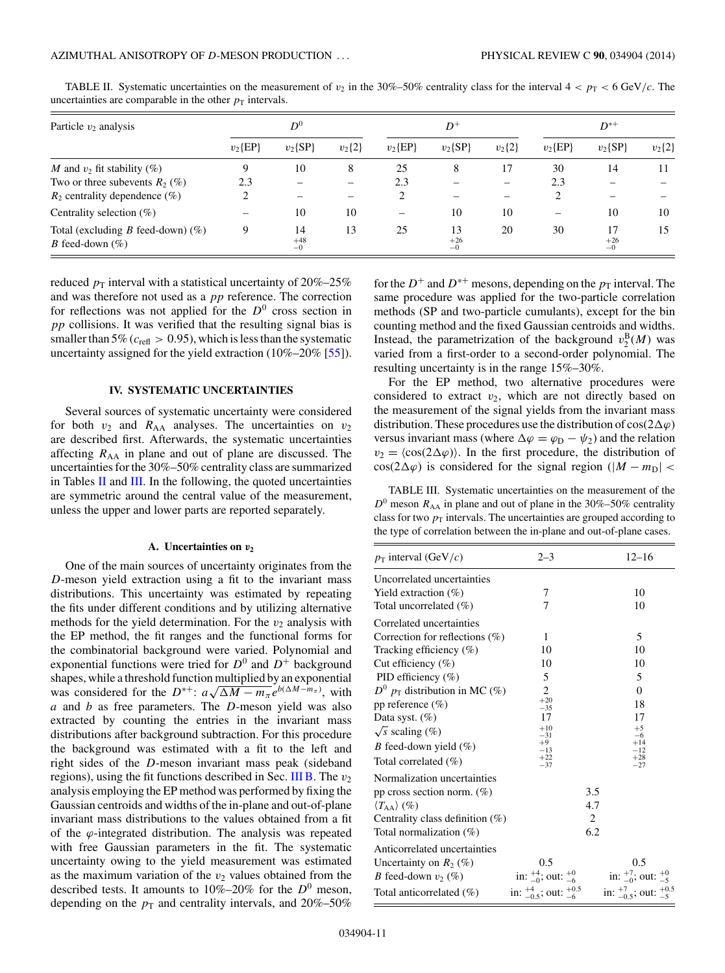| Particle $v_2$ analysis                                           | $D^0$       |                     |            | $D^+$                    |                     |            | $D^{*+}$                 |                     |            |
|-------------------------------------------------------------------|-------------|---------------------|------------|--------------------------|---------------------|------------|--------------------------|---------------------|------------|
|                                                                   | $v_2$ {EP}  | $v_2$ {SP}          | $v_2\{2\}$ | $v_2$ {EP}               | $v_2$ {SP}          | $v_2\{2\}$ | $v_2$ {EP}               | $v_2$ {SP}          | $v_2\{2\}$ |
| M and $v_2$ fit stability (%)                                     |             | 10                  | 8          | 25                       | 8                   | 17         | 30                       | 14                  | 11         |
| Two or three subevents $R_2$ (%)                                  | 2.3         |                     |            | 2.3                      |                     |            | 2.3                      |                     |            |
| $R_2$ centrality dependence $(\%)$                                |             |                     |            | 2                        |                     |            | 2                        |                     |            |
| Centrality selection $(\% )$                                      |             | 10                  | 10         | $\overline{\phantom{0}}$ | 10                  | 10         | $\overline{\phantom{0}}$ | 10                  | 10         |
| Total (excluding B feed-down) $(\%)$<br><i>B</i> feed-down $(\%)$ | $\mathbf Q$ | 14<br>$+48$<br>$-0$ | 13         | 25                       | 13<br>$+26$<br>$-0$ | 20         | 30                       | 17<br>$+26$<br>$-0$ | 15         |

<span id="page-10-0"></span>TABLE II. Systematic uncertainties on the measurement of  $v_2$  in the 30%–50% centrality class for the interval  $4 < p_T < 6$  GeV/c. The uncertainties are comparable in the other  $p<sub>T</sub>$  intervals.

reduced  $p_T$  interval with a statistical uncertainty of 20%–25% and was therefore not used as a pp reference. The correction for reflections was not applied for the  $D^0$  cross section in pp collisions. It was verified that the resulting signal bias is smaller than 5% ( $c_{\text{refl}} > 0.95$ ), which is less than the systematic uncertainty assigned for the yield extraction (10%–20% [\[55\]](#page-19-0)).

## **IV. SYSTEMATIC UNCERTAINTIES**

Several sources of systematic uncertainty were considered for both  $v_2$  and  $R_{AA}$  analyses. The uncertainties on  $v_2$ are described first. Afterwards, the systematic uncertainties affecting  $R_{AA}$  in plane and out of plane are discussed. The uncertainties for the 30%–50% centrality class are summarized in Tables II and III. In the following, the quoted uncertainties are symmetric around the central value of the measurement, unless the upper and lower parts are reported separately.

#### **A. Uncertainties on** *v***<sup>2</sup>**

One of the main sources of uncertainty originates from the D-meson yield extraction using a fit to the invariant mass distributions. This uncertainty was estimated by repeating the fits under different conditions and by utilizing alternative methods for the yield determination. For the  $v_2$  analysis with the EP method, the fit ranges and the functional forms for the combinatorial background were varied. Polynomial and exponential functions were tried for  $D^0$  and  $D^+$  background shapes, while a threshold function multiplied by an exponential shapes, while a threshold function multiplied by an exponential<br>was considered for the  $D^{*+}$ :  $a\sqrt{\Delta M - m_{\pi}}e^{b(\Delta M - m_{\pi})}$ , with  $a$  and  $b$  as free parameters. The  $D$ -meson yield was also extracted by counting the entries in the invariant mass distributions after background subtraction. For this procedure the background was estimated with a fit to the left and right sides of the D-meson invariant mass peak (sideband regions), using the fit functions described in Sec. [III B.](#page-2-0) The  $v_2$ analysis employing the EP method was performed by fixing the Gaussian centroids and widths of the in-plane and out-of-plane invariant mass distributions to the values obtained from a fit of the  $\varphi$ -integrated distribution. The analysis was repeated with free Gaussian parameters in the fit. The systematic uncertainty owing to the yield measurement was estimated as the maximum variation of the  $v_2$  values obtained from the described tests. It amounts to  $10\% - 20\%$  for the  $D^0$  meson, depending on the  $p_T$  and centrality intervals, and 20%–50%

for the  $D^+$  and  $D^{*+}$  mesons, depending on the  $p_T$  interval. The same procedure was applied for the two-particle correlation methods (SP and two-particle cumulants), except for the bin counting method and the fixed Gaussian centroids and widths. Instead, the parametrization of the background  $v_2^{\text{B}}(M)$  was varied from a first-order to a second-order polynomial. The resulting uncertainty is in the range 15%–30%.

For the EP method, two alternative procedures were considered to extract  $v_2$ , which are not directly based on the measurement of the signal yields from the invariant mass distribution. These procedures use the distribution of  $cos(2\Delta\varphi)$ versus invariant mass (where  $\Delta \varphi = \varphi_D - \psi_2$ ) and the relation  $v_2 = \langle \cos(2\Delta\varphi) \rangle$ . In the first procedure, the distribution of cos(2 $\Delta \varphi$ ) is considered for the signal region (|M – m<sub>D</sub>| <

TABLE III. Systematic uncertainties on the measurement of the  $D^0$  meson  $R_{AA}$  in plane and out of plane in the 30%–50% centrality class for two  $p<sub>T</sub>$  intervals. The uncertainties are grouped according to the type of correlation between the in-plane and out-of-plane cases.

| $p_T$ interval (GeV/c)             | $2 - 3$                                  |     | $12 - 16$                                |
|------------------------------------|------------------------------------------|-----|------------------------------------------|
| Uncorrelated uncertainties         |                                          |     |                                          |
| Yield extraction $(\%)$            | 7                                        |     | 10                                       |
| Total uncorrelated (%)             | 7                                        |     | 10                                       |
| Correlated uncertainties           |                                          |     |                                          |
| Correction for reflections $(\%)$  | 1                                        |     | 5                                        |
| Tracking efficiency $(\%)$         | 10                                       |     | 10                                       |
| Cut efficiency $(\%)$              | 10                                       |     | 10                                       |
| PID efficiency (%)                 | 5                                        |     | 5                                        |
| $D^0$ $p_T$ distribution in MC (%) | 2                                        |     | $\theta$                                 |
| pp reference $(\%)$                | $+20$<br>$-35$                           |     | 18                                       |
| Data syst. $(\%)$                  | 17                                       |     | 17                                       |
| $\sqrt{s}$ scaling $(\%)$          | $+10$<br>$-31$                           |     | $+5$<br>$-6$                             |
| <i>B</i> feed-down yield $(\%)$    | $+9$<br>$-13$                            |     | $+14$<br>$^{-12}$                        |
| Total correlated $(\% )$           | $+22$<br>$-37$                           |     | $+28$<br>$-27$                           |
| Normalization uncertainties        |                                          |     |                                          |
| pp cross section norm. $(\%)$      |                                          | 3.5 |                                          |
| $\langle T_{AA} \rangle$ (%)       |                                          | 4.7 |                                          |
| Centrality class definition $(\%)$ |                                          | 2   |                                          |
| Total normalization $(\%)$         |                                          | 6.2 |                                          |
| Anticorrelated uncertainties       |                                          |     |                                          |
| Uncertainty on $R_2$ (%)           | 0.5                                      |     | 0.5                                      |
| <i>B</i> feed-down $v_2$ (%)       | in: $^{+4}_{-0}$ ; out: $^{+0}_{-6}$     |     | in: $^{+7}_{-0}$ ; out: $^{+0}_{-5}$     |
| Total anticorrelated $(\%)$        | in: $^{+4}_{-0.5}$ ; out: $^{+0.5}_{-6}$ |     | in: $^{+7}_{-0.5}$ ; out: $^{+0.5}_{-5}$ |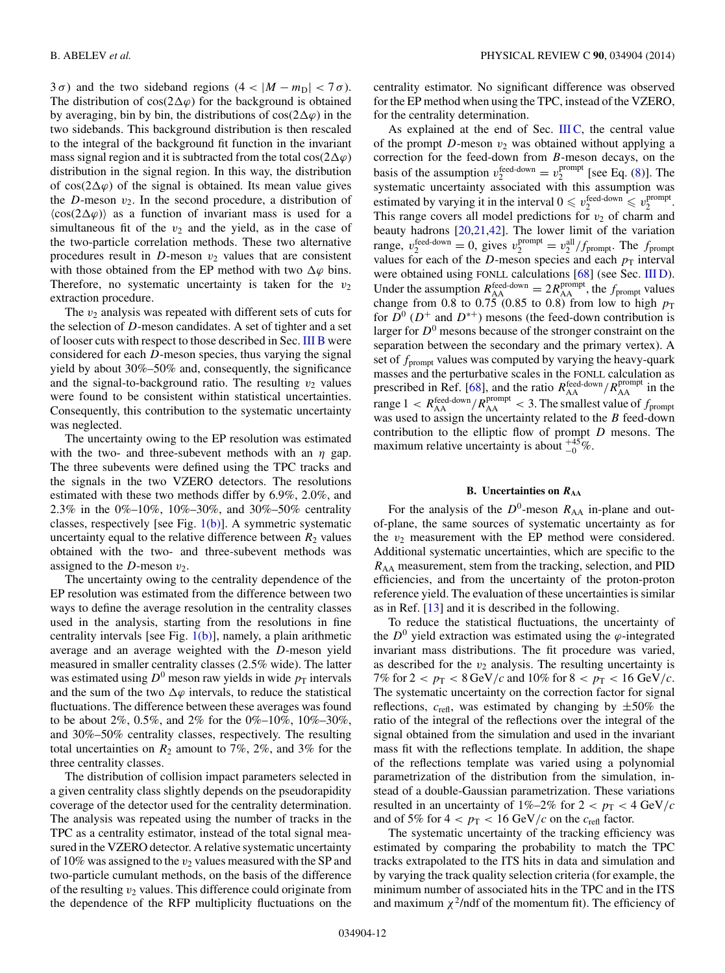$3\sigma$ ) and the two sideband regions  $(4 < |M - m_D| < 7\sigma)$ . The distribution of  $cos(2\Delta\varphi)$  for the background is obtained by averaging, bin by bin, the distributions of cos( $2\Delta\varphi$ ) in the two sidebands. This background distribution is then rescaled to the integral of the background fit function in the invariant mass signal region and it is subtracted from the total cos( $2\Delta\varphi$ ) distribution in the signal region. In this way, the distribution of cos( $2\Delta\varphi$ ) of the signal is obtained. Its mean value gives the D-meson  $v_2$ . In the second procedure, a distribution of  $\langle \cos(2\Delta\varphi) \rangle$  as a function of invariant mass is used for a simultaneous fit of the  $v_2$  and the yield, as in the case of the two-particle correlation methods. These two alternative procedures result in  $D$ -meson  $v_2$  values that are consistent with those obtained from the EP method with two  $\Delta\varphi$  bins. Therefore, no systematic uncertainty is taken for the  $v_2$ extraction procedure.

The  $v_2$  analysis was repeated with different sets of cuts for the selection of D-meson candidates. A set of tighter and a set of looser cuts with respect to those described in Sec. [III B](#page-2-0) were considered for each D-meson species, thus varying the signal yield by about 30%–50% and, consequently, the significance and the signal-to-background ratio. The resulting  $v_2$  values were found to be consistent within statistical uncertainties. Consequently, this contribution to the systematic uncertainty was neglected.

The uncertainty owing to the EP resolution was estimated with the two- and three-subevent methods with an  $\eta$  gap. The three subevents were defined using the TPC tracks and the signals in the two VZERO detectors. The resolutions estimated with these two methods differ by 6.9%, 2.0%, and 2.3% in the 0%–10%, 10%–30%, and 30%–50% centrality classes, respectively [see Fig.  $1(b)$ ]. A symmetric systematic uncertainty equal to the relative difference between  $R_2$  values obtained with the two- and three-subevent methods was assigned to the  $D$ -meson  $v_2$ .

The uncertainty owing to the centrality dependence of the EP resolution was estimated from the difference between two ways to define the average resolution in the centrality classes used in the analysis, starting from the resolutions in fine centrality intervals [see Fig.  $1(b)$ ], namely, a plain arithmetic average and an average weighted with the D-meson yield measured in smaller centrality classes (2.5% wide). The latter was estimated using  $D^0$  meson raw yields in wide  $p_T$  intervals and the sum of the two  $\Delta\varphi$  intervals, to reduce the statistical fluctuations. The difference between these averages was found to be about 2%, 0.5%, and 2% for the 0%–10%, 10%–30%, and 30%–50% centrality classes, respectively. The resulting total uncertainties on  $R_2$  amount to 7%, 2%, and 3% for the three centrality classes.

The distribution of collision impact parameters selected in a given centrality class slightly depends on the pseudorapidity coverage of the detector used for the centrality determination. The analysis was repeated using the number of tracks in the TPC as a centrality estimator, instead of the total signal measured in the VZERO detector. A relative systematic uncertainty of 10% was assigned to the  $v_2$  values measured with the SP and two-particle cumulant methods, on the basis of the difference of the resulting  $v_2$  values. This difference could originate from the dependence of the RFP multiplicity fluctuations on the

centrality estimator. No significant difference was observed for the EP method when using the TPC, instead of the VZERO, for the centrality determination.

As explained at the end of Sec. [III C,](#page-4-0) the central value of the prompt  $D$ -meson  $v_2$  was obtained without applying a correction for the feed-down from B-meson decays, on the basis of the assumption  $v_2^{\text{feed-down}} = v_2^{\text{prompt}}$  [see Eq. [\(8\)](#page-6-0)]. The systematic uncertainty associated with this assumption was estimated by varying it in the interval  $0 \leq v_2^{\text{feed-down}} \leq v_2^{\text{prompt}}$ . This range covers all model predictions for  $v_2$  of charm and beauty hadrons  $[20,21,42]$  $[20,21,42]$ . The lower limit of the variation range,  $v_2^{\text{feed-down}} = 0$ , gives  $v_2^{\text{prompt}} = v_2^{\text{all}}/f_{\text{prompt}}$ . The  $f_{\text{prompt}}$ values for each of the  $D$ -meson species and each  $p<sub>T</sub>$  interval were obtained using FONLL calculations [\[68\]](#page-19-0) (see Sec. [III D\)](#page-7-0). Under the assumption  $R_{\rm AA}^{\rm feed-down} = 2R_{\rm AA}^{\rm prompt}$ , the  $f_{\rm prompt}$  values change from 0.8 to 0.75 (0.85 to 0.8) from low to high  $p_T$ for  $\overline{D}^0$  ( $D^+$  and  $D^{*+}$ ) mesons (the feed-down contribution is larger for  $D^0$  mesons because of the stronger constraint on the separation between the secondary and the primary vertex). A set of  $f_{\text{prompt}}$  values was computed by varying the heavy-quark masses and the perturbative scales in the FONLL calculation as prescribed in Ref. [\[68\]](#page-19-0), and the ratio  $R_{AA}^{\text{feed-down}}/R_{AA}^{\text{prompt}}$  in the range  $1 < R_{\text{AA}}^{\text{feed-down}}/R_{\text{AA}}^{\text{prompt}} < 3$ . The smallest value of  $f_{\text{prompt}}$ was used to assign the uncertainty related to the  $B$  feed-down contribution to the elliptic flow of prompt  $D$  mesons. The maximum relative uncertainty is about  $^{+45}_{-0}$ %.

## **B. Uncertainties on** *R***AA**

For the analysis of the  $D^0$ -meson  $R_{AA}$  in-plane and outof-plane, the same sources of systematic uncertainty as for the  $v_2$  measurement with the EP method were considered. Additional systematic uncertainties, which are specific to the  $R_{AA}$  measurement, stem from the tracking, selection, and PID efficiencies, and from the uncertainty of the proton-proton reference yield. The evaluation of these uncertainties is similar as in Ref. [\[13\]](#page-18-0) and it is described in the following.

To reduce the statistical fluctuations, the uncertainty of the  $D^0$  yield extraction was estimated using the  $\varphi$ -integrated invariant mass distributions. The fit procedure was varied, as described for the  $v_2$  analysis. The resulting uncertainty is 7% for  $2 < p_T < 8$  GeV/c and 10% for  $8 < p_T < 16$  GeV/c. The systematic uncertainty on the correction factor for signal reflections,  $c_{\text{refl}}$ , was estimated by changing by  $\pm 50\%$  the ratio of the integral of the reflections over the integral of the signal obtained from the simulation and used in the invariant mass fit with the reflections template. In addition, the shape of the reflections template was varied using a polynomial parametrization of the distribution from the simulation, instead of a double-Gaussian parametrization. These variations resulted in an uncertainty of  $1\%-2\%$  for  $2 < p_T < 4 \text{ GeV}/c$ and of 5% for  $4 < p_T < 16$  GeV/c on the  $c_{\text{refl}}$  factor.

The systematic uncertainty of the tracking efficiency was estimated by comparing the probability to match the TPC tracks extrapolated to the ITS hits in data and simulation and by varying the track quality selection criteria (for example, the minimum number of associated hits in the TPC and in the ITS and maximum  $\chi^2$ /ndf of the momentum fit). The efficiency of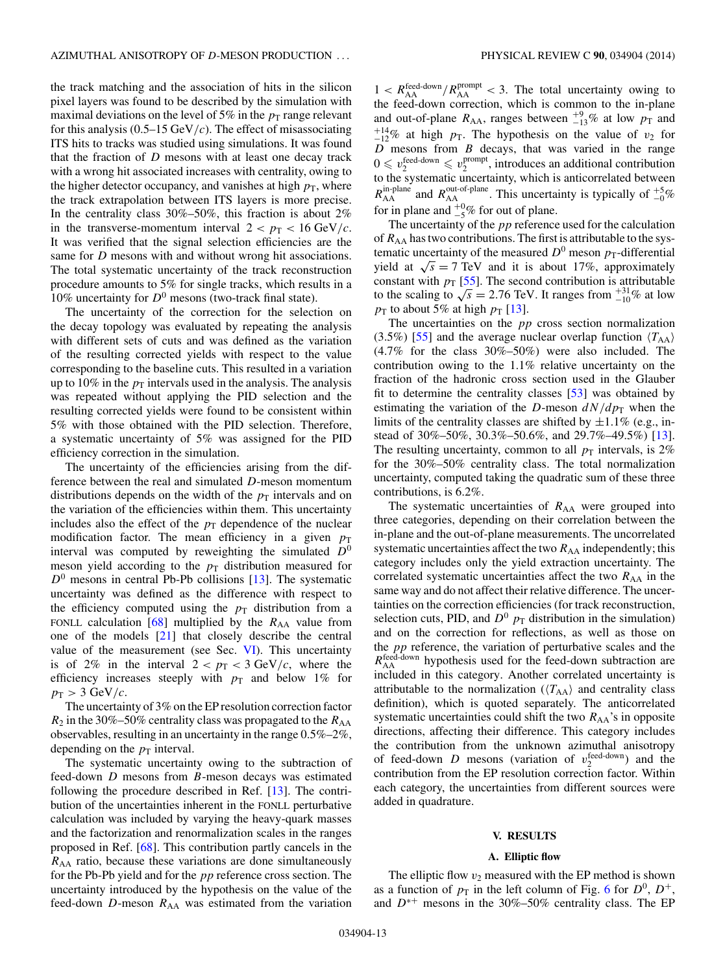<span id="page-12-0"></span>the track matching and the association of hits in the silicon pixel layers was found to be described by the simulation with maximal deviations on the level of 5% in the  $p_T$  range relevant for this analysis  $(0.5-15 \text{ GeV}/c)$ . The effect of misassociating ITS hits to tracks was studied using simulations. It was found that the fraction of D mesons with at least one decay track with a wrong hit associated increases with centrality, owing to the higher detector occupancy, and vanishes at high  $p<sub>T</sub>$ , where the track extrapolation between ITS layers is more precise. In the centrality class  $30\% - 50\%$ , this fraction is about  $2\%$ in the transverse-momentum interval  $2 < p_T < 16 \text{ GeV}/c$ . It was verified that the signal selection efficiencies are the same for *D* mesons with and without wrong hit associations. The total systematic uncertainty of the track reconstruction procedure amounts to 5% for single tracks, which results in a 10% uncertainty for  $D^0$  mesons (two-track final state).

The uncertainty of the correction for the selection on the decay topology was evaluated by repeating the analysis with different sets of cuts and was defined as the variation of the resulting corrected yields with respect to the value corresponding to the baseline cuts. This resulted in a variation up to 10% in the  $p_T$  intervals used in the analysis. The analysis was repeated without applying the PID selection and the resulting corrected yields were found to be consistent within 5% with those obtained with the PID selection. Therefore, a systematic uncertainty of 5% was assigned for the PID efficiency correction in the simulation.

The uncertainty of the efficiencies arising from the difference between the real and simulated D-meson momentum distributions depends on the width of the  $p<sub>T</sub>$  intervals and on the variation of the efficiencies within them. This uncertainty includes also the effect of the  $p_T$  dependence of the nuclear modification factor. The mean efficiency in a given  $p_T$ interval was computed by reweighting the simulated  $D^0$ meson yield according to the  $p_T$  distribution measured for  $D<sup>0</sup>$  mesons in central Pb-Pb collisions [\[13\]](#page-18-0). The systematic uncertainty was defined as the difference with respect to the efficiency computed using the  $p_T$  distribution from a FONLL calculation  $[68]$  multiplied by the  $R_{AA}$  value from one of the models [\[21\]](#page-18-0) that closely describe the central value of the measurement (see Sec. [VI\)](#page-15-0). This uncertainty is of 2% in the interval  $2 < p_T < 3$  GeV/c, where the efficiency increases steeply with  $p_T$  and below 1% for  $p_T > 3$  GeV/c.

The uncertainty of 3% on the EP resolution correction factor  $R_2$  in the 30%–50% centrality class was propagated to the  $R_{AA}$ observables, resulting in an uncertainty in the range 0.5%–2%, depending on the  $p_T$  interval.

The systematic uncertainty owing to the subtraction of feed-down D mesons from B-meson decays was estimated following the procedure described in Ref. [\[13\]](#page-18-0). The contribution of the uncertainties inherent in the FONLL perturbative calculation was included by varying the heavy-quark masses and the factorization and renormalization scales in the ranges proposed in Ref. [\[68\]](#page-19-0). This contribution partly cancels in the  $R_{AA}$  ratio, because these variations are done simultaneously for the Pb-Pb yield and for the *pp* reference cross section. The uncertainty introduced by the hypothesis on the value of the feed-down  $D$ -meson  $R_{AA}$  was estimated from the variation

 $1 < R_{AA}^{\text{feed-down}}/R_{AA}^{\text{prompt}} < 3$ . The total uncertainty owing to the feed-down correction, which is common to the in-plane and out-of-plane  $R_{AA}$ , ranges between  $^{+9}_{-13}\%$  at low  $p_T$  and  $^{+14}_{-12}$ % at high  $p_T$ . The hypothesis on the value of  $v_2$  for  $D<sup>2</sup>$  mesons from B decays, that was varied in the range  $0 \leq v_2^{\text{feed-down}} \leq v_2^{\text{prompt}}$ , introduces an additional contribution to the systematic uncertainty, which is anticorrelated between  $R_{\rm AA}^{\rm in-plane}$  and  $R_{\rm AA}^{\rm out-of-plane}$ . This uncertainty is typically of  $_{-0}^{+5}\%$ for in plane and  $^{+0}_{-5}$ % for out of plane.

The uncertainty of the *pp* reference used for the calculation of  $R_{AA}$  has two contributions. The first is attributable to the systematic uncertainty of the measured  $D^0$  meson  $p_T$ -differential yield at  $\sqrt{s} = 7$  TeV and it is about 17%, approximately constant with  $p_T$  [\[55\]](#page-19-0). The second contribution is attributable constant with  $p_T$  [33]. The second contribution is attributable<br>to the scaling to  $\sqrt{s} = 2.76$  TeV. It ranges from  $^{+31}_{-10}\%$  at low  $p_T$  to about 5% at high  $p_T$  [\[13\]](#page-18-0).

The uncertainties on the  $pp$  cross section normalization (3.5%) [\[55\]](#page-19-0) and the average nuclear overlap function  $\langle T_{AA} \rangle$ (4.7% for the class 30%–50%) were also included. The contribution owing to the 1.1% relative uncertainty on the fraction of the hadronic cross section used in the Glauber fit to determine the centrality classes [\[53\]](#page-19-0) was obtained by estimating the variation of the D-meson  $dN/dp<sub>T</sub>$  when the limits of the centrality classes are shifted by  $\pm 1.1\%$  (e.g., instead of 30%–50%, 30.3%–50.6%, and 29.7%–49.5%) [\[13\]](#page-18-0). The resulting uncertainty, common to all  $p_T$  intervals, is 2% for the 30%–50% centrality class. The total normalization uncertainty, computed taking the quadratic sum of these three contributions, is 6.2%.

The systematic uncertainties of  $R_{AA}$  were grouped into three categories, depending on their correlation between the in-plane and the out-of-plane measurements. The uncorrelated systematic uncertainties affect the two  $R_{AA}$  independently; this category includes only the yield extraction uncertainty. The correlated systematic uncertainties affect the two  $R_{AA}$  in the same way and do not affect their relative difference. The uncertainties on the correction efficiencies (for track reconstruction, selection cuts, PID, and  $D^0$   $p<sub>T</sub>$  distribution in the simulation) and on the correction for reflections, as well as those on the *pp* reference, the variation of perturbative scales and the  $R_{\rm AA}^{\rm feed-down}$  hypothesis used for the feed-down subtraction are included in this category. Another correlated uncertainty is attributable to the normalization  $(\langle T_{AA} \rangle)$  and centrality class definition), which is quoted separately. The anticorrelated systematic uncertainties could shift the two  $R_{AA}$ 's in opposite directions, affecting their difference. This category includes the contribution from the unknown azimuthal anisotropy of feed-down *D* mesons (variation of  $v_2^{\text{feed-down}}$ ) and the contribution from the EP resolution correction factor. Within each category, the uncertainties from different sources were added in quadrature.

## **V. RESULTS**

## **A. Elliptic flow**

The elliptic flow  $v_2$  measured with the EP method is shown as a function of  $p<sub>T</sub>$  in the left column of Fig. [6](#page-13-0) for  $D<sup>0</sup>$ ,  $D<sup>+</sup>$ , and  $D^{*+}$  mesons in the 30%–50% centrality class. The EP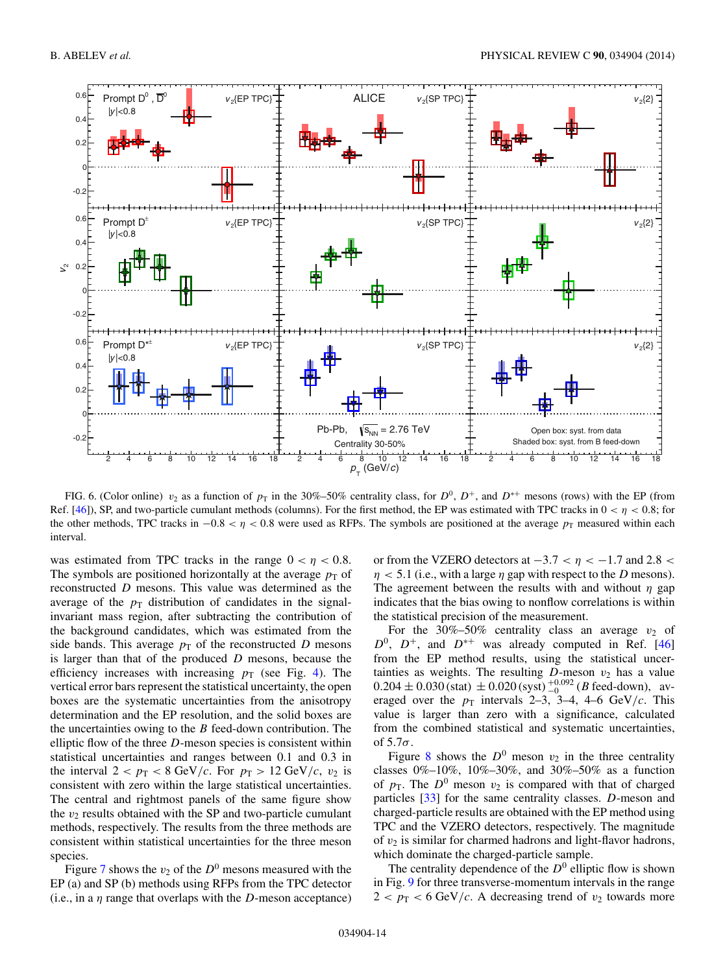<span id="page-13-0"></span>

FIG. 6. (Color online)  $v_2$  as a function of  $p_T$  in the 30%–50% centrality class, for  $D^0$ ,  $D^+$ , and  $D^{*+}$  mesons (rows) with the EP (from Ref. [\[46\]](#page-19-0)), SP, and two-particle cumulant methods (columns). For the first method, the EP was estimated with TPC tracks in  $0 < \eta < 0.8$ ; for the other methods, TPC tracks in  $-0.8 < \eta < 0.8$  were used as RFPs. The symbols are positioned at the average  $p_T$  measured within each interval.

was estimated from TPC tracks in the range  $0 < \eta < 0.8$ . The symbols are positioned horizontally at the average  $p<sub>T</sub>$  of reconstructed D mesons. This value was determined as the average of the  $p_T$  distribution of candidates in the signalinvariant mass region, after subtracting the contribution of the background candidates, which was estimated from the side bands. This average  $p<sub>T</sub>$  of the reconstructed D mesons is larger than that of the produced  $D$  mesons, because the efficiency increases with increasing  $p_T$  (see Fig. [4\)](#page-8-0). The vertical error bars represent the statistical uncertainty, the open boxes are the systematic uncertainties from the anisotropy determination and the EP resolution, and the solid boxes are the uncertainties owing to the  $B$  feed-down contribution. The elliptic flow of the three  $D$ -meson species is consistent within statistical uncertainties and ranges between 0.1 and 0.3 in the interval  $2 < p_T < 8$  GeV/c. For  $p_T > 12$  GeV/c,  $v_2$  is consistent with zero within the large statistical uncertainties. The central and rightmost panels of the same figure show the  $v_2$  results obtained with the SP and two-particle cumulant methods, respectively. The results from the three methods are consistent within statistical uncertainties for the three meson species.

Figure [7](#page-14-0) shows the  $v_2$  of the  $D^0$  mesons measured with the EP (a) and SP (b) methods using RFPs from the TPC detector (i.e., in a  $\eta$  range that overlaps with the D-meson acceptance)

or from the VZERO detectors at  $-3.7 < \eta < -1.7$  and 2.8 <  $\eta$  < 5.1 (i.e., with a large  $\eta$  gap with respect to the D mesons). The agreement between the results with and without  $\eta$  gap indicates that the bias owing to nonflow correlations is within the statistical precision of the measurement.

For the 30%–50% centrality class an average  $v_2$  of  $D^0$ ,  $D^+$ , and  $D^{*+}$  was already computed in Ref. [\[46\]](#page-19-0) from the EP method results, using the statistical uncertainties as weights. The resulting  $D$ -meson  $v_2$  has a value  $0.204 \pm 0.030$  (stat)  $\pm 0.020$  (syst)  $^{+0.092}_{-0}$  (*B* feed-down), averaged over the  $p_T$  intervals 2–3, 3–4, 4–6 GeV/c. This value is larger than zero with a significance, calculated from the combined statistical and systematic uncertainties, of  $5.7\sigma$ .

Figure [8](#page-14-0) shows the  $D^0$  meson  $v_2$  in the three centrality classes  $0\% - 10\%$ ,  $10\% - 30\%$ , and  $30\% - 50\%$  as a function of  $p_T$ . The  $D^0$  meson  $v_2$  is compared with that of charged particles [\[33\]](#page-19-0) for the same centrality classes. D-meson and charged-particle results are obtained with the EP method using TPC and the VZERO detectors, respectively. The magnitude of  $v_2$  is similar for charmed hadrons and light-flavor hadrons, which dominate the charged-particle sample.

The centrality dependence of the  $D^0$  elliptic flow is shown in Fig. [9](#page-15-0) for three transverse-momentum intervals in the range  $2 < p_{\rm T} < 6$  GeV/c. A decreasing trend of  $v_2$  towards more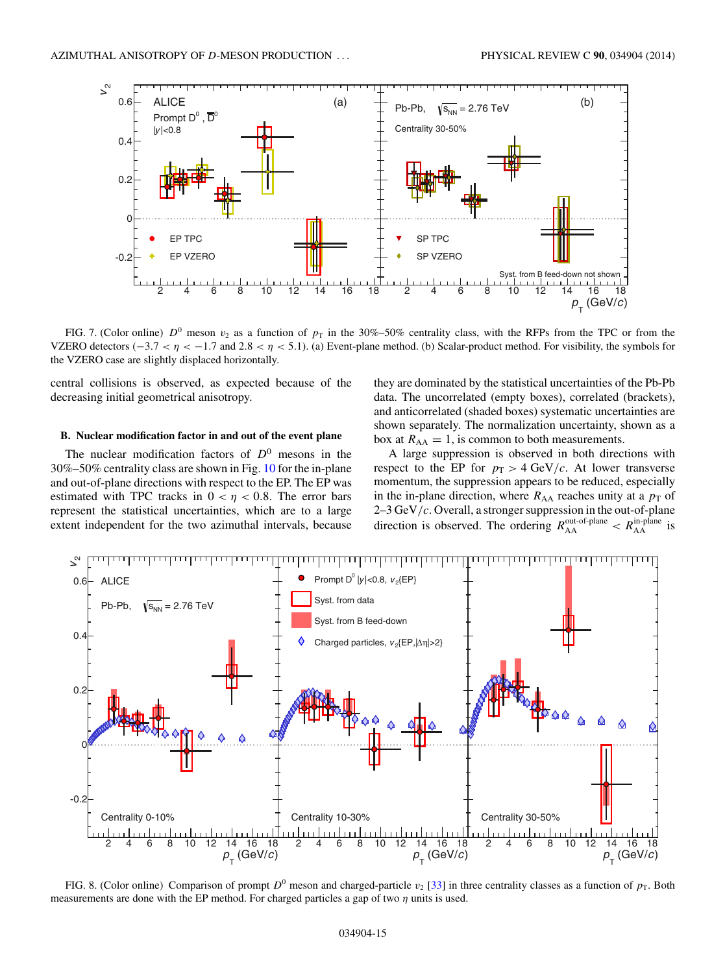<span id="page-14-0"></span>

FIG. 7. (Color online)  $D^0$  meson  $v_2$  as a function of  $p_T$  in the 30%–50% centrality class, with the RFPs from the TPC or from the VZERO detectors (−3.7 <  $η$  < −1.7 and 2.8 <  $η$  < 5.1). (a) Event-plane method. (b) Scalar-product method. For visibility, the symbols for the VZERO case are slightly displaced horizontally.

central collisions is observed, as expected because of the decreasing initial geometrical anisotropy.

## **B. Nuclear modification factor in and out of the event plane**

The nuclear modification factors of  $D^0$  mesons in the 30%–50% centrality class are shown in Fig. [10](#page-15-0) for the in-plane and out-of-plane directions with respect to the EP. The EP was estimated with TPC tracks in  $0 < \eta < 0.8$ . The error bars represent the statistical uncertainties, which are to a large extent independent for the two azimuthal intervals, because they are dominated by the statistical uncertainties of the Pb-Pb data. The uncorrelated (empty boxes), correlated (brackets), and anticorrelated (shaded boxes) systematic uncertainties are shown separately. The normalization uncertainty, shown as a box at  $R_{AA} = 1$ , is common to both measurements.

A large suppression is observed in both directions with respect to the EP for  $p_T > 4 \text{ GeV}/c$ . At lower transverse momentum, the suppression appears to be reduced, especially in the in-plane direction, where  $R_{AA}$  reaches unity at a  $p<sub>T</sub>$  of 2–3 GeV/ $c$ . Overall, a stronger suppression in the out-of-plane direction is observed. The ordering  $R_{AA}^{\text{out-of-plane}} < R_{AA}^{\text{in-plane}}$  is



FIG. 8. (Color online) Comparison of prompt  $D^0$  meson and charged-particle  $v_2$  [\[33\]](#page-19-0) in three centrality classes as a function of  $p_T$ . Both measurements are done with the EP method. For charged particles a gap of two  $\eta$  units is used.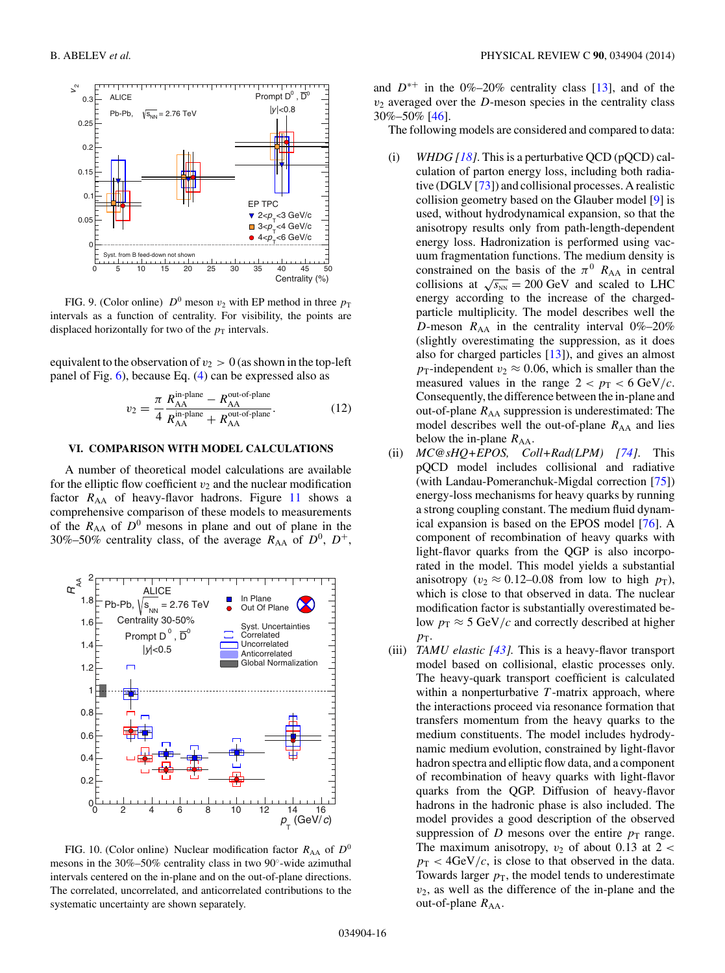<span id="page-15-0"></span>

FIG. 9. (Color online)  $D^0$  meson  $v_2$  with EP method in three  $p_T$ intervals as a function of centrality. For visibility, the points are displaced horizontally for two of the  $p_T$  intervals.

equivalent to the observation of  $v_2 > 0$  (as shown in the top-left panel of Fig. [6\)](#page-13-0), because Eq. [\(4\)](#page-5-0) can be expressed also as

$$
v_2 = \frac{\pi}{4} \frac{R_{\rm AA}^{\rm in-plane} - R_{\rm AA}^{\rm out-of-plane}}{R_{\rm AA}^{\rm in-plane} + R_{\rm AA}^{\rm out-of-plane}}.
$$
 (12)

## **VI. COMPARISON WITH MODEL CALCULATIONS**

A number of theoretical model calculations are available for the elliptic flow coefficient  $v_2$  and the nuclear modification factor  $R_{AA}$  of heavy-flavor hadrons. Figure [11](#page-16-0) shows a comprehensive comparison of these models to measurements of the  $R_{AA}$  of  $D^0$  mesons in plane and out of plane in the 30%–50% centrality class, of the average  $R_{AA}$  of  $D^0$ ,  $D^+$ ,



FIG. 10. (Color online) Nuclear modification factor  $R_{AA}$  of  $D^0$ mesons in the 30%–50% centrality class in two 90◦-wide azimuthal intervals centered on the in-plane and on the out-of-plane directions. The correlated, uncorrelated, and anticorrelated contributions to the systematic uncertainty are shown separately.

and  $D^{*+}$  in the 0%–20% centrality class [\[13\]](#page-18-0), and of the  $v_2$  averaged over the D-meson species in the centrality class 30%–50% [\[46\]](#page-19-0).

The following models are considered and compared to data:

- (i) *WHDG [\[18\]](#page-18-0)*. This is a perturbative QCD (pQCD) calculation of parton energy loss, including both radiative (DGLV [\[73\]](#page-19-0)) and collisional processes. A realistic collision geometry based on the Glauber model [\[9\]](#page-18-0) is used, without hydrodynamical expansion, so that the anisotropy results only from path-length-dependent energy loss. Hadronization is performed using vacuum fragmentation functions. The medium density is constrained on the basis of the  $\pi^0$  R<sub>AA</sub> in central collisions at  $\sqrt{s_{NN}} = 200$  GeV and scaled to LHC energy according to the increase of the chargedparticle multiplicity. The model describes well the D-meson  $R_{AA}$  in the centrality interval 0%–20% (slightly overestimating the suppression, as it does also for charged particles [\[13\]](#page-18-0)), and gives an almost  $p_T$ -independent  $v_2 \approx 0.06$ , which is smaller than the measured values in the range  $2 < p_T < 6 \text{ GeV}/c$ . Consequently, the difference between the in-plane and out-of-plane  $R_{AA}$  suppression is underestimated: The model describes well the out-of-plane  $R_{AA}$  and lies below the in-plane  $R_{AA}$ .
- (ii) *MC@sHQ+EPOS, Coll+Rad(LPM) [\[74\]](#page-19-0)*. This pQCD model includes collisional and radiative (with Landau-Pomeranchuk-Migdal correction [\[75\]](#page-19-0)) energy-loss mechanisms for heavy quarks by running a strong coupling constant. The medium fluid dynamical expansion is based on the EPOS model [\[76\]](#page-19-0). A component of recombination of heavy quarks with light-flavor quarks from the QGP is also incorporated in the model. This model yields a substantial anisotropy ( $v_2 \approx 0.12{\text -}0.08$  from low to high  $p_T$ ), which is close to that observed in data. The nuclear modification factor is substantially overestimated below  $p_T \approx 5 \text{ GeV}/c$  and correctly described at higher  $p_{\rm T}$ .
- (iii) *TAMU elastic [\[43\]](#page-19-0).* This is a heavy-flavor transport model based on collisional, elastic processes only. The heavy-quark transport coefficient is calculated within a nonperturbative  $T$ -matrix approach, where the interactions proceed via resonance formation that transfers momentum from the heavy quarks to the medium constituents. The model includes hydrodynamic medium evolution, constrained by light-flavor hadron spectra and elliptic flow data, and a component of recombination of heavy quarks with light-flavor quarks from the QGP. Diffusion of heavy-flavor hadrons in the hadronic phase is also included. The model provides a good description of the observed suppression of D mesons over the entire  $p_T$  range. The maximum anisotropy,  $v_2$  of about 0.13 at 2 <  $p_T < 4 \text{GeV}/c$ , is close to that observed in the data. Towards larger  $p<sub>T</sub>$ , the model tends to underestimate  $v_2$ , as well as the difference of the in-plane and the out-of-plane  $R_{AA}$ .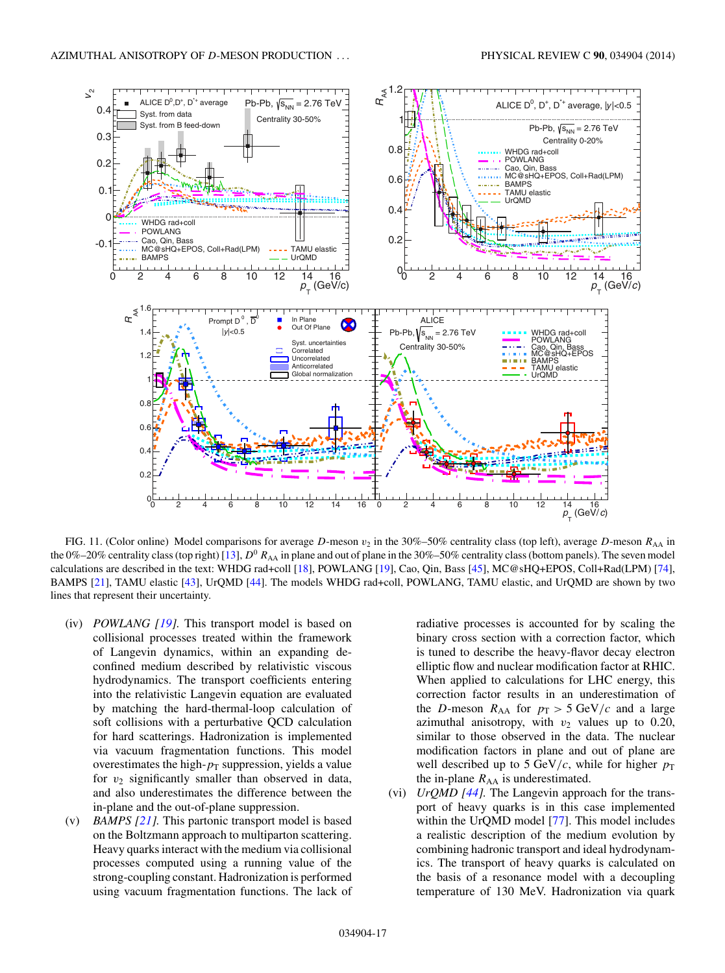<span id="page-16-0"></span>

FIG. 11. (Color online) Model comparisons for average D-meson  $v_2$  in the 30%–50% centrality class (top left), average D-meson  $R_{AA}$  in the 0%–20% centrality class (top right) [\[13\]](#page-18-0),  $D^0$  R<sub>AA</sub> in plane and out of plane in the 30%–50% centrality class (bottom panels). The seven model calculations are described in the text: WHDG rad+coll [\[18\]](#page-18-0), POWLANG [\[19\]](#page-18-0), Cao, Qin, Bass [\[45\]](#page-19-0), MC@sHQ+EPOS, Coll+Rad(LPM) [\[74\]](#page-19-0), BAMPS [\[21\]](#page-18-0), TAMU elastic [\[43\]](#page-19-0), UrQMD [\[44\]](#page-19-0). The models WHDG rad+coll, POWLANG, TAMU elastic, and UrQMD are shown by two lines that represent their uncertainty.

- (iv) *POWLANG [\[19\]](#page-18-0).* This transport model is based on collisional processes treated within the framework of Langevin dynamics, within an expanding deconfined medium described by relativistic viscous hydrodynamics. The transport coefficients entering into the relativistic Langevin equation are evaluated by matching the hard-thermal-loop calculation of soft collisions with a perturbative QCD calculation for hard scatterings. Hadronization is implemented via vacuum fragmentation functions. This model overestimates the high- $p_T$  suppression, yields a value for  $v_2$  significantly smaller than observed in data, and also underestimates the difference between the in-plane and the out-of-plane suppression.
- (v) *BAMPS [\[21\]](#page-18-0).* This partonic transport model is based on the Boltzmann approach to multiparton scattering. Heavy quarks interact with the medium via collisional processes computed using a running value of the strong-coupling constant. Hadronization is performed using vacuum fragmentation functions. The lack of

radiative processes is accounted for by scaling the binary cross section with a correction factor, which is tuned to describe the heavy-flavor decay electron elliptic flow and nuclear modification factor at RHIC. When applied to calculations for LHC energy, this correction factor results in an underestimation of the D-meson  $R_{AA}$  for  $p_T > 5 \text{ GeV}/c$  and a large azimuthal anisotropy, with  $v_2$  values up to 0.20, similar to those observed in the data. The nuclear modification factors in plane and out of plane are well described up to 5 GeV/c, while for higher  $p_T$ the in-plane  $R_{AA}$  is underestimated.

(vi) *UrQMD [\[44\]](#page-19-0).* The Langevin approach for the transport of heavy quarks is in this case implemented within the UrQMD model [\[77\]](#page-19-0). This model includes a realistic description of the medium evolution by combining hadronic transport and ideal hydrodynamics. The transport of heavy quarks is calculated on the basis of a resonance model with a decoupling temperature of 130 MeV. Hadronization via quark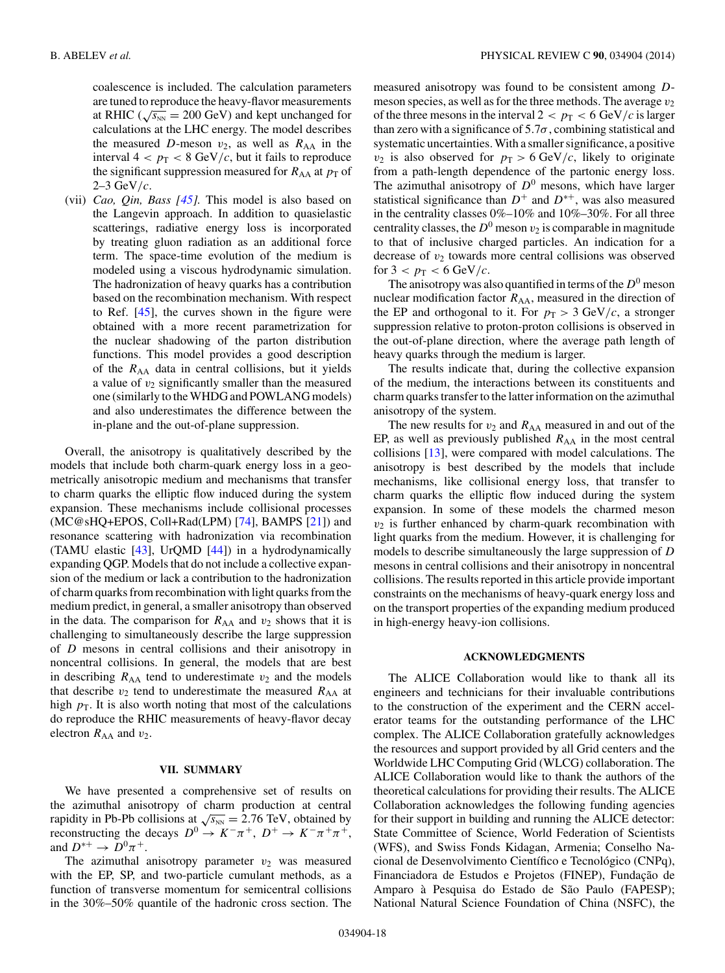coalescence is included. The calculation parameters are tuned to reproduce the heavy-flavor measurements at RHIC ( $\sqrt{s_{NN}}$  = 200 GeV) and kept unchanged for calculations at the LHC energy. The model describes the measured D-meson  $v_2$ , as well as  $R_{AA}$  in the interval  $4 < p_T < 8$  GeV/c, but it fails to reproduce the significant suppression measured for  $R_{AA}$  at  $p<sub>T</sub>$  of  $2-3 \text{ GeV}/c$ .

(vii) *Cao, Qin, Bass [\[45\]](#page-19-0).* This model is also based on the Langevin approach. In addition to quasielastic scatterings, radiative energy loss is incorporated by treating gluon radiation as an additional force term. The space-time evolution of the medium is modeled using a viscous hydrodynamic simulation. The hadronization of heavy quarks has a contribution based on the recombination mechanism. With respect to Ref. [\[45\]](#page-19-0), the curves shown in the figure were obtained with a more recent parametrization for the nuclear shadowing of the parton distribution functions. This model provides a good description of the  $R_{AA}$  data in central collisions, but it yields a value of  $v_2$  significantly smaller than the measured one (similarly to theWHDG and POWLANG models) and also underestimates the difference between the in-plane and the out-of-plane suppression.

Overall, the anisotropy is qualitatively described by the models that include both charm-quark energy loss in a geometrically anisotropic medium and mechanisms that transfer to charm quarks the elliptic flow induced during the system expansion. These mechanisms include collisional processes (MC@sHQ+EPOS, Coll+Rad(LPM) [\[74\]](#page-19-0), BAMPS [\[21\]](#page-18-0)) and resonance scattering with hadronization via recombination (TAMU elastic [\[43\]](#page-19-0), UrQMD [\[44\]](#page-19-0)) in a hydrodynamically expanding QGP. Models that do not include a collective expansion of the medium or lack a contribution to the hadronization of charm quarks from recombination with light quarks from the medium predict, in general, a smaller anisotropy than observed in the data. The comparison for  $R_{AA}$  and  $v_2$  shows that it is challenging to simultaneously describe the large suppression of D mesons in central collisions and their anisotropy in noncentral collisions. In general, the models that are best in describing  $R_{AA}$  tend to underestimate  $v_2$  and the models that describe  $v_2$  tend to underestimate the measured  $R_{AA}$  at high  $p<sub>T</sub>$ . It is also worth noting that most of the calculations do reproduce the RHIC measurements of heavy-flavor decay electron  $R_{AA}$  and  $v_2$ .

## **VII. SUMMARY**

We have presented a comprehensive set of results on the azimuthal anisotropy of charm production at central rapidity in Pb-Pb collisions at  $\sqrt{s_{NN}} = 2.76$  TeV, obtained by reconstructing the decays  $D^0 \rightarrow K^-\pi^+$ ,  $D^+ \rightarrow K^-\pi^+\pi^+$ , and  $D^{*+} \rightarrow D^0 \pi^+$ .

The azimuthal anisotropy parameter  $v_2$  was measured with the EP, SP, and two-particle cumulant methods, as a function of transverse momentum for semicentral collisions in the 30%–50% quantile of the hadronic cross section. The

measured anisotropy was found to be consistent among Dmeson species, as well as for the three methods. The average  $v_2$ of the three mesons in the interval  $2 < p_T < 6$  GeV/c is larger than zero with a significance of  $5.7\sigma$ , combining statistical and systematic uncertainties.With a smaller significance, a positive  $v_2$  is also observed for  $p_T > 6$  GeV/c, likely to originate from a path-length dependence of the partonic energy loss. The azimuthal anisotropy of  $D^0$  mesons, which have larger statistical significance than  $D^+$  and  $D^{*+}$ , was also measured in the centrality classes 0%–10% and 10%–30%. For all three centrality classes, the  $D^0$  meson  $v_2$  is comparable in magnitude to that of inclusive charged particles. An indication for a decrease of  $v_2$  towards more central collisions was observed for  $3 < p<sub>T</sub> < 6$  GeV/c.

The anisotropy was also quantified in terms of the  $D^0$  meson nuclear modification factor  $R_{AA}$ , measured in the direction of the EP and orthogonal to it. For  $p_T > 3 \text{ GeV}/c$ , a stronger suppression relative to proton-proton collisions is observed in the out-of-plane direction, where the average path length of heavy quarks through the medium is larger.

The results indicate that, during the collective expansion of the medium, the interactions between its constituents and charm quarks transfer to the latter information on the azimuthal anisotropy of the system.

The new results for  $v_2$  and  $R_{AA}$  measured in and out of the EP, as well as previously published  $R_{AA}$  in the most central collisions [\[13\]](#page-18-0), were compared with model calculations. The anisotropy is best described by the models that include mechanisms, like collisional energy loss, that transfer to charm quarks the elliptic flow induced during the system expansion. In some of these models the charmed meson  $v_2$  is further enhanced by charm-quark recombination with light quarks from the medium. However, it is challenging for models to describe simultaneously the large suppression of D mesons in central collisions and their anisotropy in noncentral collisions. The results reported in this article provide important constraints on the mechanisms of heavy-quark energy loss and on the transport properties of the expanding medium produced in high-energy heavy-ion collisions.

#### **ACKNOWLEDGMENTS**

The ALICE Collaboration would like to thank all its engineers and technicians for their invaluable contributions to the construction of the experiment and the CERN accelerator teams for the outstanding performance of the LHC complex. The ALICE Collaboration gratefully acknowledges the resources and support provided by all Grid centers and the Worldwide LHC Computing Grid (WLCG) collaboration. The ALICE Collaboration would like to thank the authors of the theoretical calculations for providing their results. The ALICE Collaboration acknowledges the following funding agencies for their support in building and running the ALICE detector: State Committee of Science, World Federation of Scientists (WFS), and Swiss Fonds Kidagan, Armenia; Conselho Nacional de Desenvolvimento Científico e Tecnológico (CNPq), Financiadora de Estudos e Projetos (FINEP), Fundação de Amparo à Pesquisa do Estado de São Paulo (FAPESP); National Natural Science Foundation of China (NSFC), the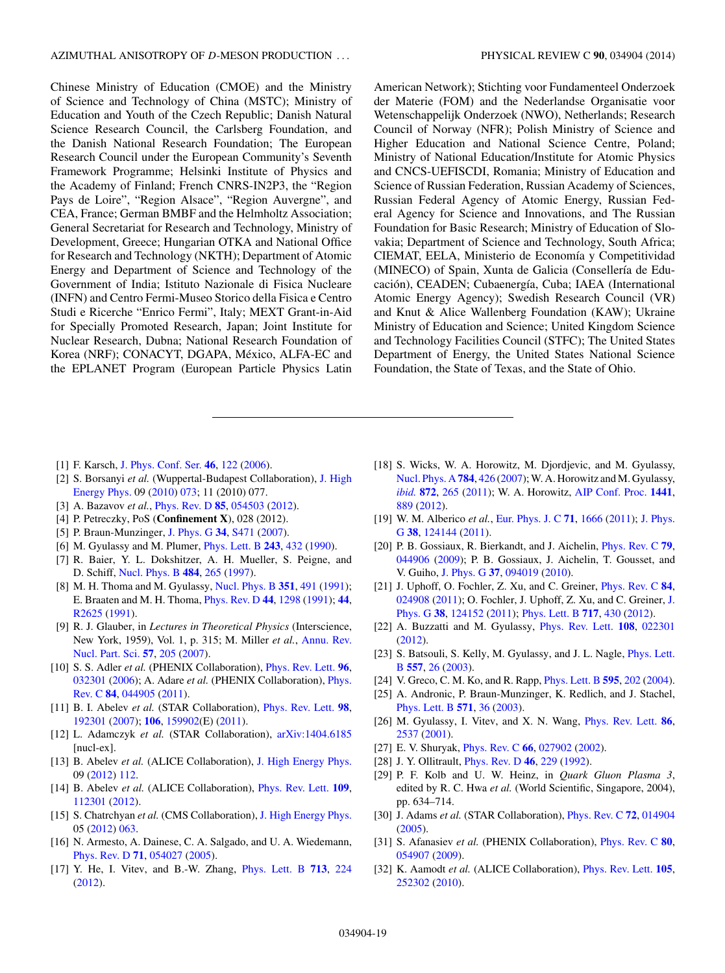<span id="page-18-0"></span>Chinese Ministry of Education (CMOE) and the Ministry of Science and Technology of China (MSTC); Ministry of Education and Youth of the Czech Republic; Danish Natural Science Research Council, the Carlsberg Foundation, and the Danish National Research Foundation; The European Research Council under the European Community's Seventh Framework Programme; Helsinki Institute of Physics and the Academy of Finland; French CNRS-IN2P3, the "Region Pays de Loire", "Region Alsace", "Region Auvergne", and CEA, France; German BMBF and the Helmholtz Association; General Secretariat for Research and Technology, Ministry of Development, Greece; Hungarian OTKA and National Office for Research and Technology (NKTH); Department of Atomic Energy and Department of Science and Technology of the Government of India; Istituto Nazionale di Fisica Nucleare (INFN) and Centro Fermi-Museo Storico della Fisica e Centro Studi e Ricerche "Enrico Fermi", Italy; MEXT Grant-in-Aid for Specially Promoted Research, Japan; Joint Institute for Nuclear Research, Dubna; National Research Foundation of Korea (NRF); CONACYT, DGAPA, México, ALFA-EC and the EPLANET Program (European Particle Physics Latin American Network); Stichting voor Fundamenteel Onderzoek der Materie (FOM) and the Nederlandse Organisatie voor Wetenschappelijk Onderzoek (NWO), Netherlands; Research Council of Norway (NFR); Polish Ministry of Science and Higher Education and National Science Centre, Poland; Ministry of National Education/Institute for Atomic Physics and CNCS-UEFISCDI, Romania; Ministry of Education and Science of Russian Federation, Russian Academy of Sciences, Russian Federal Agency of Atomic Energy, Russian Federal Agency for Science and Innovations, and The Russian Foundation for Basic Research; Ministry of Education of Slovakia; Department of Science and Technology, South Africa; CIEMAT, EELA, Ministerio de Economía y Competitividad (MINECO) of Spain, Xunta de Galicia (Consellería de Educación), CEADEN; Cubaenergía, Cuba; IAEA (International Atomic Energy Agency); Swedish Research Council (VR) and Knut & Alice Wallenberg Foundation (KAW); Ukraine Ministry of Education and Science; United Kingdom Science and Technology Facilities Council (STFC); The United States Department of Energy, the United States National Science Foundation, the State of Texas, and the State of Ohio.

- [1] F. Karsch, [J. Phys. Conf. Ser.](http://dx.doi.org/10.1088/1742-6596/46/1/017) **[46](http://dx.doi.org/10.1088/1742-6596/46/1/017)**, [122](http://dx.doi.org/10.1088/1742-6596/46/1/017) [\(2006\)](http://dx.doi.org/10.1088/1742-6596/46/1/017).
- [2] S. Borsanyi *et al.* [\(Wuppertal-Budapest Collaboration\),](http://dx.doi.org/10.1007/JHEP09(2010)073) J. High Energy Phys. 09 [\(2010\)](http://dx.doi.org/10.1007/JHEP09(2010)073) [073;](http://dx.doi.org/10.1007/JHEP09(2010)073) 11 (2010) 077.
- [3] A. Bazavov *et al.*, [Phys. Rev. D](http://dx.doi.org/10.1103/PhysRevD.85.054503) **[85](http://dx.doi.org/10.1103/PhysRevD.85.054503)**, [054503](http://dx.doi.org/10.1103/PhysRevD.85.054503) [\(2012\)](http://dx.doi.org/10.1103/PhysRevD.85.054503).
- [4] P. Petreczky, PoS (**Confinement X**), 028 (2012).
- [5] P. Braun-Munzinger, [J. Phys. G](http://dx.doi.org/10.1088/0954-3899/34/8/S36) **[34](http://dx.doi.org/10.1088/0954-3899/34/8/S36)**, [S471](http://dx.doi.org/10.1088/0954-3899/34/8/S36) [\(2007\)](http://dx.doi.org/10.1088/0954-3899/34/8/S36).
- [6] M. Gyulassy and M. Plumer, [Phys. Lett. B](http://dx.doi.org/10.1016/0370-2693(90)91409-5) **[243](http://dx.doi.org/10.1016/0370-2693(90)91409-5)**, [432](http://dx.doi.org/10.1016/0370-2693(90)91409-5) [\(1990\)](http://dx.doi.org/10.1016/0370-2693(90)91409-5).
- [7] R. Baier, Y. L. Dokshitzer, A. H. Mueller, S. Peigne, and D. Schiff, [Nucl. Phys. B](http://dx.doi.org/10.1016/S0550-3213(96)00581-0) **[484](http://dx.doi.org/10.1016/S0550-3213(96)00581-0)**, [265](http://dx.doi.org/10.1016/S0550-3213(96)00581-0) [\(1997\)](http://dx.doi.org/10.1016/S0550-3213(96)00581-0).
- [8] M. H. Thoma and M. Gyulassy, [Nucl. Phys. B](http://dx.doi.org/10.1016/S0550-3213(05)80031-8) **[351](http://dx.doi.org/10.1016/S0550-3213(05)80031-8)**, [491](http://dx.doi.org/10.1016/S0550-3213(05)80031-8) [\(1991\)](http://dx.doi.org/10.1016/S0550-3213(05)80031-8); E. Braaten and M. H. Thoma, *[Phys. Rev. D](http://dx.doi.org/10.1103/PhysRevD.44.1298)* [44](http://dx.doi.org/10.1103/PhysRevD.44.R2625), [1298](http://dx.doi.org/10.1103/PhysRevD.44.1298) [\(1991\)](http://dx.doi.org/10.1103/PhysRevD.44.1298); 44, [R2625](http://dx.doi.org/10.1103/PhysRevD.44.R2625) [\(1991\)](http://dx.doi.org/10.1103/PhysRevD.44.R2625).
- [9] R. J. Glauber, in *Lectures in Theoretical Physics* (Interscience, [New York, 1959\), Vol. 1, p. 315; M. Miller](http://dx.doi.org/10.1146/annurev.nucl.57.090506.123020) *et al.*, Annu. Rev. Nucl. Part. Sci. **[57](http://dx.doi.org/10.1146/annurev.nucl.57.090506.123020)**, [205](http://dx.doi.org/10.1146/annurev.nucl.57.090506.123020) [\(2007\)](http://dx.doi.org/10.1146/annurev.nucl.57.090506.123020).
- [10] S. S. Adler *et al.* (PHENIX Collaboration), [Phys. Rev. Lett.](http://dx.doi.org/10.1103/PhysRevLett.96.032301) **[96](http://dx.doi.org/10.1103/PhysRevLett.96.032301)**, [032301](http://dx.doi.org/10.1103/PhysRevLett.96.032301) [\(2006\)](http://dx.doi.org/10.1103/PhysRevLett.96.032301); A. Adare *et al.* [\(PHENIX Collaboration\),](http://dx.doi.org/10.1103/PhysRevC.84.044905) Phys. Rev. C **[84](http://dx.doi.org/10.1103/PhysRevC.84.044905)**, [044905](http://dx.doi.org/10.1103/PhysRevC.84.044905) [\(2011\)](http://dx.doi.org/10.1103/PhysRevC.84.044905).
- [11] B. I. Abelev *et al.* (STAR Collaboration), [Phys. Rev. Lett.](http://dx.doi.org/10.1103/PhysRevLett.98.192301) **[98](http://dx.doi.org/10.1103/PhysRevLett.98.192301)**, [192301](http://dx.doi.org/10.1103/PhysRevLett.98.192301) [\(2007\)](http://dx.doi.org/10.1103/PhysRevLett.98.192301); **[106](http://dx.doi.org/10.1103/PhysRevLett.106.159902)**, [159902\(](http://dx.doi.org/10.1103/PhysRevLett.106.159902)E) [\(2011\)](http://dx.doi.org/10.1103/PhysRevLett.106.159902).
- [12] L. Adamczyk *et al.* (STAR Collaboration), [arXiv:1404.6185](http://arxiv.org/abs/arXiv:1404.6185) [nucl-ex].
- [13] B. Abelev *et al.* (ALICE Collaboration), [J. High Energy Phys.](http://dx.doi.org/10.1007/JHEP09(2012)112) 09 [\(2012\)](http://dx.doi.org/10.1007/JHEP09(2012)112) [112.](http://dx.doi.org/10.1007/JHEP09(2012)112)
- [14] B. Abelev *et al.* (ALICE Collaboration), [Phys. Rev. Lett.](http://dx.doi.org/10.1103/PhysRevLett.109.112301) **[109](http://dx.doi.org/10.1103/PhysRevLett.109.112301)**, [112301](http://dx.doi.org/10.1103/PhysRevLett.109.112301) [\(2012\)](http://dx.doi.org/10.1103/PhysRevLett.109.112301).
- [15] S. Chatrchyan et al. (CMS Collaboration), [J. High Energy Phys.](http://dx.doi.org/10.1007/JHEP05(2012)063) 05 [\(2012\)](http://dx.doi.org/10.1007/JHEP05(2012)063) [063.](http://dx.doi.org/10.1007/JHEP05(2012)063)
- [16] N. Armesto, A. Dainese, C. A. Salgado, and U. A. Wiedemann, [Phys. Rev. D](http://dx.doi.org/10.1103/PhysRevD.71.054027) **[71](http://dx.doi.org/10.1103/PhysRevD.71.054027)**, [054027](http://dx.doi.org/10.1103/PhysRevD.71.054027) [\(2005\)](http://dx.doi.org/10.1103/PhysRevD.71.054027).
- [17] Y. He, I. Vitev, and B.-W. Zhang, [Phys. Lett. B](http://dx.doi.org/10.1016/j.physletb.2012.05.054) **[713](http://dx.doi.org/10.1016/j.physletb.2012.05.054)**, [224](http://dx.doi.org/10.1016/j.physletb.2012.05.054) [\(2012\)](http://dx.doi.org/10.1016/j.physletb.2012.05.054).
- [18] S. Wicks, W. A. Horowitz, M. Djordjevic, and M. Gyulassy, [Nucl. Phys. A](http://dx.doi.org/10.1016/j.nuclphysa.2006.12.048) **[784](http://dx.doi.org/10.1016/j.nuclphysa.2006.12.048)**, [426](http://dx.doi.org/10.1016/j.nuclphysa.2006.12.048) [\(2007\)](http://dx.doi.org/10.1016/j.nuclphysa.2006.12.048); W. A. Horowitz and M. Gyulassy, *[ibid.](http://dx.doi.org/10.1016/j.nuclphysa.2011.09.018)* **[872](http://dx.doi.org/10.1016/j.nuclphysa.2011.09.018)**, [265](http://dx.doi.org/10.1016/j.nuclphysa.2011.09.018) [\(2011\)](http://dx.doi.org/10.1016/j.nuclphysa.2011.09.018); W. A. Horowitz, [AIP Conf. Proc.](http://dx.doi.org/10.1063/1.3700710) **[1441](http://dx.doi.org/10.1063/1.3700710)**, [889](http://dx.doi.org/10.1063/1.3700710) [\(2012\)](http://dx.doi.org/10.1063/1.3700710).
- [19] [W. M. Alberico](http://dx.doi.org/10.1088/0954-3899/38/12/124144) et al., [Eur. Phys. J. C](http://dx.doi.org/10.1140/epjc/s10052-011-1666-6) [71](http://dx.doi.org/10.1140/epjc/s10052-011-1666-6), [1666](http://dx.doi.org/10.1140/epjc/s10052-011-1666-6) [\(2011\)](http://dx.doi.org/10.1140/epjc/s10052-011-1666-6); J. Phys. G **[38](http://dx.doi.org/10.1088/0954-3899/38/12/124144)**, [124144](http://dx.doi.org/10.1088/0954-3899/38/12/124144) [\(2011\)](http://dx.doi.org/10.1088/0954-3899/38/12/124144).
- [20] P. B. Gossiaux, R. Bierkandt, and J. Aichelin, [Phys. Rev. C](http://dx.doi.org/10.1103/PhysRevC.79.044906) **[79](http://dx.doi.org/10.1103/PhysRevC.79.044906)**, [044906](http://dx.doi.org/10.1103/PhysRevC.79.044906) [\(2009\)](http://dx.doi.org/10.1103/PhysRevC.79.044906); P. B. Gossiaux, J. Aichelin, T. Gousset, and V. Guiho, [J. Phys. G](http://dx.doi.org/10.1088/0954-3899/37/9/094019) **[37](http://dx.doi.org/10.1088/0954-3899/37/9/094019)**, [094019](http://dx.doi.org/10.1088/0954-3899/37/9/094019) [\(2010\)](http://dx.doi.org/10.1088/0954-3899/37/9/094019).
- [21] J. Uphoff, O. Fochler, Z. Xu, and C. Greiner, [Phys. Rev. C](http://dx.doi.org/10.1103/PhysRevC.84.024908) **[84](http://dx.doi.org/10.1103/PhysRevC.84.024908)**, [024908](http://dx.doi.org/10.1103/PhysRevC.84.024908) [\(](http://dx.doi.org/10.1088/0954-3899/38/12/124152)[2011](http://dx.doi.org/10.1103/PhysRevC.84.024908)[\); O. Fochler, J. Uphoff, Z. Xu, and C. Greiner,](http://dx.doi.org/10.1088/0954-3899/38/12/124152) J. Phys. G [38](http://dx.doi.org/10.1088/0954-3899/38/12/124152), [124152](http://dx.doi.org/10.1088/0954-3899/38/12/124152) [\(2011\)](http://dx.doi.org/10.1088/0954-3899/38/12/124152); Phys. Lett. B [717](http://dx.doi.org/10.1016/j.physletb.2012.09.069), [430](http://dx.doi.org/10.1016/j.physletb.2012.09.069) [\(2012\)](http://dx.doi.org/10.1016/j.physletb.2012.09.069).
- [22] A. Buzzatti and M. Gyulassy, [Phys. Rev. Lett.](http://dx.doi.org/10.1103/PhysRevLett.108.022301) **[108](http://dx.doi.org/10.1103/PhysRevLett.108.022301)**, [022301](http://dx.doi.org/10.1103/PhysRevLett.108.022301) [\(2012\)](http://dx.doi.org/10.1103/PhysRevLett.108.022301).
- [23] [S. Batsouli, S. Kelly, M. Gyulassy, and J. L. Nagle,](http://dx.doi.org/10.1016/S0370-2693(03)00175-8) *Phys. Lett.* B **[557](http://dx.doi.org/10.1016/S0370-2693(03)00175-8)**, [26](http://dx.doi.org/10.1016/S0370-2693(03)00175-8) [\(2003\)](http://dx.doi.org/10.1016/S0370-2693(03)00175-8).
- [24] V. Greco, C. M. Ko, and R. Rapp, [Phys. Lett. B](http://dx.doi.org/10.1016/j.physletb.2004.06.064) **[595](http://dx.doi.org/10.1016/j.physletb.2004.06.064)**, [202](http://dx.doi.org/10.1016/j.physletb.2004.06.064) [\(2004\)](http://dx.doi.org/10.1016/j.physletb.2004.06.064).
- [25] A. Andronic, P. Braun-Munzinger, K. Redlich, and J. Stachel, [Phys. Lett. B](http://dx.doi.org/10.1016/j.physletb.2003.07.066) **[571](http://dx.doi.org/10.1016/j.physletb.2003.07.066)**, [36](http://dx.doi.org/10.1016/j.physletb.2003.07.066) [\(2003\)](http://dx.doi.org/10.1016/j.physletb.2003.07.066).
- [26] M. Gyulassy, I. Vitev, and X. N. Wang, [Phys. Rev. Lett.](http://dx.doi.org/10.1103/PhysRevLett.86.2537) **[86](http://dx.doi.org/10.1103/PhysRevLett.86.2537)**, [2537](http://dx.doi.org/10.1103/PhysRevLett.86.2537) [\(2001\)](http://dx.doi.org/10.1103/PhysRevLett.86.2537).
- [27] E. V. Shuryak, [Phys. Rev. C](http://dx.doi.org/10.1103/PhysRevC.66.027902) **[66](http://dx.doi.org/10.1103/PhysRevC.66.027902)**, [027902](http://dx.doi.org/10.1103/PhysRevC.66.027902) [\(2002\)](http://dx.doi.org/10.1103/PhysRevC.66.027902).
- [28] J. Y. Ollitrault, [Phys. Rev. D](http://dx.doi.org/10.1103/PhysRevD.46.229) **[46](http://dx.doi.org/10.1103/PhysRevD.46.229)**, [229](http://dx.doi.org/10.1103/PhysRevD.46.229) [\(1992\)](http://dx.doi.org/10.1103/PhysRevD.46.229).
- [29] P. F. Kolb and U. W. Heinz, in *Quark Gluon Plasma 3*, edited by R. C. Hwa *et al.* (World Scientific, Singapore, 2004), pp. 634–714.
- [30] J. Adams *et al.* (STAR Collaboration), [Phys. Rev. C](http://dx.doi.org/10.1103/PhysRevC.72.014904) **[72](http://dx.doi.org/10.1103/PhysRevC.72.014904)**, [014904](http://dx.doi.org/10.1103/PhysRevC.72.014904) [\(2005\)](http://dx.doi.org/10.1103/PhysRevC.72.014904).
- [31] S. Afanasiev *et al.* (PHENIX Collaboration), [Phys. Rev. C](http://dx.doi.org/10.1103/PhysRevC.80.054907) **[80](http://dx.doi.org/10.1103/PhysRevC.80.054907)**, [054907](http://dx.doi.org/10.1103/PhysRevC.80.054907) [\(2009\)](http://dx.doi.org/10.1103/PhysRevC.80.054907).
- [32] K. Aamodt *et al.* (ALICE Collaboration), [Phys. Rev. Lett.](http://dx.doi.org/10.1103/PhysRevLett.105.252302) **[105](http://dx.doi.org/10.1103/PhysRevLett.105.252302)**, [252302](http://dx.doi.org/10.1103/PhysRevLett.105.252302) [\(2010\)](http://dx.doi.org/10.1103/PhysRevLett.105.252302).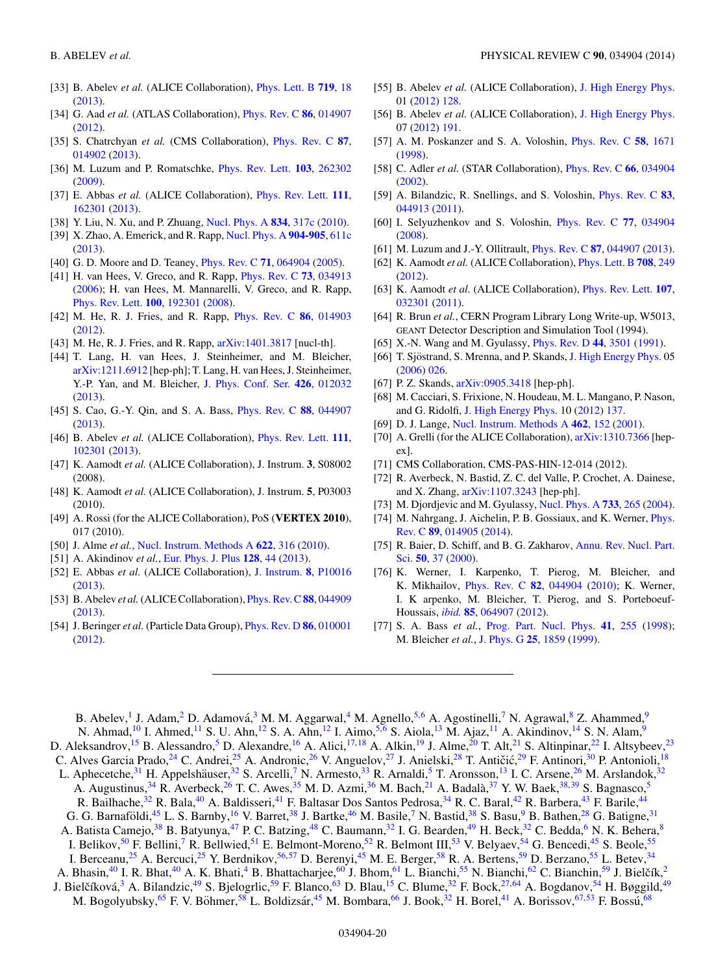- <span id="page-19-0"></span>[33] B. Abelev *et al.* (ALICE Collaboration), [Phys. Lett. B](http://dx.doi.org/10.1016/j.physletb.2012.12.066) **[719](http://dx.doi.org/10.1016/j.physletb.2012.12.066)**, [18](http://dx.doi.org/10.1016/j.physletb.2012.12.066) [\(2013\)](http://dx.doi.org/10.1016/j.physletb.2012.12.066).
- [34] G. Aad *et al.* (ATLAS Collaboration), [Phys. Rev. C](http://dx.doi.org/10.1103/PhysRevC.86.014907) **[86](http://dx.doi.org/10.1103/PhysRevC.86.014907)**, [014907](http://dx.doi.org/10.1103/PhysRevC.86.014907) [\(2012\)](http://dx.doi.org/10.1103/PhysRevC.86.014907).
- [35] S. Chatrchyan *et al.* (CMS Collaboration), [Phys. Rev. C](http://dx.doi.org/10.1103/PhysRevC.87.014902) **[87](http://dx.doi.org/10.1103/PhysRevC.87.014902)**, [014902](http://dx.doi.org/10.1103/PhysRevC.87.014902) [\(2013\)](http://dx.doi.org/10.1103/PhysRevC.87.014902).
- [36] M. Luzum and P. Romatschke, [Phys. Rev. Lett.](http://dx.doi.org/10.1103/PhysRevLett.103.262302) **[103](http://dx.doi.org/10.1103/PhysRevLett.103.262302)**, [262302](http://dx.doi.org/10.1103/PhysRevLett.103.262302) [\(2009\)](http://dx.doi.org/10.1103/PhysRevLett.103.262302).
- [37] E. Abbas *et al.* (ALICE Collaboration), [Phys. Rev. Lett.](http://dx.doi.org/10.1103/PhysRevLett.111.162301) **[111](http://dx.doi.org/10.1103/PhysRevLett.111.162301)**, [162301](http://dx.doi.org/10.1103/PhysRevLett.111.162301) [\(2013\)](http://dx.doi.org/10.1103/PhysRevLett.111.162301).
- [38] Y. Liu, N. Xu, and P. Zhuang, [Nucl. Phys. A](http://dx.doi.org/10.1016/j.nuclphysa.2010.01.008) **[834](http://dx.doi.org/10.1016/j.nuclphysa.2010.01.008)**, [317c](http://dx.doi.org/10.1016/j.nuclphysa.2010.01.008) [\(2010\)](http://dx.doi.org/10.1016/j.nuclphysa.2010.01.008).
- [39] X. Zhao, A. Emerick, and R. Rapp, [Nucl. Phys. A](http://dx.doi.org/10.1016/j.nuclphysa.2013.02.088) **[904-905](http://dx.doi.org/10.1016/j.nuclphysa.2013.02.088)**, [611c](http://dx.doi.org/10.1016/j.nuclphysa.2013.02.088) [\(2013\)](http://dx.doi.org/10.1016/j.nuclphysa.2013.02.088).
- [40] G. D. Moore and D. Teaney, [Phys. Rev. C](http://dx.doi.org/10.1103/PhysRevC.71.064904) **[71](http://dx.doi.org/10.1103/PhysRevC.71.064904)**, [064904](http://dx.doi.org/10.1103/PhysRevC.71.064904) [\(2005\)](http://dx.doi.org/10.1103/PhysRevC.71.064904).
- [41] H. van Hees, V. Greco, and R. Rapp, [Phys. Rev. C](http://dx.doi.org/10.1103/PhysRevC.73.034913) **[73](http://dx.doi.org/10.1103/PhysRevC.73.034913)**, [034913](http://dx.doi.org/10.1103/PhysRevC.73.034913) [\(2006\)](http://dx.doi.org/10.1103/PhysRevC.73.034913); H. van Hees, M. Mannarelli, V. Greco, and R. Rapp, [Phys. Rev. Lett.](http://dx.doi.org/10.1103/PhysRevLett.100.192301) **[100](http://dx.doi.org/10.1103/PhysRevLett.100.192301)**, [192301](http://dx.doi.org/10.1103/PhysRevLett.100.192301) [\(2008\)](http://dx.doi.org/10.1103/PhysRevLett.100.192301).
- [42] M. He, R. J. Fries, and R. Rapp, [Phys. Rev. C](http://dx.doi.org/10.1103/PhysRevC.86.014903) **[86](http://dx.doi.org/10.1103/PhysRevC.86.014903)**, [014903](http://dx.doi.org/10.1103/PhysRevC.86.014903) [\(2012\)](http://dx.doi.org/10.1103/PhysRevC.86.014903).
- [43] M. He, R. J. Fries, and R. Rapp,  $arXiv:1401.3817$  [nucl-th].
- [44] T. Lang, H. van Hees, J. Steinheimer, and M. Bleicher, [arXiv:1211.6912](http://arxiv.org/abs/arXiv:1211.6912) [hep-ph]; T. Lang, H. van Hees, J. Steinheimer, Y.-P. Yan, and M. Bleicher, [J. Phys. Conf. Ser.](http://dx.doi.org/10.1088/1742-6596/426/1/012032) **[426](http://dx.doi.org/10.1088/1742-6596/426/1/012032)**, [012032](http://dx.doi.org/10.1088/1742-6596/426/1/012032) [\(2013\)](http://dx.doi.org/10.1088/1742-6596/426/1/012032).
- [45] S. Cao, G.-Y. Qin, and S. A. Bass, [Phys. Rev. C](http://dx.doi.org/10.1103/PhysRevC.88.044907) **[88](http://dx.doi.org/10.1103/PhysRevC.88.044907)**, [044907](http://dx.doi.org/10.1103/PhysRevC.88.044907) [\(2013\)](http://dx.doi.org/10.1103/PhysRevC.88.044907).
- [46] B. Abelev *et al.* (ALICE Collaboration), [Phys. Rev. Lett.](http://dx.doi.org/10.1103/PhysRevLett.111.102301) **[111](http://dx.doi.org/10.1103/PhysRevLett.111.102301)**, [102301](http://dx.doi.org/10.1103/PhysRevLett.111.102301) [\(2013\)](http://dx.doi.org/10.1103/PhysRevLett.111.102301).
- [47] K. Aamodt *et al.* (ALICE Collaboration), J. Instrum. **3**, S08002 (2008).
- [48] K. Aamodt *et al.* (ALICE Collaboration), J. Instrum. **5**, P03003 (2010).
- [49] A. Rossi (for the ALICE Collaboration), PoS (**VERTEX 2010**), 017 (2010).
- [50] J. Alme *et al.*, [Nucl. Instrum. Methods A](http://dx.doi.org/10.1016/j.nima.2010.04.042) **[622](http://dx.doi.org/10.1016/j.nima.2010.04.042)**, [316](http://dx.doi.org/10.1016/j.nima.2010.04.042) [\(2010\)](http://dx.doi.org/10.1016/j.nima.2010.04.042).
- [51] A. Akindinov *et al.*, [Eur. Phys. J. Plus](http://dx.doi.org/10.1140/epjp/i2013-13044-x) **[128](http://dx.doi.org/10.1140/epjp/i2013-13044-x)**, [44](http://dx.doi.org/10.1140/epjp/i2013-13044-x) [\(2013\)](http://dx.doi.org/10.1140/epjp/i2013-13044-x).
- [52] E. Abbas *et al.* (ALICE Collaboration), [J. Instrum.](http://dx.doi.org/10.1088/1748-0221/8/10/P10016) **[8](http://dx.doi.org/10.1088/1748-0221/8/10/P10016)**, [P10016](http://dx.doi.org/10.1088/1748-0221/8/10/P10016) [\(2013\)](http://dx.doi.org/10.1088/1748-0221/8/10/P10016).
- [53] B. Abelev *et al.*(ALICE Collaboration), [Phys. Rev. C](http://dx.doi.org/10.1103/PhysRevC.88.044909)**[88](http://dx.doi.org/10.1103/PhysRevC.88.044909)**, [044909](http://dx.doi.org/10.1103/PhysRevC.88.044909) [\(2013\)](http://dx.doi.org/10.1103/PhysRevC.88.044909).
- [54] J. Beringer *et al.* (Particle Data Group), [Phys. Rev. D](http://dx.doi.org/10.1103/PhysRevD.86.010001) **[86](http://dx.doi.org/10.1103/PhysRevD.86.010001)**, [010001](http://dx.doi.org/10.1103/PhysRevD.86.010001) [\(2012\)](http://dx.doi.org/10.1103/PhysRevD.86.010001).
- [55] B. Abelev *et al.* (ALICE Collaboration), [J. High Energy Phys.](http://dx.doi.org/10.1007/JHEP01(2012)128) 01 [\(2012\)](http://dx.doi.org/10.1007/JHEP01(2012)128) [128.](http://dx.doi.org/10.1007/JHEP01(2012)128)
- [56] B. Abelev et al. (ALICE Collaboration), [J. High Energy Phys.](http://dx.doi.org/10.1007/JHEP07(2012)191) 07 [\(2012\)](http://dx.doi.org/10.1007/JHEP07(2012)191) [191.](http://dx.doi.org/10.1007/JHEP07(2012)191)
- [57] A. M. Poskanzer and S. A. Voloshin, [Phys. Rev. C](http://dx.doi.org/10.1103/PhysRevC.58.1671) **[58](http://dx.doi.org/10.1103/PhysRevC.58.1671)**, [1671](http://dx.doi.org/10.1103/PhysRevC.58.1671) [\(1998\)](http://dx.doi.org/10.1103/PhysRevC.58.1671).
- [58] C. Adler *et al.* (STAR Collaboration), [Phys. Rev. C](http://dx.doi.org/10.1103/PhysRevC.66.034904) **[66](http://dx.doi.org/10.1103/PhysRevC.66.034904)**, [034904](http://dx.doi.org/10.1103/PhysRevC.66.034904) [\(2002\)](http://dx.doi.org/10.1103/PhysRevC.66.034904).
- [59] A. Bilandzic, R. Snellings, and S. Voloshin, [Phys. Rev. C](http://dx.doi.org/10.1103/PhysRevC.83.044913) **[83](http://dx.doi.org/10.1103/PhysRevC.83.044913)**, [044913](http://dx.doi.org/10.1103/PhysRevC.83.044913) [\(2011\)](http://dx.doi.org/10.1103/PhysRevC.83.044913).
- [60] I. Selyuzhenkov and S. Voloshin, [Phys. Rev. C](http://dx.doi.org/10.1103/PhysRevC.77.034904) **[77](http://dx.doi.org/10.1103/PhysRevC.77.034904)**, [034904](http://dx.doi.org/10.1103/PhysRevC.77.034904) [\(2008\)](http://dx.doi.org/10.1103/PhysRevC.77.034904).
- [61] M. Luzum and J.-Y. Ollitrault, [Phys. Rev. C](http://dx.doi.org/10.1103/PhysRevC.87.044907) **[87](http://dx.doi.org/10.1103/PhysRevC.87.044907)**, [044907](http://dx.doi.org/10.1103/PhysRevC.87.044907) [\(2013\)](http://dx.doi.org/10.1103/PhysRevC.87.044907).
- [62] K. Aamodt *et al.* (ALICE Collaboration), [Phys. Lett. B](http://dx.doi.org/10.1016/j.physletb.2012.01.060) **[708](http://dx.doi.org/10.1016/j.physletb.2012.01.060)**, [249](http://dx.doi.org/10.1016/j.physletb.2012.01.060) [\(2012\)](http://dx.doi.org/10.1016/j.physletb.2012.01.060).
- [63] K. Aamodt *et al.* (ALICE Collaboration), [Phys. Rev. Lett.](http://dx.doi.org/10.1103/PhysRevLett.107.032301) **[107](http://dx.doi.org/10.1103/PhysRevLett.107.032301)**, [032301](http://dx.doi.org/10.1103/PhysRevLett.107.032301) [\(2011\)](http://dx.doi.org/10.1103/PhysRevLett.107.032301).
- [64] R. Brun *et al.*, CERN Program Library Long Write-up, W5013, GEANT Detector Description and Simulation Tool (1994).
- [65] X.-N. Wang and M. Gyulassy, [Phys. Rev. D](http://dx.doi.org/10.1103/PhysRevD.44.3501) **[44](http://dx.doi.org/10.1103/PhysRevD.44.3501)**, [3501](http://dx.doi.org/10.1103/PhysRevD.44.3501) [\(1991\)](http://dx.doi.org/10.1103/PhysRevD.44.3501).
- [66] T. Sjöstrand, S. Mrenna, and P. Skands, [J. High Energy Phys.](http://dx.doi.org/10.1088/1126-6708/2006/05/026) 05 [\(2006\)](http://dx.doi.org/10.1088/1126-6708/2006/05/026) [026.](http://dx.doi.org/10.1088/1126-6708/2006/05/026)
- [67] P. Z. Skands, [arXiv:0905.3418](http://arxiv.org/abs/arXiv:0905.3418) [hep-ph].
- [68] M. Cacciari, S. Frixione, N. Houdeau, M. L. Mangano, P. Nason, and G. Ridolfi, [J. High Energy Phys.](http://dx.doi.org/10.1007/JHEP10(2012)137) 10 [\(2012\)](http://dx.doi.org/10.1007/JHEP10(2012)137) [137.](http://dx.doi.org/10.1007/JHEP10(2012)137)
- [69] D. J. Lange, [Nucl. Instrum. Methods A](http://dx.doi.org/10.1016/S0168-9002(01)00089-4) **[462](http://dx.doi.org/10.1016/S0168-9002(01)00089-4)**, [152](http://dx.doi.org/10.1016/S0168-9002(01)00089-4) [\(2001\)](http://dx.doi.org/10.1016/S0168-9002(01)00089-4).
- [70] A. Grelli (for the ALICE Collaboration), [arXiv:1310.7366](http://arxiv.org/abs/arXiv:1310.7366) [hepex].
- [71] CMS Collaboration, CMS-PAS-HIN-12-014 (2012).
- [72] R. Averbeck, N. Bastid, Z. C. del Valle, P. Crochet, A. Dainese, and X. Zhang, [arXiv:1107.3243](http://arxiv.org/abs/arXiv:1107.3243) [hep-ph].
- [73] M. Djordjevic and M. Gyulassy, [Nucl. Phys. A](http://dx.doi.org/10.1016/j.nuclphysa.2003.12.020) **[733](http://dx.doi.org/10.1016/j.nuclphysa.2003.12.020)**, [265](http://dx.doi.org/10.1016/j.nuclphysa.2003.12.020) [\(2004\)](http://dx.doi.org/10.1016/j.nuclphysa.2003.12.020).
- [74] [M. Nahrgang, J. Aichelin, P. B. Gossiaux, and K. Werner,](http://dx.doi.org/10.1103/PhysRevC.89.014905) *Phys.* Rev. C **[89](http://dx.doi.org/10.1103/PhysRevC.89.014905)**, [014905](http://dx.doi.org/10.1103/PhysRevC.89.014905) [\(2014\)](http://dx.doi.org/10.1103/PhysRevC.89.014905).
- [75] [R. Baier, D. Schiff, and B. G. Zakharov,](http://dx.doi.org/10.1146/annurev.nucl.50.1.37) Annu. Rev. Nucl. Part. Sci. **[50](http://dx.doi.org/10.1146/annurev.nucl.50.1.37)**, [37](http://dx.doi.org/10.1146/annurev.nucl.50.1.37) [\(2000\)](http://dx.doi.org/10.1146/annurev.nucl.50.1.37).
- [76] K. Werner, I. Karpenko, T. Pierog, M. Bleicher, and K. Mikhailov, [Phys. Rev. C](http://dx.doi.org/10.1103/PhysRevC.82.044904) **[82](http://dx.doi.org/10.1103/PhysRevC.82.044904)**, [044904](http://dx.doi.org/10.1103/PhysRevC.82.044904) [\(2010\)](http://dx.doi.org/10.1103/PhysRevC.82.044904); K. Werner, I. K arpenko, M. Bleicher, T. Pierog, and S. Porteboeuf-Houssais, *[ibid.](http://dx.doi.org/10.1103/PhysRevC.85.064907)* **[85](http://dx.doi.org/10.1103/PhysRevC.85.064907)**, [064907](http://dx.doi.org/10.1103/PhysRevC.85.064907) [\(2012\)](http://dx.doi.org/10.1103/PhysRevC.85.064907).
- [77] S. A. Bass *et al.*, [Prog. Part. Nucl. Phys.](http://dx.doi.org/10.1016/S0146-6410(98)00058-1) **[41](http://dx.doi.org/10.1016/S0146-6410(98)00058-1)**, [255](http://dx.doi.org/10.1016/S0146-6410(98)00058-1) [\(1998\)](http://dx.doi.org/10.1016/S0146-6410(98)00058-1); M. Bleicher *et al.*, [J. Phys. G](http://dx.doi.org/10.1088/0954-3899/25/9/308) **[25](http://dx.doi.org/10.1088/0954-3899/25/9/308)**, [1859](http://dx.doi.org/10.1088/0954-3899/25/9/308) [\(1999\)](http://dx.doi.org/10.1088/0954-3899/25/9/308).

B. Abelev,<sup>1</sup> J. Adam,<sup>2</sup> D. Adamová,<sup>[3](#page-21-0)</sup> M. M. Aggarwal,<sup>[4](#page-21-0)</sup> M. Agnello,<sup>[5,6](#page-21-0)</sup> A. Agostinelli,<sup>7</sup> N. Agrawal,<sup>8</sup> Z. Ahammed,<sup>9</sup> N. Ahmad,<sup>[10](#page-22-0)</sup> I. Ahmed,<sup>[11](#page-22-0)</sup> S. U. Ahn,<sup>12</sup> S. A. Ahn,<sup>12</sup> I. Aimo,<sup>5,6</sup> S. Aiola,<sup>[13](#page-22-0)</sup> M. Ajaz,<sup>11</sup> A. Akindinov,<sup>[14](#page-22-0)</sup> S. N. Alam,<sup>[9](#page-21-0)</sup> D. Aleksandrov,<sup>[15](#page-22-0)</sup> B. Alessandro,<sup>5</sup> D. Alexandre,<sup>16</sup> A. Alici,<sup>[17,18](#page-22-0)</sup> A. Alkin,<sup>[19](#page-22-0)</sup> J. Alme,<sup>[20](#page-22-0)</sup> T. Alt,<sup>[21](#page-22-0)</sup> S. Altinpinar,<sup>[22](#page-22-0)</sup> I. Altsybeev,<sup>[23](#page-22-0)</sup> C. Alves Garcia Prado,<sup>[24](#page-22-0)</sup> C. Andrei,<sup>[25](#page-22-0)</sup> A. Andronic,<sup>[26](#page-22-0)</sup> V. Anguelov,<sup>[27](#page-22-0)</sup> J. Anielski,<sup>[28](#page-22-0)</sup> T. Antičić,<sup>[29](#page-22-0)</sup> F. Antinori,<sup>30</sup> P. Antonioli,<sup>[18](#page-22-0)</sup> L. Aphecetche,<sup>31</sup> H. Appelshäuser,<sup>[32](#page-22-0)</sup> S. Arcelli,<sup>[7](#page-21-0)</sup> N. Armesto,<sup>[33](#page-22-0)</sup> R. Arnaldi,<sup>[5](#page-21-0)</sup> T. Aronsson,<sup>[13](#page-22-0)</sup> I. C. Arsene,<sup>[26](#page-22-0)</sup> M. Arslandok,<sup>32</sup> A. Augustinus,<sup>34</sup> R. Averbeck,<sup>[26](#page-22-0)</sup> T. C. Awes,<sup>[35](#page-22-0)</sup> M. D. Azmi,<sup>[36](#page-22-0)</sup> M. Bach,<sup>[21](#page-22-0)</sup> A. Badalà,<sup>[37](#page-22-0)</sup> Y. W. Baek,<sup>[38,39](#page-22-0)</sup> S. Bagnasco,<sup>5</sup> R. Bailhache,<sup>[32](#page-22-0)</sup> R. Bala,<sup>[40](#page-22-0)</sup> A. Baldisseri,<sup>[41](#page-22-0)</sup> F. Baltasar Dos Santos Pedrosa,<sup>34</sup> R. C. Baral,<sup>[42](#page-22-0)</sup> R. Barbera,<sup>[43](#page-22-0)</sup> F. Barile,<sup>[44](#page-22-0)</sup> G. G. Barnaföldi, $^{45}$  $^{45}$  $^{45}$  L. S. Barnby,  $^{16}$  $^{16}$  $^{16}$  V. Barret,  $^{38}$  $^{38}$  $^{38}$  J. Bartke,  $^{46}$  M. Basile,  $^7$  $^7$  N. Bastid,  $^{38}$  S. Basu,  $^9$  $^9$  B. Bathen,  $^{28}$  $^{28}$  $^{28}$  G. Batigne,  $^{31}$  $^{31}$  $^{31}$ A. Batista Camejo,<sup>[38](#page-22-0)</sup> B. Batyunya,<sup>[47](#page-22-0)</sup> P. C. Batzing,<sup>[48](#page-22-0)</sup> C. Baumann,<sup>[32](#page-22-0)</sup> I. G. Bearden,<sup>49</sup> H. Beck,<sup>32</sup> C. Bedda,<sup>[6](#page-21-0)</sup> N. K. Behera,<sup>8</sup> I. Belikov,<sup>50</sup> F. Bellini,<sup>7</sup> R. Bellwied,<sup>[51](#page-22-0)</sup> E. Belmont-Moreno,<sup>[52](#page-22-0)</sup> R. Belmont III,<sup>[53](#page-22-0)</sup> V. Belyaev,<sup>[54](#page-22-0)</sup> G. Bencedi,<sup>[45](#page-22-0)</sup> S. Beole,<sup>[55](#page-22-0)</sup> I. Berceanu,<sup>[25](#page-22-0)</sup> A. Bercuci,<sup>25</sup> Y. Berdnikov,<sup>[56,57](#page-22-0)</sup> D. Berenyi,<sup>45</sup> M. E. Berger,<sup>58</sup> R. A. Bertens,<sup>59</sup> D. Berzano,<sup>[55](#page-22-0)</sup> L. Betev,<sup>34</sup> A. Bhasin,<sup>[40](#page-22-0)</sup> I. R. Bhat,<sup>40</sup> A. K. Bhati,<sup>4</sup> B. Bhattacharjee,<sup>60</sup> J. Bhom,<sup>61</sup> L. Bianchi,<sup>55</sup> N. Bianchi,<sup>[62](#page-22-0)</sup> C. Bianchin,<sup>[59](#page-22-0)</sup> J. Bielčík,<sup>[2](#page-21-0)</sup> J. Bielčíková,<sup>[3](#page-21-0)</sup> A. Bilandzic,<sup>[49](#page-22-0)</sup> S. Bjelogrlic,<sup>[59](#page-22-0)</sup> F. Blanco,<sup>[63](#page-22-0)</sup> D. Blau,<sup>[15](#page-22-0)</sup> C. Blume,<sup>[32](#page-22-0)</sup> F. Bock,<sup>[27,64](#page-22-0)</sup> A. Bogdanov,<sup>[54](#page-22-0)</sup> H. Bøggild,<sup>49</sup> M. Bogolyubsky, <sup>65</sup> F. V. Böhmer, <sup>[58](#page-22-0)</sup> L. Boldizsár, <sup>[45](#page-22-0)</sup> M. Bombara, <sup>66</sup> J. Book, <sup>32</sup> H. Borel, <sup>[41](#page-22-0)</sup> A. Borissov, <sup>67, 53</sup> F. Bossú, <sup>[68](#page-22-0)</sup>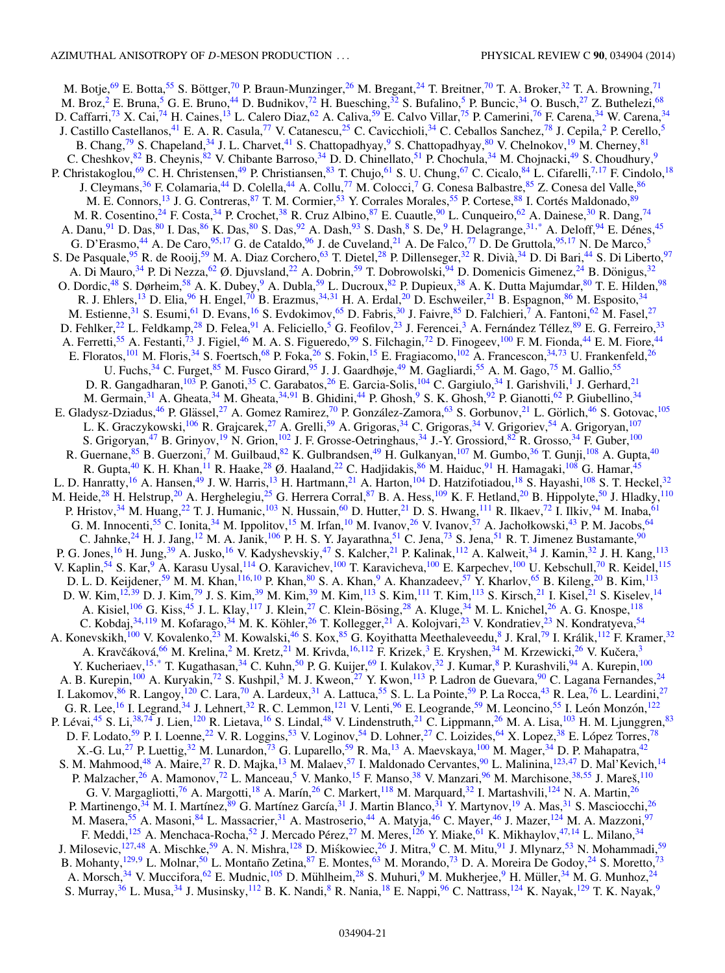M. Botje,<sup>[69](#page-23-0)</sup> E. Botta,<sup>[55](#page-22-0)</sup> S. Böttger,<sup>[70](#page-23-0)</sup> P. Braun-Munzinger,<sup>[26](#page-22-0)</sup> M. Bregant,<sup>[24](#page-22-0)</sup> T. Breitner,<sup>70</sup> T. A. Broker,<sup>[32](#page-22-0)</sup> T. A. Browning,<sup>[71](#page-23-0)</sup> M. Broz,<sup>[2](#page-21-0)</sup> E. Bruna,<sup>[5](#page-21-0)</sup> G. E. Bruno,<sup>[44](#page-22-0)</sup> D. Budnikov,<sup>[72](#page-23-0)</sup> H. Buesching,<sup>32</sup> S. Bufalino,<sup>5</sup> P. Buncic,<sup>[34](#page-22-0)</sup> O. Busch,<sup>27</sup> Z. Buthelezi,<sup>[68](#page-22-0)</sup> D. Caffarri,<sup>[73](#page-23-0)</sup> X. Cai,<sup>74</sup> H. Caines,<sup>[13](#page-22-0)</sup> L. Calero Diaz,<sup>62</sup> A. Caliva,<sup>59</sup> E. Calvo Villar,<sup>75</sup> P. Camerini,<sup>[76](#page-23-0)</sup> F. Carena,<sup>[34](#page-22-0)</sup> W. Carena,<sup>34</sup> J. Castillo Castellanos,<sup>[41](#page-22-0)</sup> E. A. R. Casula,<sup>[77](#page-23-0)</sup> V. Catanescu,<sup>[25](#page-22-0)</sup> C. Cavicchioli,<sup>[34](#page-22-0)</sup> C. Ceballos Sanchez,<sup>78</sup> J. Cepila,<sup>2</sup> P. Cerello,<sup>[5](#page-21-0)</sup> B. Chang,  $^{79}$  $^{79}$  $^{79}$  S. Chapeland,  $^{34}$  J. L. Charvet,  $^{41}$  S. Chattopadhyay,  $^{9}$  S. Chattopadhyay,  $^{80}$  V. Chelnokov,  $^{19}$  $^{19}$  $^{19}$  M. Cherney,  $^{81}$  $^{81}$  $^{81}$ C. Cheshkov, <sup>[82](#page-23-0)</sup> B. Cheynis, <sup>82</sup> V. Chibante Barroso,<sup>34</sup> D. D. Chinellato,<sup>[51](#page-22-0)</sup> P. Chochula,<sup>34</sup> M. Chojnacki,<sup>49</sup> S. Choudhury,<sup>9</sup> P. Christakoglou,<sup>[69](#page-23-0)</sup> C. H. Christensen,<sup>[49](#page-22-0)</sup> P. Christiansen,<sup>[83](#page-23-0)</sup> T. Chujo,<sup>[61](#page-22-0)</sup> S. U. Chung,<sup>[67](#page-22-0)</sup> C. Cicalo,<sup>[84](#page-23-0)</sup> L. Cifarelli,<sup>[7,](#page-21-0)[17](#page-22-0)</sup> F. Cindolo,<sup>[18](#page-22-0)</sup> J. Cleymans,<sup>36</sup> F. Colamaria,<sup>[44](#page-22-0)</sup> D. Colella,<sup>44</sup> A. Collu,<sup>[77](#page-23-0)</sup> M. Colocci,<sup>[7](#page-21-0)</sup> G. Conesa Balbastre,<sup>85</sup> Z. Conesa del Valle,<sup>86</sup> M. E. Connors,<sup>13</sup> J. G. Contreras, <sup>87</sup> T. M. Cormier,<sup>53</sup> Y. Corrales Morales, [55](#page-22-0) P. Cortese, <sup>[88](#page-23-0)</sup> I. Cortés Maldonado, <sup>[89](#page-23-0)</sup> M. R. Cosentino,<sup>[24](#page-22-0)</sup> F. Costa,<sup>[34](#page-22-0)</sup> P. Crochet,<sup>[38](#page-22-0)</sup> R. Cruz Albino,<sup>[87](#page-23-0)</sup> E. Cuautle,<sup>90</sup> L. Cunqueiro,<sup>62</sup> A. Dainese,<sup>[30](#page-22-0)</sup> R. Dang,<sup>74</sup> A. Danu, <sup>[91](#page-23-0)</sup> D. Das, <sup>80</sup> I. Das, <sup>86</sup> K. Das, <sup>80</sup> S. Das, <sup>92</sup> A. Dash, <sup>[93](#page-23-0)</sup> S. Dash, <sup>[8](#page-21-0)</sup> S. De, <sup>[9](#page-21-0)</sup> H. Delagrange, <sup>31,[\\*](#page-24-0)</sup> A. Deloff, <sup>[94](#page-23-0)</sup> E. Dénes, <sup>[45](#page-22-0)</sup> G. D'Erasmo,<sup>[44](#page-22-0)</sup> A. De Caro,<sup>[95,](#page-23-0)[17](#page-22-0)</sup> G. de Cataldo,<sup>[96](#page-23-0)</sup> J. de Cuveland,<sup>21</sup> A. De Falco,<sup>[77](#page-23-0)</sup> D. De Gruttola,<sup>9[5](#page-21-0),17</sup> N. De Marco,<sup>5</sup> S. De Pasquale,<sup>[95](#page-23-0)</sup> R. de Rooij,<sup>[59](#page-22-0)</sup> M. A. Diaz Corchero,<sup>[63](#page-22-0)</sup> T. Dietel,<sup>[28](#page-22-0)</sup> P. Dillenseger,<sup>[32](#page-22-0)</sup> R. Divià,<sup>[34](#page-22-0)</sup> D. Di Bari,<sup>[44](#page-22-0)</sup> S. Di Liberto,<sup>[97](#page-23-0)</sup> A. Di Mauro,<sup>[34](#page-22-0)</sup> P. Di Nezza,<sup>62</sup> Ø. Djuvsland,<sup>[22](#page-22-0)</sup> A. Dobrin,<sup>[59](#page-22-0)</sup> T. Dobrowolski,<sup>94</sup> D. Domenicis Gimenez,<sup>24</sup> B. Dönigus,<sup>[32](#page-22-0)</sup> O. Dordic,<sup>[48](#page-22-0)</sup> S. Dørheim,<sup>[58](#page-22-0)</sup> A. K. Dubey,<sup>[9](#page-21-0)</sup> A. Dubla,<sup>[59](#page-22-0)</sup> L. Ducroux,<sup>[82](#page-23-0)</sup> P. Dupieux,<sup>[38](#page-22-0)</sup> A. K. Dutta Majumdar,<sup>80</sup> T. E. Hilden,<sup>[98](#page-23-0)</sup> R. J. Ehlers,<sup>13</sup> D. Elia,<sup>[96](#page-23-0)</sup> H. Engel,<sup>70</sup> B. Erazmus,<sup>[34,31](#page-22-0)</sup> H. A. Erdal,<sup>20</sup> D. Eschweiler,<sup>[21](#page-22-0)</sup> B. Espagnon,<sup>[86](#page-23-0)</sup> M. Esposito,<sup>[34](#page-22-0)</sup> M. Estienne,  $31$  S. Esumi,  $61$  D. Evans,  $16$  S. Evdokimov,  $65$  D. Fabris,  $30$  J. Faivre,  $85$  D. Falchieri,  $7$  A. Fantoni,  $62$  M. Fasel,  $27$ D. Fehlker,<sup>22</sup> L. Feldkamp,<sup>[28](#page-22-0)</sup> D. Felea,<sup>[91](#page-23-0)</sup> A. Feliciello,<sup>[5](#page-21-0)</sup> G. Feofilov,<sup>[23](#page-22-0)</sup> J. Ferencei,<sup>3</sup> A. Fernández Téllez,<sup>[89](#page-23-0)</sup> E. G. Ferreiro,<sup>[33](#page-22-0)</sup> A. Ferretti,<sup>[55](#page-22-0)</sup> A. Festanti,<sup>[73](#page-23-0)</sup> J. Figiel,<sup>46</sup> M. A. S. Figueredo,<sup>[99](#page-23-0)</sup> S. Filchagin,<sup>[72](#page-23-0)</sup> D. Finogeev,<sup>[100](#page-23-0)</sup> F. M. Fionda,<sup>[44](#page-22-0)</sup> E. M. Fiore,<sup>44</sup> E. Floratos,<sup>[101](#page-23-0)</sup> M. Floris,<sup>[34](#page-22-0)</sup> S. Foertsch,<sup>[68](#page-22-0)</sup> P. Foka,<sup>[26](#page-22-0)</sup> S. Fokin,<sup>[15](#page-22-0)</sup> E. Fragiacomo,<sup>[102](#page-23-0)</sup> A. Francescon,<sup>34,[73](#page-23-0)</sup> U. Frankenfeld,<sup>26</sup> U. Fuchs,<sup>34</sup> C. Furget,<sup>[85](#page-23-0)</sup> M. Fusco Girard,<sup>[95](#page-23-0)</sup> J. J. Gaardhøje,<sup>49</sup> M. Gagliardi,<sup>[55](#page-22-0)</sup> A. M. Gago,<sup>[75](#page-23-0)</sup> M. Gallio,<sup>55</sup> D. R. Gangadharan, <sup>103</sup> P. Ganoti, <sup>35</sup> C. Garabatos, <sup>[26](#page-22-0)</sup> E. Garcia-Solis, <sup>[104](#page-23-0)</sup> C. Gargiulo, <sup>[34](#page-22-0)</sup> I. Garishvili, <sup>1</sup> J. Gerhard, <sup>[21](#page-22-0)</sup> M. Germain,<sup>[31](#page-22-0)</sup> A. Gheata,<sup>[34](#page-22-0)</sup> M. Gheata,<sup>34,[91](#page-23-0)</sup> B. Ghidini,<sup>44</sup> P. Ghosh,<sup>[9](#page-21-0)</sup> S. K. Ghosh,<sup>[92](#page-23-0)</sup> P. Gianotti,<sup>62</sup> P. Giubellino,<sup>34</sup> E. Gladysz-Dziadus,<sup>[46](#page-22-0)</sup> P. Glässel,<sup>[27](#page-22-0)</sup> A. Gomez Ramirez,<sup>[70](#page-23-0)</sup> P. González-Zamora,<sup>[63](#page-22-0)</sup> S. Gorbunov,<sup>21</sup> L. Görlich,<sup>46</sup> S. Gotovac,<sup>105</sup> L. K. Graczykowski,<sup>[106](#page-23-0)</sup> R. Grajcarek,<sup>[27](#page-22-0)</sup> A. Grelli,<sup>[59](#page-22-0)</sup> A. Grigoras,<sup>[34](#page-22-0)</sup> C. Grigoras,<sup>34</sup> V. Grigoriev,<sup>[54](#page-22-0)</sup> A. Grigoryan,<sup>[107](#page-23-0)</sup> S. Grigoryan,<sup>[47](#page-22-0)</sup> B. Grinyov,<sup>[19](#page-22-0)</sup> N. Grion,<sup>[102](#page-23-0)</sup> J. F. Grosse-Oetringhaus,<sup>34</sup> J.-Y. Grossiord,<sup>[82](#page-23-0)</sup> R. Grosso,<sup>[34](#page-22-0)</sup> F. Guber,<sup>[100](#page-23-0)</sup> R. Guernane, <sup>[85](#page-23-0)</sup> B. Guerzoni,<sup>7</sup> M. Guilbaud, <sup>[82](#page-23-0)</sup> K. Gulbrandsen, <sup>[49](#page-22-0)</sup> H. Gulkanyan, <sup>[107](#page-23-0)</sup> M. Gumbo, <sup>[36](#page-22-0)</sup> T. Gunji, <sup>[108](#page-23-0)</sup> A. Gupta, <sup>[40](#page-22-0)</sup> R. Gupta, <sup>[40](#page-22-0)</sup> K. H. Khan, <sup>[11](#page-22-0)</sup> R. Haake, <sup>[28](#page-22-0)</sup> Ø. Haaland, <sup>[22](#page-22-0)</sup> C. Hadjidakis, <sup>86</sup> M. Haiduc, <sup>91</sup> H. Hamagaki, <sup>108</sup> G. Hamar, <sup>45</sup> L. D. Hanratty,<sup>[16](#page-22-0)</sup> A. Hansen,<sup>49</sup> J. W. Harris,<sup>13</sup> H. Hartmann,<sup>[21](#page-22-0)</sup> A. Harton,<sup>[104](#page-23-0)</sup> D. Hatzifotiadou,<sup>[18](#page-22-0)</sup> S. Hayashi,<sup>[108](#page-23-0)</sup> S. T. Heckel,<sup>[32](#page-22-0)</sup> M. Heide,<sup>[28](#page-22-0)</sup> H. Helstrup,<sup>[20](#page-22-0)</sup> A. Herghelegiu,<sup>25</sup> G. Herrera Corral,<sup>[87](#page-23-0)</sup> B. A. Hess,<sup>109</sup> K. F. Hetland,<sup>20</sup> B. Hippolyte,<sup>[50](#page-22-0)</sup> J. Hladky,<sup>110</sup> P. Hristov,<sup>[34](#page-22-0)</sup> M. Huang,<sup>22</sup> T. J. Humanic,<sup>103</sup> N. Hussain,<sup>[60](#page-22-0)</sup> D. Hutter,<sup>21</sup> D. S. Hwang,<sup>111</sup> R. Ilkaev,<sup>[72](#page-23-0)</sup> I. Ilkiv,<sup>[94](#page-23-0)</sup> M. Inaba,<sup>61</sup> G. M. Innocenti,<sup>[55](#page-22-0)</sup> C. Ionita,<sup>[34](#page-22-0)</sup> M. Ippolitov,<sup>[15](#page-22-0)</sup> M. Irfan,<sup>[10](#page-22-0)</sup> M. Ivanov,<sup>[26](#page-22-0)</sup> V. Ivanov,<sup>[57](#page-22-0)</sup> A. Jachołkowski,<sup>43</sup> P. M. Jacobs,<sup>64</sup> C. Jahnke,<sup>[24](#page-22-0)</sup> H. J. Jang,<sup>12</sup> M. A. Janik,<sup>[106](#page-23-0)</sup> P. H. S. Y. Jayarathna,<sup>51</sup> C. Jena,<sup>[73](#page-23-0)</sup> S. Jena,<sup>[51](#page-22-0)</sup> R. T. Jimenez Bustamante,<sup>[90](#page-23-0)</sup> P. G. Jones, <sup>16</sup> H. Jung, <sup>[39](#page-22-0)</sup> A. Jusko, <sup>[16](#page-22-0)</sup> V. Kadyshevskiy, <sup>[47](#page-22-0)</sup> S. Kalcher, <sup>[21](#page-22-0)</sup> P. Kalinak, <sup>[112](#page-23-0)</sup> A. Kalweit, <sup>[34](#page-22-0)</sup> J. Kamin, <sup>[32](#page-22-0)</sup> J. H. Kang, <sup>[113](#page-23-0)</sup> V. Kaplin,<sup>[54](#page-22-0)</sup> S. Kar,<sup>9</sup> A. Karasu Uysal,<sup>114</sup> O. Karavichev,<sup>[100](#page-23-0)</sup> T. Karavicheva,<sup>100</sup> E. Karpechev,<sup>100</sup> U. Kebschull,<sup>70</sup> R. Keidel,<sup>[115](#page-23-0)</sup> D. L. D. Keijdener,<sup>[59](#page-22-0)</sup> M. M. Khan,<sup>116,[10](#page-22-0)</sup> P. Khan,<sup>[80](#page-23-0)</sup> S. A. Khan,<sup>9</sup> A. Khanzadeev,<sup>[57](#page-22-0)</sup> Y. Kharlov,<sup>65</sup> B. Kileng,<sup>[20](#page-22-0)</sup> B. Kim,<sup>[113](#page-23-0)</sup> D. W. Kim,<sup>[12,39](#page-22-0)</sup> D. J. Kim,<sup>[79](#page-23-0)</sup> J. S. Kim,<sup>[39](#page-22-0)</sup> M. Kim,<sup>39</sup> M. Kim,<sup>[113](#page-23-0)</sup> S. Kim,<sup>[111](#page-23-0)</sup> T. Kim,<sup>113</sup> S. Kirsch,<sup>[21](#page-22-0)</sup> I. Kisel,<sup>21</sup> S. Kiselev,<sup>[14](#page-22-0)</sup> A. Kisiel,<sup>[106](#page-23-0)</sup> G. Kiss,<sup>[45](#page-22-0)</sup> J. L. Klay,<sup>117</sup> J. Klein,<sup>27</sup> C. Klein-Bösing,<sup>[28](#page-22-0)</sup> A. Kluge,<sup>[34](#page-22-0)</sup> M. L. Knichel,<sup>[26](#page-22-0)</sup> A. G. Knospe,<sup>118</sup> C. Kobdaj,<sup>[34](#page-22-0)[,119](#page-23-0)</sup> M. Kofarago,<sup>34</sup> M. K. Köhler,<sup>[26](#page-22-0)</sup> T. Kollegger,<sup>21</sup> A. Kolojvari,<sup>[23](#page-22-0)</sup> V. Kondratiev,<sup>23</sup> N. Kondratyeva,<sup>54</sup> A. Konevskikh, <sup>[100](#page-23-0)</sup> V. Kovalenko, <sup>[23](#page-22-0)</sup> M. Kowalski, <sup>[46](#page-22-0)</sup> S. Kox, <sup>[85](#page-23-0)</sup> G. Koyithatta Meethaleveedu, <sup>[8](#page-21-0)</sup> J. Kral, <sup>[79](#page-23-0)</sup> I. Králik, <sup>[112](#page-23-0)</sup> F. Kramer, <sup>[32](#page-22-0)</sup> A. Kravčáková,<sup>[66](#page-22-0)</sup> M. Krelina,<sup>[2](#page-21-0)</sup> M. Kretz,<sup>[21](#page-22-0)</sup> M. Krivda,<sup>[16,](#page-22-0)[112](#page-23-0)</sup> F. Krizek,<sup>[3](#page-21-0)</sup> E. Kryshen,<sup>[34](#page-22-0)</sup> M. Krzewicki,<sup>[26](#page-22-0)</sup> V. Kučera,<sup>3</sup> Y. Kucheriaev,<sup>15,[\\*](#page-24-0)</sup> T. Kugathasan,<sup>[34](#page-22-0)</sup> C. Kuhn,<sup>[50](#page-22-0)</sup> P. G. Kuijer,<sup>[69](#page-23-0)</sup> I. Kulakov,<sup>32</sup> J. Kumar,<sup>8</sup> P. Kurashvili,<sup>[94](#page-23-0)</sup> A. Kurepin,<sup>[100](#page-23-0)</sup> A. B. Kurepin,<sup>[100](#page-23-0)</sup> A. Kuryakin,<sup>[72](#page-23-0)</sup> S. Kushpil,<sup>[3](#page-21-0)</sup> M. J. Kweon,<sup>27</sup> Y. Kwon,<sup>[113](#page-23-0)</sup> P. Ladron de Guevara,<sup>90</sup> C. Lagana Fernandes,<sup>[24](#page-22-0)</sup> I. Lakomov,  $86$  R. Langoy,  $120$  C. Lara,  $70$  A. Lardeux,  $31$  A. Lattuca,  $55$  S. L. La Pointe,  $59$  P. La Rocca,  $43$  R. Lea,  $76$  L. Leardini,  $27$ G. R. Lee, <sup>16</sup> I. Legrand, <sup>[34](#page-22-0)</sup> J. Lehnert, <sup>32</sup> R. C. Lemmon, <sup>121</sup> V. Lenti, <sup>[96](#page-23-0)</sup> E. Leogrande, <sup>59</sup> M. Leoncino, <sup>[55](#page-22-0)</sup> I. León Monzón, <sup>[122](#page-23-0)</sup> P. Lévai,<sup>[45](#page-22-0)</sup> S. Li,<sup>[38,](#page-22-0)[74](#page-23-0)</sup> J. Lien,<sup>[120](#page-23-0)</sup> R. Lietava,<sup>[16](#page-22-0)</sup> S. Lindal,<sup>[48](#page-22-0)</sup> V. Lindenstruth,<sup>21</sup> C. Lippmann,<sup>[26](#page-22-0)</sup> M. A. Lisa,<sup>[103](#page-23-0)</sup> H. M. Ljunggren,<sup>83</sup> D. F. Lodato,<sup>[59](#page-22-0)</sup> P. I. Loenne,<sup>22</sup> V. R. Loggins,<sup>[53](#page-22-0)</sup> V. Loginov,<sup>[54](#page-22-0)</sup> D. Lohner,<sup>27</sup> C. Loizides,<sup>[64](#page-22-0)</sup> X. Lopez,<sup>38</sup> E. López Torres,<sup>[78](#page-23-0)</sup> X.-G. Lu,<sup>[27](#page-22-0)</sup> P. Luettig,<sup>32</sup> M. Lunardon,<sup>[73](#page-23-0)</sup> G. Luparello,<sup>[59](#page-22-0)</sup> R. Ma,<sup>[13](#page-22-0)</sup> A. Maevskaya,<sup>[100](#page-23-0)</sup> M. Mager,<sup>[34](#page-22-0)</sup> D. P. Mahapatra,<sup>42</sup> S. M. Mahmood,<sup>48</sup> A. Maire,<sup>[27](#page-22-0)</sup> R. D. Majka,<sup>[13](#page-22-0)</sup> M. Malaev,<sup>[57](#page-22-0)</sup> I. Maldonado Cervantes,<sup>90</sup> L. Malinina,<sup>[123](#page-23-0)[,47](#page-22-0)</sup> D. Mal'Kevich,<sup>[14](#page-22-0)</sup> P. Malzacher,<sup>26</sup> A. Mamonov,<sup>[72](#page-23-0)</sup> L. Manceau,<sup>[5](#page-21-0)</sup> V. Manko,<sup>[15](#page-22-0)</sup> F. Manso,<sup>[38](#page-22-0)</sup> V. Manzari,<sup>96</sup> M. Marchisone,<sup>[38,55](#page-22-0)</sup> J. Mareš,<sup>[110](#page-23-0)</sup> G. V. Margagliotti,<sup>[76](#page-23-0)</sup> A. Margotti,<sup>[18](#page-22-0)</sup> A. Marín,<sup>[26](#page-22-0)</sup> C. Markert,<sup>118</sup> M. Marquard,<sup>[32](#page-22-0)</sup> I. Martashvili,<sup>124</sup> N. A. Martin,<sup>26</sup> P. Martinengo,<sup>[34](#page-22-0)</sup> M. I. Martínez,<sup>[89](#page-23-0)</sup> G. Martínez García,<sup>[31](#page-22-0)</sup> J. Martin Blanco,<sup>31</sup> Y. Martynov,<sup>[19](#page-22-0)</sup> A. Mas,<sup>31</sup> S. Masciocchi,<sup>[26](#page-22-0)</sup> M. Masera,<sup>[55](#page-22-0)</sup> A. Masoni,<sup>84</sup> L. Massacrier,<sup>31</sup> A. Mastroserio,<sup>[44](#page-22-0)</sup> A. Matyja,<sup>[46](#page-22-0)</sup> C. Mayer,<sup>46</sup> J. Mazer,<sup>124</sup> M. A. Mazzoni,<sup>97</sup> F. Meddi, <sup>[125](#page-23-0)</sup> A. Menchaca-Rocha, <sup>52</sup> J. Mercado Pérez, <sup>[27](#page-22-0)</sup> M. Meres, <sup>126</sup> Y. Miake, <sup>[61](#page-22-0)</sup> K. Mikhaylov, <sup>47, 14</sup> L. Milano, <sup>[34](#page-22-0)</sup> J. Milosevic,<sup>[127,](#page-23-0)[48](#page-22-0)</sup> A. Mischke,<sup>[59](#page-22-0)</sup> A. N. Mishra,<sup>[128](#page-24-0)</sup> D. Miśkowiec,<sup>[26](#page-22-0)</sup> J. Mitra,<sup>[9](#page-21-0)</sup> C. M. Mitu,<sup>[91](#page-23-0)</sup> J. Mlynarz,<sup>[53](#page-22-0)</sup> N. Mohammadi,<sup>59</sup> B. Mohanty, <sup>[129,](#page-24-0)[9](#page-21-0)</sup> L. Molnar, <sup>[50](#page-22-0)</sup> L. Montaño Zetina, <sup>[87](#page-23-0)</sup> E. Montes, <sup>[63](#page-22-0)</sup> M. Morando, <sup>73</sup> D. A. Moreira De Godoy, <sup>[24](#page-22-0)</sup> S. Moretto, <sup>[73](#page-23-0)</sup> A. Morsch,<sup>[34](#page-22-0)</sup> V. Muccifora,<sup>62</sup> E. Mudnic,<sup>[105](#page-23-0)</sup> D. Mühlheim,<sup>[28](#page-22-0)</sup> S. Muhuri,<sup>[9](#page-21-0)</sup> M. Mukherjee,<sup>9</sup> H. Müller,<sup>34</sup> M. G. Munhoz,<sup>[24](#page-22-0)</sup> S. Murray,<sup>[36](#page-22-0)</sup> L. Musa,<sup>[34](#page-22-0)</sup> J. Musinsky,<sup>112</sup> B. K. Nandi,<sup>8</sup> R. Nania,<sup>[18](#page-22-0)</sup> E. Nappi,<sup>[96](#page-23-0)</sup> C. Nattrass,<sup>[124](#page-23-0)</sup> K. Nayak,<sup>129</sup> T. K. Nayak,<sup>9</sup>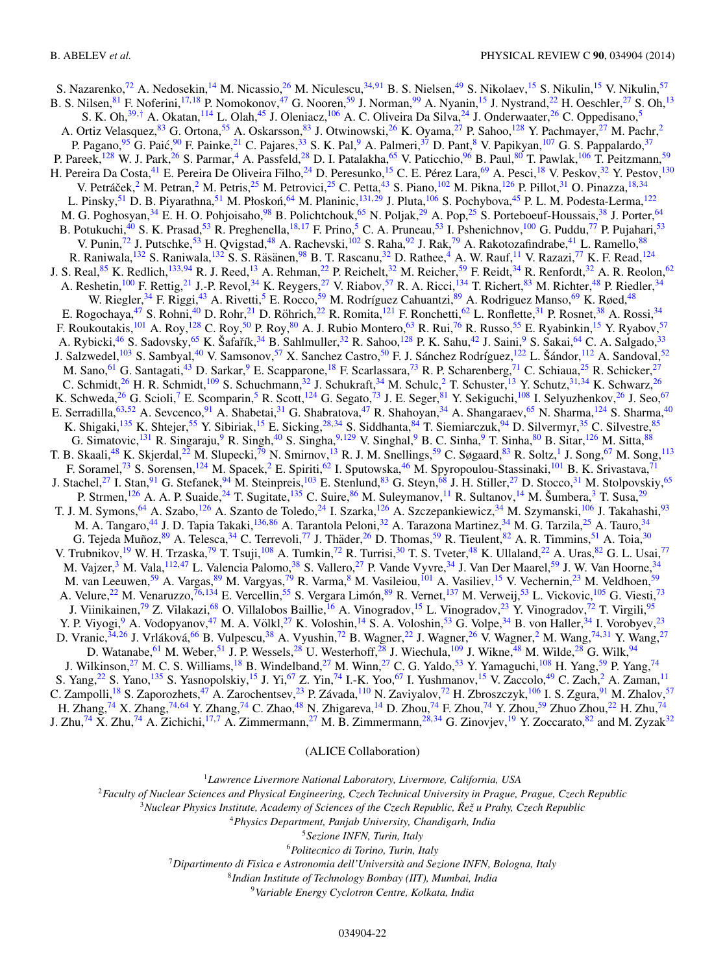<span id="page-21-0"></span>S. Nazarenko,<sup>[72](#page-23-0)</sup> A. Nedosekin,<sup>14</sup> M. Nicassio,<sup>[26](#page-22-0)</sup> M. Niculescu,<sup>[34,](#page-22-0)[91](#page-23-0)</sup> B. S. Nielsen,<sup>[49](#page-22-0)</sup> S. Nikolaev,<sup>[15](#page-22-0)</sup> S. Nikulin,<sup>15</sup> V. Nikulin,<sup>[57](#page-22-0)</sup> B. S. Nilsen, [81](#page-23-0) F. Noferini, <sup>[17,18](#page-22-0)</sup> P. Nomokonov, <sup>[47](#page-22-0)</sup> G. Nooren, <sup>59</sup> J. Norman, <sup>99</sup> A. Nyanin, <sup>[15](#page-22-0)</sup> J. Nystrand, <sup>22</sup> H. Oeschler, <sup>27</sup> S. Oh, <sup>[13](#page-22-0)</sup> S. K. Oh,<sup>[39,](#page-22-0)[†](#page-0-0)</sup> A. Okatan,<sup>[114](#page-23-0)</sup> L. Olah,<sup>[45](#page-22-0)</sup> J. Oleniacz,<sup>106</sup> A. C. Oliveira Da Silva,<sup>[24](#page-22-0)</sup> J. Onderwaater,<sup>26</sup> C. Oppedisano,<sup>5</sup> A. Ortiz Velasquez,<sup>[83](#page-23-0)</sup> G. Ortona,<sup>[55](#page-22-0)</sup> A. Oskarsson,<sup>83</sup> J. Otwinowski,<sup>[26](#page-22-0)</sup> K. Oyama,<sup>[27](#page-22-0)</sup> P. Sahoo,<sup>[128](#page-24-0)</sup> Y. Pachmayer,<sup>27</sup> M. Pachr,<sup>2</sup> P. Pagano,<sup>95</sup> G. Paić,<sup>[90](#page-23-0)</sup> F. Painke,<sup>[21](#page-22-0)</sup> C. Pajares,<sup>33</sup> S. K. Pal,<sup>9</sup> A. Palmeri,<sup>[37](#page-22-0)</sup> D. Pant,<sup>8</sup> V. Papikyan,<sup>[107](#page-23-0)</sup> G. S. Pappalardo,<sup>37</sup> P. Pareek,<sup>1[28](#page-22-0)</sup> W. J. Park,<sup>26</sup> S. Parmar,<sup>4</sup> A. Passfeld,<sup>28</sup> D. I. Patalakha,<sup>[65](#page-22-0)</sup> V. Paticchio,<sup>[96](#page-23-0)</sup> B. Paul,<sup>[80](#page-23-0)</sup> T. Pawlak,<sup>[106](#page-23-0)</sup> T. Peitzmann,<sup>[59](#page-22-0)</sup> H. Pereira Da Costa,<sup>[41](#page-22-0)</sup> E. Pereira De Oliveira Filho,<sup>[24](#page-22-0)</sup> D. Peresunko,<sup>15</sup> C. E. Pérez Lara,<sup>[69](#page-23-0)</sup> A. Pesci,<sup>18</sup> V. Peskov,<sup>[32](#page-22-0)</sup> Y. Pestov,<sup>[130](#page-24-0)</sup> V. Petráček, <sup>2</sup> M. Petran, <sup>2</sup> M. Petris, <sup>[25](#page-22-0)</sup> M. Petrovici, <sup>25</sup> C. Petta, <sup>[43](#page-22-0)</sup> S. Piano, <sup>[102](#page-23-0)</sup> M. Pikna, <sup>[126](#page-23-0)</sup> P. Pillot, <sup>[31](#page-22-0)</sup> O. Pinazza, <sup>18, 34</sup> L. Pinsky, [51](#page-22-0) D. B. Piyarathna, 51 M. Płoskoń, <sup>[64](#page-22-0)</sup> M. Planinic, <sup>[131,](#page-24-0)[29](#page-22-0)</sup> J. Pluta, <sup>[106](#page-23-0)</sup> S. Pochybova, <sup>45</sup> P. L. M. Podesta-Lerma, <sup>[122](#page-23-0)</sup> M. G. Poghosyan,<sup>[34](#page-22-0)</sup> E. H. O. Pohjoisaho,<sup>98</sup> B. Polichtchouk,<sup>[65](#page-22-0)</sup> N. Poljak,<sup>[29](#page-22-0)</sup> A. Pop,<sup>25</sup> S. Porteboeuf-Houssais,<sup>38</sup> J. Porter,<sup>64</sup> B. Potukuchi,<sup>[40](#page-22-0)</sup> S. K. Prasad,<sup>[53](#page-22-0)</sup> R. Preghenella,<sup>18,17</sup> F. Prino,<sup>5</sup> C. A. Pruneau,<sup>53</sup> I. Pshenichnov,<sup>100</sup> G. Puddu,<sup>[77](#page-23-0)</sup> P. Pujahari,<sup>53</sup> V. Punin,<sup>[72](#page-23-0)</sup> J. Putschke,<sup>53</sup> H. Qvigstad,<sup>[48](#page-22-0)</sup> A. Rachevski,<sup>102</sup> S. Raha,<sup>[92](#page-23-0)</sup> J. Rak,<sup>79</sup> A. Rakotozafindrabe,<sup>[41](#page-22-0)</sup> L. Ramello,<sup>[88](#page-23-0)</sup> R. Raniwala,<sup>[132](#page-24-0)</sup> S. Raniwala,<sup>132</sup> S. S. Räsänen,<sup>[98](#page-23-0)</sup> B. T. Rascanu,<sup>[32](#page-22-0)</sup> D. Rathee,<sup>4</sup> A. W. Rauf,<sup>[11](#page-22-0)</sup> V. Razazi,<sup>[77](#page-23-0)</sup> K. F. Read,<sup>124</sup> J. S. Real, <sup>85</sup> K. Redlich, <sup>[133,](#page-24-0) [94](#page-23-0)</sup> R. J. Reed, <sup>13</sup> A. Rehman, <sup>22</sup> P. Reichelt, <sup>32</sup> M. Reicher, <sup>[59](#page-22-0)</sup> F. Reidt, <sup>34</sup> R. Renfordt, <sup>[32](#page-22-0)</sup> A. R. Reolon, <sup>[62](#page-22-0)</sup> A. Reshetin,<sup>[100](#page-23-0)</sup> F. Rettig,<sup>[21](#page-22-0)</sup> J.-P. Revol,<sup>34</sup> K. Reygers,<sup>27</sup> V. Riabov,<sup>[57](#page-22-0)</sup> R. A. Ricci,<sup>[134](#page-24-0)</sup> T. Richert,<sup>[83](#page-23-0)</sup> M. Richter,<sup>[48](#page-22-0)</sup> P. Riedler,<sup>[34](#page-22-0)</sup> W. Riegler,<sup>[34](#page-22-0)</sup> F. Riggi,<sup>43</sup> A. Rivetti,<sup>5</sup> E. Rocco,<sup>[59](#page-22-0)</sup> M. Rodríguez Cahuantzi,<sup>[89](#page-23-0)</sup> A. Rodriguez Manso,<sup>69</sup> K. Røed,<sup>48</sup> E. Rogochaya, <sup>[47](#page-22-0)</sup> S. Rohni, <sup>[40](#page-22-0)</sup> D. Rohr, <sup>[21](#page-22-0)</sup> D. Röhrich, <sup>[22](#page-22-0)</sup> R. Romita, <sup>[121](#page-23-0)</sup> F. Ronchetti, <sup>[62](#page-22-0)</sup> L. Ronflette, <sup>[31](#page-22-0)</sup> P. Rosnet, <sup>[38](#page-22-0)</sup> A. Rossi, <sup>[34](#page-22-0)</sup> F. Roukoutakis, <sup>[101](#page-23-0)</sup> A. Roy, <sup>[128](#page-24-0)</sup> C. Roy, <sup>[50](#page-22-0)</sup> P. Roy, <sup>[80](#page-23-0)</sup> A. J. Rubio Montero, <sup>63</sup> R. Rui, <sup>[76](#page-23-0)</sup> R. Russo, <sup>[55](#page-22-0)</sup> E. Ryabinkin, <sup>[15](#page-22-0)</sup> Y. Ryabov, <sup>[57](#page-22-0)</sup> A. Rybicki,<sup>[46](#page-22-0)</sup> S. Sadovsky,<sup>[65](#page-22-0)</sup> K. Šafařík,<sup>[34](#page-22-0)</sup> B. Sahlmuller,<sup>32</sup> R. Sahoo,<sup>[128](#page-24-0)</sup> P. K. Sahu,<sup>42</sup> J. Saini,<sup>9</sup> S. Sakai,<sup>[64](#page-22-0)</sup> C. A. Salgado,<sup>[33](#page-22-0)</sup> J. Salzwedel,<sup>103</sup> S. Sambyal,<sup>[40](#page-22-0)</sup> V. Samsonov,<sup>[57](#page-22-0)</sup> X. Sanchez Castro,<sup>50</sup> F. J. Sánchez Rodríguez,<sup>[122](#page-23-0)</sup> L. Šándor,<sup>[112](#page-23-0)</sup> A. Sandoval,<sup>52</sup> M. Sano,<sup>61</sup> G. Santagati,<sup>[43](#page-22-0)</sup> D. Sarkar,<sup>9</sup> E. Scapparone,<sup>18</sup> F. Scarlassara,<sup>[73](#page-23-0)</sup> R. P. Scharenberg,<sup>71</sup> C. Schiaua,<sup>25</sup> R. Schicker,<sup>27</sup> C. Schmidt,<sup>[26](#page-22-0)</sup> H. R. Schmidt,<sup>[109](#page-23-0)</sup> S. Schuchmann,<sup>[32](#page-22-0)</sup> J. Schukraft,<sup>34</sup> M. Schulc,<sup>2</sup> T. Schuster,<sup>13</sup> Y. Schutz,<sup>31[,34](#page-22-0)</sup> K. Schwarz,<sup>26</sup> K. Schweda,<sup>26</sup> G. Scioli,<sup>7</sup> E. Scomparin,<sup>5</sup> R. Scott,<sup>[124](#page-23-0)</sup> G. Segato,<sup>[73](#page-23-0)</sup> J. E. Seger,<sup>81</sup> Y. Sekiguchi,<sup>[108](#page-23-0)</sup> I. Selyuzhenkov,<sup>26</sup> J. Seo,<sup>67</sup> E. Serradilla, <sup>[63,52](#page-22-0)</sup> A. Sevcenco, <sup>[91](#page-23-0)</sup> A. Shabetai, <sup>31</sup> G. Shabratova, <sup>47</sup> R. Shahoyan, <sup>[34](#page-22-0)</sup> A. Shangaraev, <sup>65</sup> N. Sharma, <sup>124</sup> S. Sharma, <sup>[40](#page-22-0)</sup> K. Shigaki,<sup>[135](#page-24-0)</sup> K. Shtejer,<sup>55</sup> Y. Sibiriak,<sup>[15](#page-22-0)</sup> E. Sicking,<sup>[28,34](#page-22-0)</sup> S. Siddhanta,<sup>[84](#page-23-0)</sup> T. Siemiarczuk,<sup>94</sup> D. Silvermyr,<sup>35</sup> C. Silvestre,<sup>[85](#page-23-0)</sup> G. Simatovic,<sup>[131](#page-24-0)</sup> R. Singaraju,<sup>9</sup> R. Singh,<sup>[40](#page-22-0)</sup> S. Singha,<sup>9[,129](#page-24-0)</sup> V. Singhal,<sup>9</sup> B. C. Sinha,<sup>9</sup> T. Sinha,<sup>[80](#page-23-0)</sup> B. Sitar,<sup>[126](#page-23-0)</sup> M. Sitta,<sup>[88](#page-23-0)</sup> T. B. Skaali,<sup>[48](#page-22-0)</sup> K. Skjerdal,<sup>[22](#page-22-0)</sup> M. Slupecki,<sup>79</sup> N. Smirnov,<sup>[13](#page-22-0)</sup> R. J. M. Snellings,<sup>[59](#page-22-0)</sup> C. Søgaard,<sup>[83](#page-23-0)</sup> R. Soltz,<sup>1</sup> J. Song,<sup>67</sup> M. Song,<sup>113</sup> F. Soramel,<sup>[73](#page-23-0)</sup> S. Sorensen,<sup>[124](#page-23-0)</sup> M. Spacek,<sup>2</sup> E. Spiriti,<sup>[62](#page-22-0)</sup> I. Sputowska,<sup>46</sup> M. Spyropoulou-Stassinaki,<sup>101</sup> B. K. Srivastava,<sup>[71](#page-23-0)</sup> J. Stachel,<sup>27</sup> I. Stan,<sup>91</sup> G. Stefanek,<sup>[94](#page-23-0)</sup> M. Steinpreis,<sup>103</sup> E. Stenlund,<sup>[83](#page-23-0)</sup> G. Steyn,<sup>[68](#page-22-0)</sup> J. H. Stiller,<sup>27</sup> D. Stocco,<sup>[31](#page-22-0)</sup> M. Stolpovskiy,<sup>[65](#page-22-0)</sup> P. Strmen,<sup>[126](#page-23-0)</sup> A. A. P. Suaide,<sup>[24](#page-22-0)</sup> T. Sugitate,<sup>[135](#page-24-0)</sup> C. Suire,<sup>[86](#page-23-0)</sup> M. Suleymanov,<sup>[11](#page-22-0)</sup> R. Sultanov,<sup>[14](#page-22-0)</sup> M. Šumbera,<sup>3</sup> T. Susa,<sup>[29](#page-22-0)</sup> T. J. M. Symons,<sup>64</sup> A. Szabo,<sup>[126](#page-23-0)</sup> A. Szanto de Toledo,<sup>[24](#page-22-0)</sup> I. Szarka,<sup>126</sup> A. Szczepankiewicz,<sup>34</sup> M. Szymanski,<sup>106</sup> J. Takahashi,<sup>93</sup> M. A. Tangaro,<sup>44</sup> J. D. Tapia Takaki,<sup>136,[86](#page-23-0)</sup> A. Tarantola Peloni,<sup>[32](#page-22-0)</sup> A. Tarazona Martinez,<sup>[34](#page-22-0)</sup> M. G. Tarzila,<sup>[25](#page-22-0)</sup> A. Tauro,<sup>34</sup> G. Tejeda Muñoz,  $^{89}$  $^{89}$  $^{89}$  A. Telesca,  $^{34}$  $^{34}$  $^{34}$  C. Terrevoli,  $^{77}$  $^{77}$  $^{77}$  J. Thäder,  $^{26}$  $^{26}$  $^{26}$  D. Thomas,  $^{59}$  R. Tieulent,  $^{82}$  $^{82}$  $^{82}$  A. R. Timmins,  $^{51}$  $^{51}$  $^{51}$  A. Toia,  $^{30}$  $^{30}$  $^{30}$ V. Trubnikov,<sup>[19](#page-22-0)</sup> W. H. Trzaska,<sup>[79](#page-23-0)</sup> T. Tsuji,<sup>108</sup> A. Tumkin,<sup>[72](#page-23-0)</sup> R. Turrisi,<sup>[30](#page-22-0)</sup> T. S. Tveter,<sup>[48](#page-22-0)</sup> K. Ullaland,<sup>[22](#page-22-0)</sup> A. Uras,<sup>[82](#page-23-0)</sup> G. L. Usai,<sup>[77](#page-23-0)</sup> M. Vajzer,<sup>3</sup> M. Vala,<sup>[112,](#page-23-0)[47](#page-22-0)</sup> L. Valencia Palomo,<sup>38</sup> S. Vallero,<sup>[27](#page-22-0)</sup> P. Vande Vyvre,<sup>[34](#page-22-0)</sup> J. Van Der Maarel,<sup>[59](#page-22-0)</sup> J. W. Van Hoorne,<sup>34</sup> M. van Leeuwen,<sup>59</sup> A. Vargas,<sup>[89](#page-23-0)</sup> M. Vargyas,<sup>[79](#page-23-0)</sup> R. Varma,<sup>8</sup> M. Vasileiou,<sup>[101](#page-23-0)</sup> A. Vasiliev,<sup>[15](#page-22-0)</sup> V. Vechernin,<sup>[23](#page-22-0)</sup> M. Veldhoen,<sup>[59](#page-22-0)</sup> A. Velure,<sup>[22](#page-22-0)</sup> M. Venaruzzo,<sup>[76,](#page-23-0)[134](#page-24-0)</sup> E. Vercellin,<sup>[55](#page-22-0)</sup> S. Vergara Limón,<sup>[89](#page-23-0)</sup> R. Vernet,<sup>[137](#page-24-0)</sup> M. Verweij,<sup>[53](#page-22-0)</sup> L. Vickovic,<sup>[105](#page-23-0)</sup> G. Viesti,<sup>[73](#page-23-0)</sup> J. Viinikainen,<sup>79</sup> Z. Vilakazi,<sup>[68](#page-22-0)</sup> O. Villalobos Baillie,<sup>[16](#page-22-0)</sup> A. Vinogradov,<sup>[15](#page-22-0)</sup> L. Vinogradov,<sup>[23](#page-22-0)</sup> Y. Vinogradov,<sup>[72](#page-23-0)</sup> T. Virgili,<sup>[95](#page-23-0)</sup> Y. P. Viyogi,<sup>9</sup> A. Vodopyanov,<sup>[47](#page-22-0)</sup> M. A. Völkl,<sup>[27](#page-22-0)</sup> K. Voloshin,<sup>[14](#page-22-0)</sup> S. A. Voloshin,<sup>[53](#page-22-0)</sup> G. Volpe,<sup>[34](#page-22-0)</sup> B. von Haller,<sup>34</sup> I. Vorobyev,<sup>23</sup> D. Vranic,  $34,26$  J. Vrláková,  $66$  B. Vulpescu,  $38$  A. Vyushin,  $72$  B. Wagner,  $22$  J. Wagner,  $26$  V. Wagner,  $2$  M. Wang,  $74,31$  $74,31$  Y. Wang,  $27$ D. Watanabe, <sup>[61](#page-22-0)</sup> M. Weber, <sup>[51](#page-22-0)</sup> J. P. Wessels, <sup>28</sup> U. Westerhoff, <sup>28</sup> J. Wiechula, <sup>[109](#page-23-0)</sup> J. Wikne, <sup>48</sup> M. Wilde, <sup>[28](#page-22-0)</sup> G. Wilk, <sup>[94](#page-23-0)</sup> J. Wilkinson,<sup>27</sup> M. C. S. Williams,<sup>[18](#page-22-0)</sup> B. Windelband,<sup>[27](#page-22-0)</sup> M. Winn,<sup>27</sup> C. G. Yaldo,<sup>[53](#page-22-0)</sup> Y. Yamaguchi,<sup>[108](#page-23-0)</sup> H. Yang,<sup>59</sup> P. Yang,<sup>[74](#page-23-0)</sup> S. Yang,<sup>[22](#page-22-0)</sup> S. Yano,<sup>[135](#page-24-0)</sup> S. Yasnopolskiy,<sup>[15](#page-22-0)</sup> J. Yi,<sup>[67](#page-22-0)</sup> Z. Yin,<sup>[74](#page-23-0)</sup> I.-K. Yoo,<sup>67</sup> I. Yushmanov,<sup>15</sup> V. Zaccolo,<sup>[49](#page-22-0)</sup> C. Zach,<sup>2</sup> A. Zaman,<sup>11</sup> C. Zampolli,<sup>18</sup> S. Zaporozhets,<sup>47</sup> A. Zarochentsev,<sup>23</sup> P. Závada,<sup>[110](#page-23-0)</sup> N. Zaviyalov,<sup>[72](#page-23-0)</sup> H. Zbroszczyk,<sup>106</sup> I. S. Zgura,<sup>[91](#page-23-0)</sup> M. Zhalov,<sup>[57](#page-22-0)</sup> H. Zhang,<sup>74</sup> X. Zhang,<sup>74,[64](#page-22-0)</sup> Y. Zhang,<sup>[74](#page-23-0)</sup> C. Zhao,<sup>[48](#page-22-0)</sup> N. Zhigareva,<sup>[14](#page-22-0)</sup> D. Zhou,<sup>74</sup> F. Zhou,<sup>74</sup> Y. Zhou,<sup>[59](#page-22-0)</sup> Zhuo Zhou,<sup>[22](#page-22-0)</sup> H. Zhu,<sup>74</sup> J. Zhu,<sup>[74](#page-23-0)</sup> X. Zhu,<sup>74</sup> A. Zichichi,<sup>[17,](#page-22-0)7</sup> A. Zimmermann,<sup>[27](#page-22-0)</sup> M. B. Zimmermann,<sup>[28,34](#page-22-0)</sup> G. Zinovjev,<sup>[19](#page-22-0)</sup> Y. Zoccarato,<sup>[82](#page-23-0)</sup> and M. Zyzak<sup>32</sup>

(ALICE Collaboration)

<sup>1</sup>*Lawrence Livermore National Laboratory, Livermore, California, USA*

<sup>2</sup>*Faculty of Nuclear Sciences and Physical Engineering, Czech Technical University in Prague, Prague, Czech Republic*

<sup>3</sup>*Nuclear Physics Institute, Academy of Sciences of the Czech Republic, Reˇ z u Prahy, Czech Republic ˇ*

<sup>4</sup>*Physics Department, Panjab University, Chandigarh, India*

<sup>5</sup>*Sezione INFN, Turin, Italy*

<sup>6</sup>*Politecnico di Torino, Turin, Italy*

<sup>7</sup>*Dipartimento di Fisica e Astronomia dell'Universita and Sezione INFN, Bologna, Italy `*

<sup>8</sup>*Indian Institute of Technology Bombay (IIT), Mumbai, India*

<sup>9</sup>*Variable Energy Cyclotron Centre, Kolkata, India*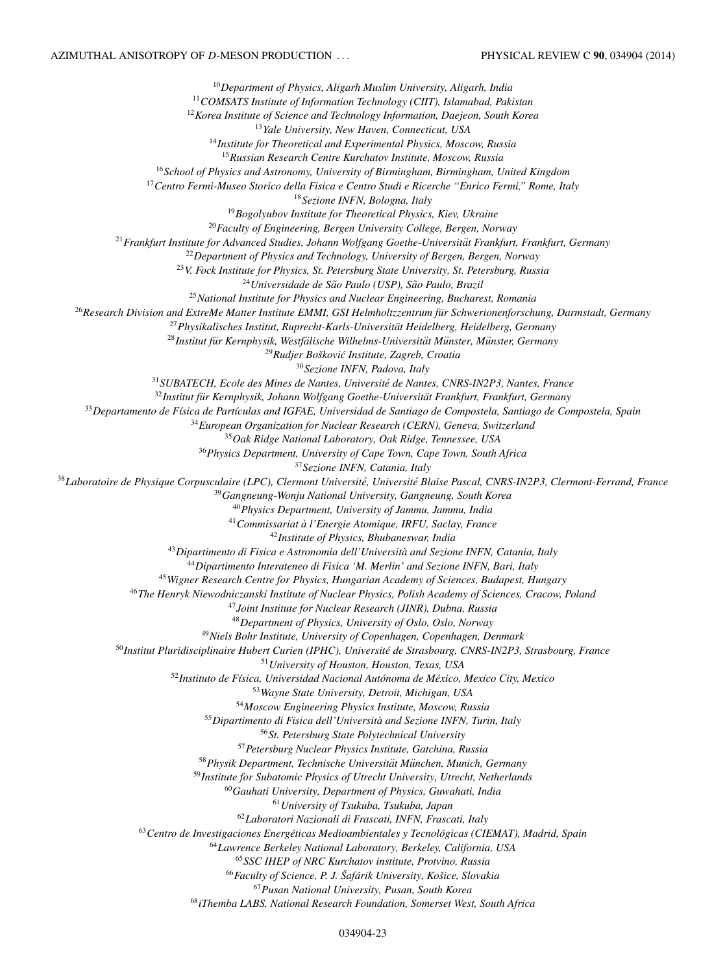<span id="page-22-0"></span>*Department of Physics, Aligarh Muslim University, Aligarh, India COMSATS Institute of Information Technology (CIIT), Islamabad, Pakistan Korea Institute of Science and Technology Information, Daejeon, South Korea Yale University, New Haven, Connecticut, USA Institute for Theoretical and Experimental Physics, Moscow, Russia Russian Research Centre Kurchatov Institute, Moscow, Russia School of Physics and Astronomy, University of Birmingham, Birmingham, United Kingdom Centro Fermi-Museo Storico della Fisica e Centro Studi e Ricerche "Enrico Fermi," Rome, Italy Sezione INFN, Bologna, Italy Bogolyubov Institute for Theoretical Physics, Kiev, Ukraine Faculty of Engineering, Bergen University College, Bergen, Norway Frankfurt Institute for Advanced Studies, Johann Wolfgang Goethe-Universitat Frankfurt, Frankfurt, Germany ¨ Department of Physics and Technology, University of Bergen, Bergen, Norway V. Fock Institute for Physics, St. Petersburg State University, St. Petersburg, Russia* <sup>24</sup> Universidade de São Paulo (USP), São Paulo, Brazil *National Institute for Physics and Nuclear Engineering, Bucharest, Romania Research Division and ExtreMe Matter Institute EMMI, GSI Helmholtzzentrum fur Schwerionenforschung, Darmstadt, Germany ¨ Physikalisches Institut, Ruprecht-Karls-Universitat Heidelberg, Heidelberg, Germany ¨ Institut fur Kernphysik, Westf ¨ alische Wilhelms-Universit ¨ at M¨ unster, M ¨ unster, Germany ¨* <sup>29</sup> Rudjer Bošković Institute, Zagreb, Croatia *Sezione INFN, Padova, Italy SUBATECH, Ecole des Mines de Nantes, Universite de Nantes, CNRS-IN2P3, Nantes, France ´* <sup>32</sup>Institut für Kernphysik, Johann Wolfgang Goethe-Universität Frankfurt, Frankfurt, Germany *Departamento de F´ısica de Part´ıculas and IGFAE, Universidad de Santiago de Compostela, Santiago de Compostela, Spain European Organization for Nuclear Research (CERN), Geneva, Switzerland Oak Ridge National Laboratory, Oak Ridge, Tennessee, USA Physics Department, University of Cape Town, Cape Town, South Africa Sezione INFN, Catania, Italy Laboratoire de Physique Corpusculaire (LPC), Clermont Universite, Universit ´ e Blaise Pascal, CNRS-IN2P3, Clermont-Ferrand, France ´ Gangneung-Wonju National University, Gangneung, South Korea Physics Department, University of Jammu, Jammu, India Commissariat a l'Energie Atomique, IRFU, Saclay, France ` Institute of Physics, Bhubaneswar, India Dipartimento di Fisica e Astronomia dell'Universita and Sezione INFN, Catania, Italy ` Dipartimento Interateneo di Fisica 'M. Merlin' and Sezione INFN, Bari, Italy Wigner Research Centre for Physics, Hungarian Academy of Sciences, Budapest, Hungary The Henryk Niewodniczanski Institute of Nuclear Physics, Polish Academy of Sciences, Cracow, Poland Joint Institute for Nuclear Research (JINR), Dubna, Russia Department of Physics, University of Oslo, Oslo, Norway Niels Bohr Institute, University of Copenhagen, Copenhagen, Denmark Institut Pluridisciplinaire Hubert Curien (IPHC), Universite de Strasbourg, CNRS-IN2P3, Strasbourg, France ´ University of Houston, Houston, Texas, USA Instituto de F´ısica, Universidad Nacional Autonoma de M ´ exico, Mexico City, Mexico ´ Wayne State University, Detroit, Michigan, USA Moscow Engineering Physics Institute, Moscow, Russia Dipartimento di Fisica dell'Universita and Sezione INFN, Turin, Italy ` St. Petersburg State Polytechnical University Petersburg Nuclear Physics Institute, Gatchina, Russia Physik Department, Technische Universitat M¨ unchen, Munich, Germany ¨ Institute for Subatomic Physics of Utrecht University, Utrecht, Netherlands Gauhati University, Department of Physics, Guwahati, India University of Tsukuba, Tsukuba, Japan Laboratori Nazionali di Frascati, INFN, Frascati, Italy Centro de Investigaciones Energeticas Medioambientales y Tecnol ´ ogicas (CIEMAT), Madrid, Spain ´ Lawrence Berkeley National Laboratory, Berkeley, California, USA SSC IHEP of NRC Kurchatov institute, Protvino, Russia Faculty of Science, P. J. Saf ˇ arik University, Ko ´ sice, Slovakia ˇ Pusan National University, Pusan, South Korea iThemba LABS, National Research Foundation, Somerset West, South Africa*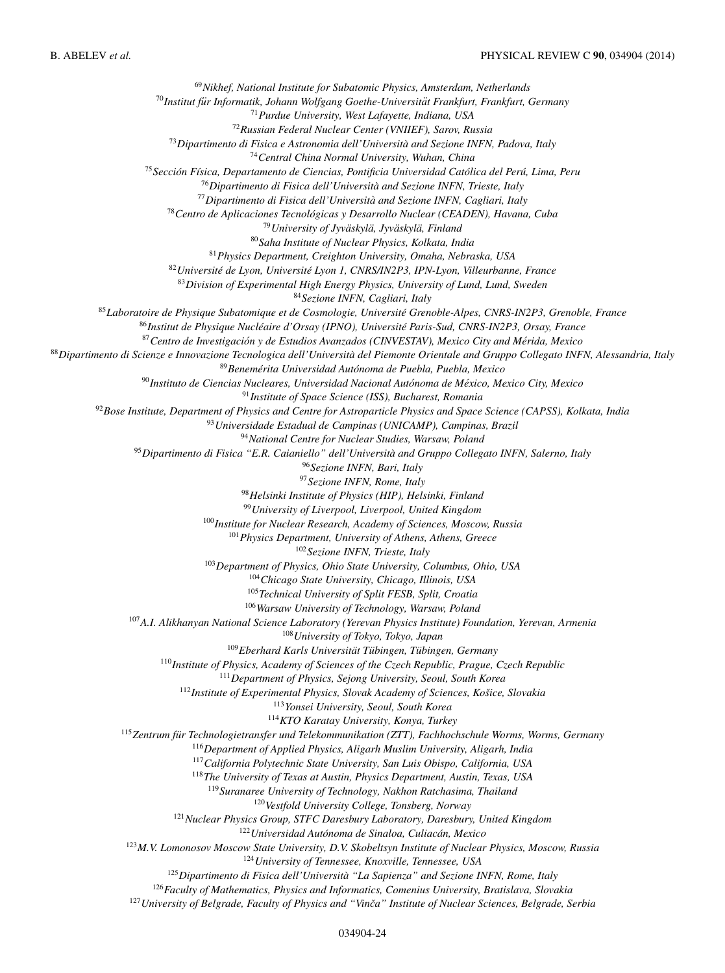<span id="page-23-0"></span>*Nikhef, National Institute for Subatomic Physics, Amsterdam, Netherlands* <sup>70</sup> Institut für Informatik, Johann Wolfgang Goethe-Universität Frankfurt, Frankfurt, Germany *Purdue University, West Lafayette, Indiana, USA Russian Federal Nuclear Center (VNIIEF), Sarov, Russia Dipartimento di Fisica e Astronomia dell'Universita and Sezione INFN, Padova, Italy ` Central China Normal University, Wuhan, China Seccion F ´ ´ısica, Departamento de Ciencias, Pontificia Universidad Catolica del Per ´ u, Lima, Peru ´ Dipartimento di Fisica dell'Universita and Sezione INFN, Trieste, Italy ` Dipartimento di Fisica dell'Universita and Sezione INFN, Cagliari, Italy ` Centro de Aplicaciones Tecnologicas y Desarrollo Nuclear (CEADEN), Havana, Cuba ´ University of Jyvaskyl ¨ a, Jyv ¨ askyl ¨ a, Finland ¨ Saha Institute of Nuclear Physics, Kolkata, India Physics Department, Creighton University, Omaha, Nebraska, USA Universite de Lyon, Universit ´ e Lyon 1, CNRS/IN2P3, IPN-Lyon, Villeurbanne, France ´ Division of Experimental High Energy Physics, University of Lund, Lund, Sweden Sezione INFN, Cagliari, Italy Laboratoire de Physique Subatomique et de Cosmologie, Universite Grenoble-Alpes, CNRS-IN2P3, Grenoble, France ´ Institut de Physique Nucleaire d'Orsay (IPNO), Universit ´ e Paris-Sud, CNRS-IN2P3, Orsay, France ´ Centro de Investigacion y de Estudios Avanzados (CINVESTAV), Mexico City and M ´ erida, Mexico ´ Dipartimento di Scienze e Innovazione Tecnologica dell'Universita del Piemonte Orientale and Gruppo Collegato INFN, Alessandria, Italy ` Benemerita Universidad Aut ´ onoma de Puebla, Puebla, Mexico ´ Instituto de Ciencias Nucleares, Universidad Nacional Autonoma de M ´ exico, Mexico City, Mexico ´ Institute of Space Science (ISS), Bucharest, Romania Bose Institute, Department of Physics and Centre for Astroparticle Physics and Space Science (CAPSS), Kolkata, India Universidade Estadual de Campinas (UNICAMP), Campinas, Brazil National Centre for Nuclear Studies, Warsaw, Poland Dipartimento di Fisica "E.R. Caianiello" dell'Universita and Gruppo Collegato INFN, Salerno, Italy ` Sezione INFN, Bari, Italy Sezione INFN, Rome, Italy Helsinki Institute of Physics (HIP), Helsinki, Finland University of Liverpool, Liverpool, United Kingdom Institute for Nuclear Research, Academy of Sciences, Moscow, Russia Physics Department, University of Athens, Athens, Greece Sezione INFN, Trieste, Italy Department of Physics, Ohio State University, Columbus, Ohio, USA Chicago State University, Chicago, Illinois, USA Technical University of Split FESB, Split, Croatia Warsaw University of Technology, Warsaw, Poland A.I. Alikhanyan National Science Laboratory (Yerevan Physics Institute) Foundation, Yerevan, Armenia University of Tokyo, Tokyo, Japan* <sup>109</sup> Eberhard Karls Universität Tübingen, Tübingen, Germany *Institute of Physics, Academy of Sciences of the Czech Republic, Prague, Czech Republic Department of Physics, Sejong University, Seoul, South Korea* <sup>112</sup>*Institute of Experimental Physics, Slovak Academy of Sciences, Košice, Slovakia Yonsei University, Seoul, South Korea KTO Karatay University, Konya, Turkey Zentrum fur Technologietransfer und Telekommunikation (ZTT), Fachhochschule Worms, Worms, Germany ¨ Department of Applied Physics, Aligarh Muslim University, Aligarh, India California Polytechnic State University, San Luis Obispo, California, USA The University of Texas at Austin, Physics Department, Austin, Texas, USA Suranaree University of Technology, Nakhon Ratchasima, Thailand Vestfold University College, Tonsberg, Norway Nuclear Physics Group, STFC Daresbury Laboratory, Daresbury, United Kingdom* <sup>122</sup> Universidad Autónoma de Sinaloa, Culiacán, Mexico *M.V. Lomonosov Moscow State University, D.V. Skobeltsyn Institute of Nuclear Physics, Moscow, Russia University of Tennessee, Knoxville, Tennessee, USA Dipartimento di Fisica dell'Universita "La Sapienza" and Sezione INFN, Rome, Italy ` Faculty of Mathematics, Physics and Informatics, Comenius University, Bratislava, Slovakia* <sup>127</sup> University of Belgrade, Faculty of Physics and "Vinča" Institute of Nuclear Sciences, Belgrade, Serbia